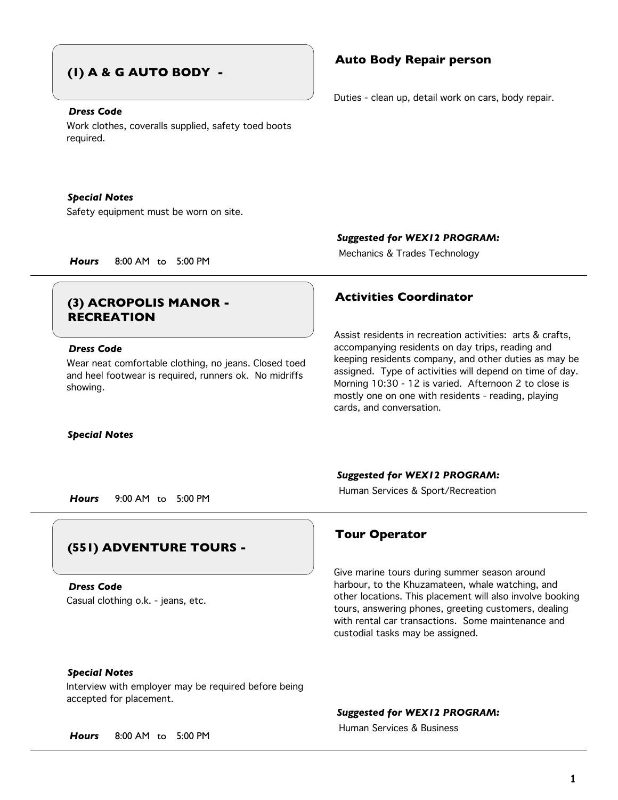## **(1) A & G AUTO BODY -**

## *Dress Code*

Work clothes, coveralls supplied, safety toed boots required.

### *Special Notes*

Safety equipment must be worn on site.

## **Activities Coordinator (3) ACROPOLIS MANOR - RECREATION**

## *Dress Code*

Wear neat comfortable clothing, no jeans. Closed toed and heel footwear is required, runners ok. No midriffs showing.

### *Special Notes*

## **Auto Body Repair person**

Duties - clean up, detail work on cars, body repair.

*Suggested for WEX12 PROGRAM:*

Mechanics & Trades Technology *Hours* 8:00 AM to 5:00 PM

Assist residents in recreation activities: arts & crafts, accompanying residents on day trips, reading and keeping residents company, and other duties as may be assigned. Type of activities will depend on time of day. Morning 10:30 - 12 is varied. Afternoon 2 to close is mostly one on one with residents - reading, playing cards, and conversation.

## *Suggested for WEX12 PROGRAM:*

Human Services & Sport/Recreation *Hours* 9:00 AM to 5:00 PM

## **(551) ADVENTURE TOURS -**

Casual clothing o.k. - jeans, etc. *Dress Code*

## **Tour Operator**

Give marine tours during summer season around harbour, to the Khuzamateen, whale watching, and other locations. This placement will also involve booking tours, answering phones, greeting customers, dealing with rental car transactions. Some maintenance and custodial tasks may be assigned.

## *Special Notes*

Interview with employer may be required before being accepted for placement.

*Suggested for WEX12 PROGRAM:*

Human Services & Business

*Hours* 8:00 AM to 5:00 PM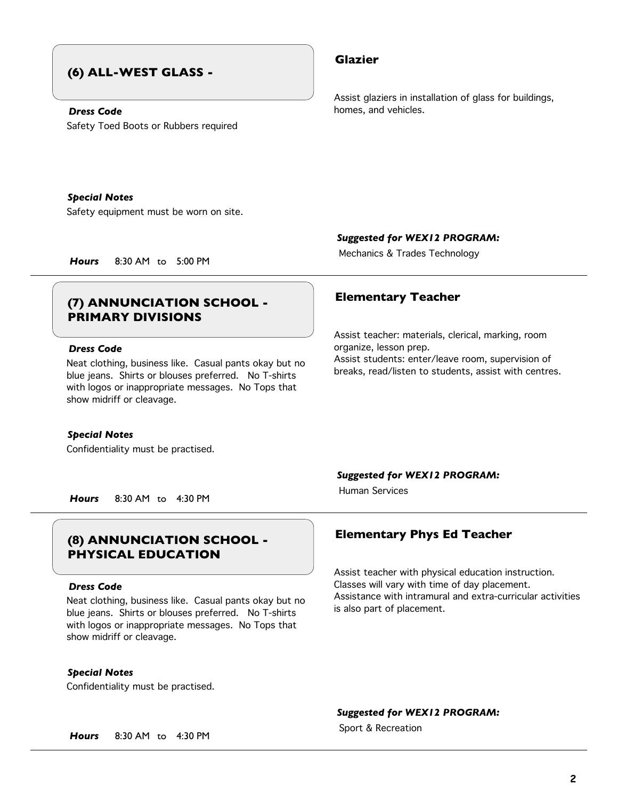## **(6) ALL-WEST GLASS -**

## *Dress Code*

Safety Toed Boots or Rubbers required

## **Glazier**

Assist glaziers in installation of glass for buildings, homes, and vehicles.

Safety equipment must be worn on site.

*Special Notes*

*Suggested for WEX12 PROGRAM:*

Mechanics & Trades Technology *Hours* 8:30 AM to 5:00 PM

## **Elementary Teacher (7) ANNUNCIATION SCHOOL - PRIMARY DIVISIONS**

## *Dress Code*

Neat clothing, business like. Casual pants okay but no blue jeans. Shirts or blouses preferred. No T-shirts with logos or inappropriate messages. No Tops that show midriff or cleavage.

### *Special Notes*

Confidentiality must be practised.

Assist teacher: materials, clerical, marking, room organize, lesson prep. Assist students: enter/leave room, supervision of breaks, read/listen to students, assist with centres.

*Suggested for WEX12 PROGRAM:*

Human Services

*Hours* 8:30 AM to 4:30 PM

## **Elementary Phys Ed Teacher (8) ANNUNCIATION SCHOOL - PHYSICAL EDUCATION**

### *Dress Code*

Neat clothing, business like. Casual pants okay but no blue jeans. Shirts or blouses preferred. No T-shirts with logos or inappropriate messages. No Tops that show midriff or cleavage.

*Special Notes*

Confidentiality must be practised.

Assist teacher with physical education instruction. Classes will vary with time of day placement. Assistance with intramural and extra-curricular activities is also part of placement.

*Suggested for WEX12 PROGRAM:*

Sport & Recreation *Hours* 8:30 AM to 4:30 PM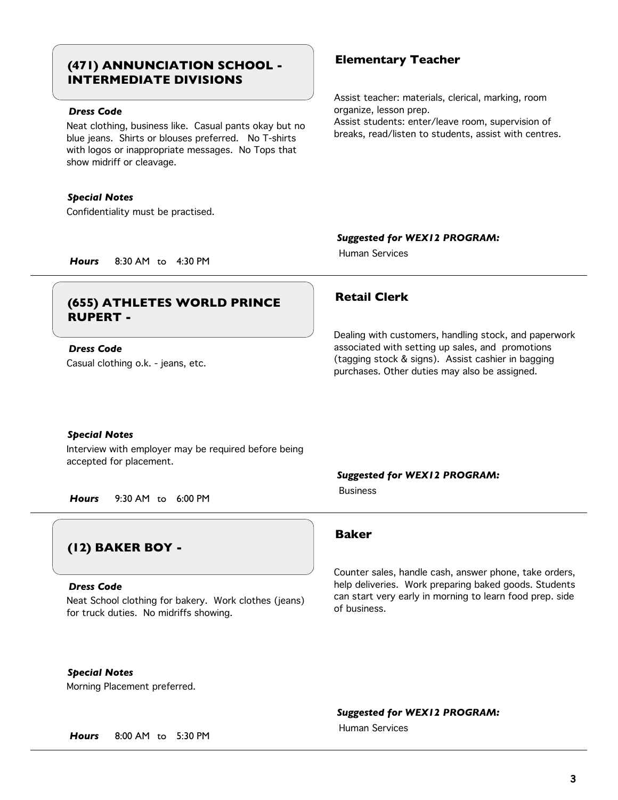## **Elementary Teacher (471) ANNUNCIATION SCHOOL - INTERMEDIATE DIVISIONS**

## *Dress Code*

Neat clothing, business like. Casual pants okay but no blue jeans. Shirts or blouses preferred. No T-shirts with logos or inappropriate messages. No Tops that show midriff or cleavage.

## *Special Notes*

Confidentiality must be practised.

Assist teacher: materials, clerical, marking, room organize, lesson prep.

Assist students: enter/leave room, supervision of breaks, read/listen to students, assist with centres.

## *Suggested for WEX12 PROGRAM:*

Human Services

*Hours* 8:30 AM to 4:30 PM

## **Retail Clerk (655) ATHLETES WORLD PRINCE RUPERT -**

## Casual clothing o.k. - jeans, etc. *Dress Code*

Dealing with customers, handling stock, and paperwork associated with setting up sales, and promotions (tagging stock & signs). Assist cashier in bagging purchases. Other duties may also be assigned.

### *Special Notes*

Interview with employer may be required before being accepted for placement.

*Hours* 9:30 AM to 6:00 PM

## **(12) BAKER BOY -**

### *Dress Code*

Neat School clothing for bakery. Work clothes (jeans) for truck duties. No midriffs showing.

**Baker**

Business

Counter sales, handle cash, answer phone, take orders, help deliveries. Work preparing baked goods. Students can start very early in morning to learn food prep. side of business.

## *Special Notes*

Morning Placement preferred.

## *Suggested for WEX12 PROGRAM:*

*Suggested for WEX12 PROGRAM:*

Human Services

*Hours* 8:00 AM to 5:30 PM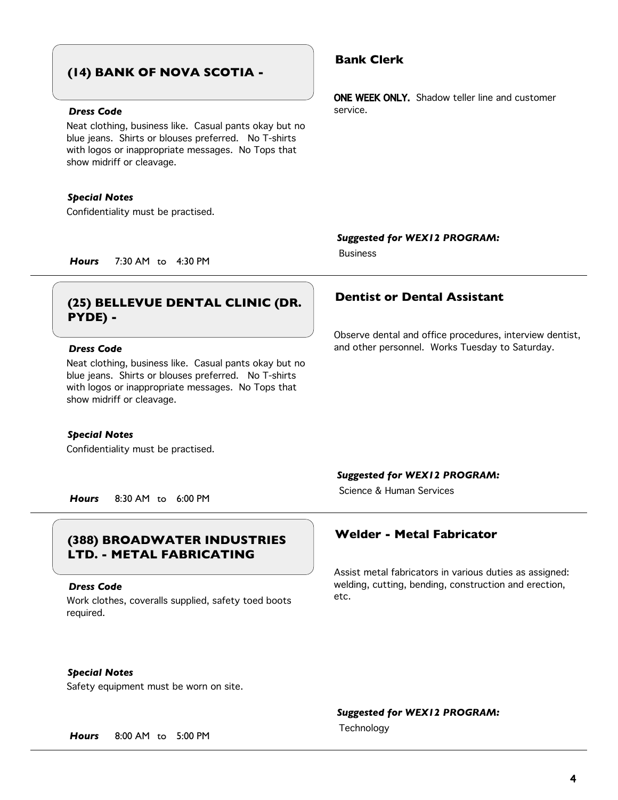## **(14) BANK OF NOVA SCOTIA -**

## *Dress Code*

Neat clothing, business like. Casual pants okay but no blue jeans. Shirts or blouses preferred. No T-shirts with logos or inappropriate messages. No Tops that show midriff or cleavage.

## *Special Notes*

Confidentiality must be practised.

## **Bank Clerk**

ONE WEEK ONLY. Shadow teller line and customer service.

*Suggested for WEX12 PROGRAM:*

Business

*Hours* 7:30 AM to 4:30 PM

## **Dentist or Dental Assistant (25) BELLEVUE DENTAL CLINIC (DR. PYDE) -**

## *Dress Code*

Neat clothing, business like. Casual pants okay but no blue jeans. Shirts or blouses preferred. No T-shirts with logos or inappropriate messages. No Tops that show midriff or cleavage.

### *Special Notes*

Confidentiality must be practised.

Observe dental and office procedures, interview dentist, and other personnel. Works Tuesday to Saturday.

## *Suggested for WEX12 PROGRAM:*

Science & Human Services

*Hours* 8:30 AM to 6:00 PM

## **Welder - Metal Fabricator (388) BROADWATER INDUSTRIES LTD. - METAL FABRICATING**

### *Dress Code*

Work clothes, coveralls supplied, safety toed boots required.

Assist metal fabricators in various duties as assigned: welding, cutting, bending, construction and erection, etc.

## *Special Notes*

Safety equipment must be worn on site.

## *Suggested for WEX12 PROGRAM:*

Technology *Hours* 8:00 AM to 5:00 PM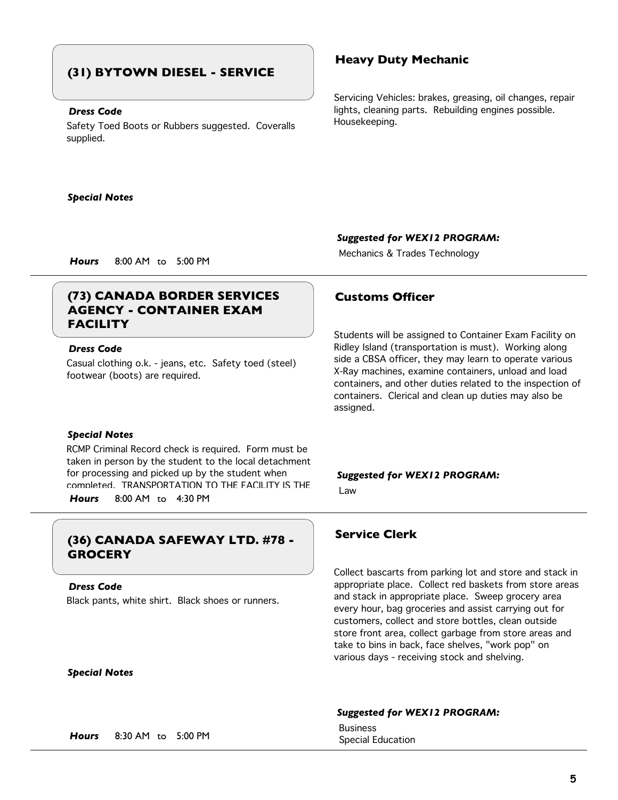## **(31) BYTOWN DIESEL - SERVICE**

## *Dress Code*

Safety Toed Boots or Rubbers suggested. Coveralls supplied.

### *Special Notes*

## **Heavy Duty Mechanic**

Servicing Vehicles: brakes, greasing, oil changes, repair lights, cleaning parts. Rebuilding engines possible. Housekeeping.

## *Suggested for WEX12 PROGRAM:*

Mechanics & Trades Technology *Hours* 8:00 AM to 5:00 PM

## **(73) CANADA BORDER SERVICES Customs Officer AGENCY - CONTAINER EXAM FACILITY**

## *Dress Code*

Casual clothing o.k. - jeans, etc. Safety toed (steel) footwear (boots) are required.

### *Special Notes*

RCMP Criminal Record check is required. Form must be taken in person by the student to the local detachment for processing and picked up by the student when completed. TRANSPORTATION TO THE FACILITY IS THE

*Hours* 8:00 AM to 4:30 PM

## **Service Clerk (36) CANADA SAFEWAY LTD. #78 - GROCERY**

### *Dress Code*

Black pants, white shirt. Black shoes or runners.

Students will be assigned to Container Exam Facility on Ridley Island (transportation is must). Working along side a CBSA officer, they may learn to operate various X-Ray machines, examine containers, unload and load containers, and other duties related to the inspection of containers. Clerical and clean up duties may also be assigned.

*Suggested for WEX12 PROGRAM:* Law

Collect bascarts from parking lot and store and stack in appropriate place. Collect red baskets from store areas and stack in appropriate place. Sweep grocery area every hour, bag groceries and assist carrying out for customers, collect and store bottles, clean outside store front area, collect garbage from store areas and take to bins in back, face shelves, "work pop" on various days - receiving stock and shelving.

## *Special Notes*

### *Suggested for WEX12 PROGRAM:*

**Business** 

Special Education *Hours* 8:30 AM to 5:00 PM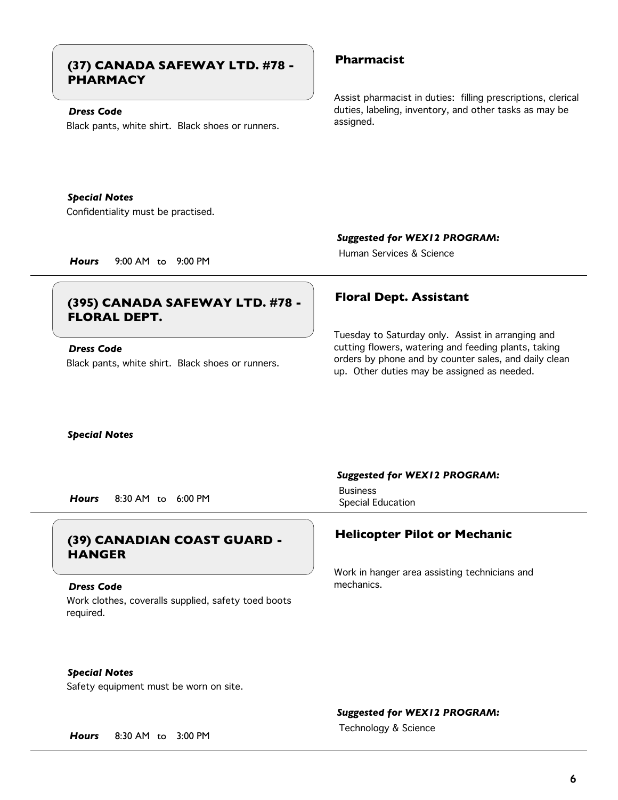## **Pharmacist (37) CANADA SAFEWAY LTD. #78 - PHARMACY**

## *Dress Code*

Black pants, white shirt. Black shoes or runners.

Assist pharmacist in duties: filling prescriptions, clerical duties, labeling, inventory, and other tasks as may be assigned.

Confidentiality must be practised. *Special Notes*

*Suggested for WEX12 PROGRAM:*

Human Services & Science

*Hours* 9:00 AM to 9:00 PM

## **Floral Dept. Assistant (395) CANADA SAFEWAY LTD. #78 - FLORAL DEPT.**

*Dress Code*

Black pants, white shirt. Black shoes or runners.

Tuesday to Saturday only. Assist in arranging and cutting flowers, watering and feeding plants, taking orders by phone and by counter sales, and daily clean up. Other duties may be assigned as needed.

*Special Notes*

Special Education *Hours* 8:30 AM to 6:00 PM

## **Helicopter Pilot or Mechanic (39) CANADIAN COAST GUARD - HANGER**

Work clothes, coveralls supplied, safety toed boots required. *Dress Code*

## *Suggested for WEX12 PROGRAM:*

Business

Work in hanger area assisting technicians and mechanics.

*Special Notes*

Safety equipment must be worn on site.

*Suggested for WEX12 PROGRAM:*

Technology & Science *Hours* 8:30 AM to 3:00 PM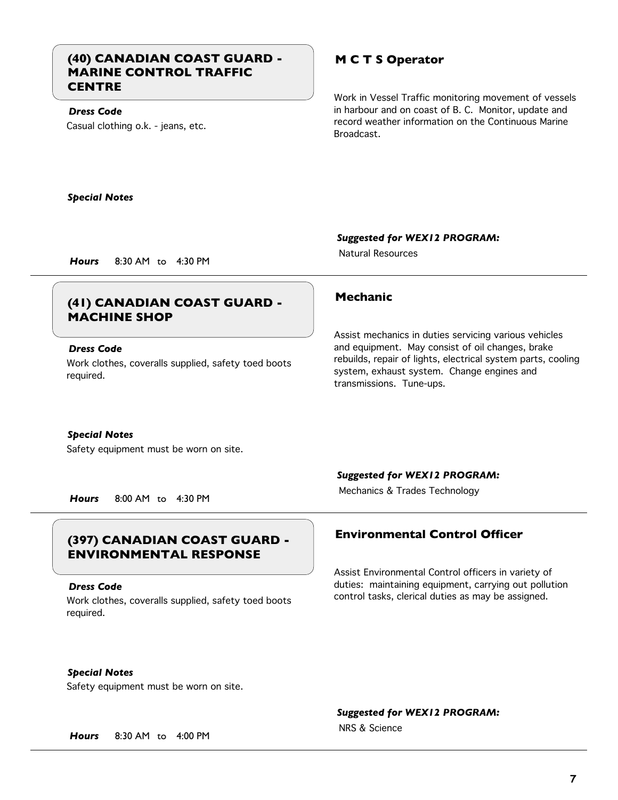## **(40) CANADIAN COAST GUARD - M C T S Operator MARINE CONTROL TRAFFIC CENTRE**

Casual clothing o.k. - jeans, etc. *Dress Code*

Work in Vessel Traffic monitoring movement of vessels in harbour and on coast of B. C. Monitor, update and record weather information on the Continuous Marine Broadcast.

Assist mechanics in duties servicing various vehicles and equipment. May consist of oil changes, brake rebuilds, repair of lights, electrical system parts, cooling

system, exhaust system. Change engines and

*Special Notes*

*Suggested for WEX12 PROGRAM:*

Natural Resources

transmissions. Tune-ups.

*Hours* 8:30 AM to 4:30 PM

## **Mechanic (41) CANADIAN COAST GUARD - MACHINE SHOP**

## *Dress Code*

Work clothes, coveralls supplied, safety toed boots required.

## *Special Notes*

Safety equipment must be worn on site.

Mechanics & Trades Technology *Hours* 8:00 AM to 4:30 PM

## **Environmental Control Officer (397) CANADIAN COAST GUARD - ENVIRONMENTAL RESPONSE**

## *Dress Code*

Work clothes, coveralls supplied, safety toed boots required.

## *Suggested for WEX12 PROGRAM:*

Assist Environmental Control officers in variety of duties: maintaining equipment, carrying out pollution control tasks, clerical duties as may be assigned.

*Special Notes*

Safety equipment must be worn on site.

## *Suggested for WEX12 PROGRAM:*

NRS & Science

*Hours* 8:30 AM to 4:00 PM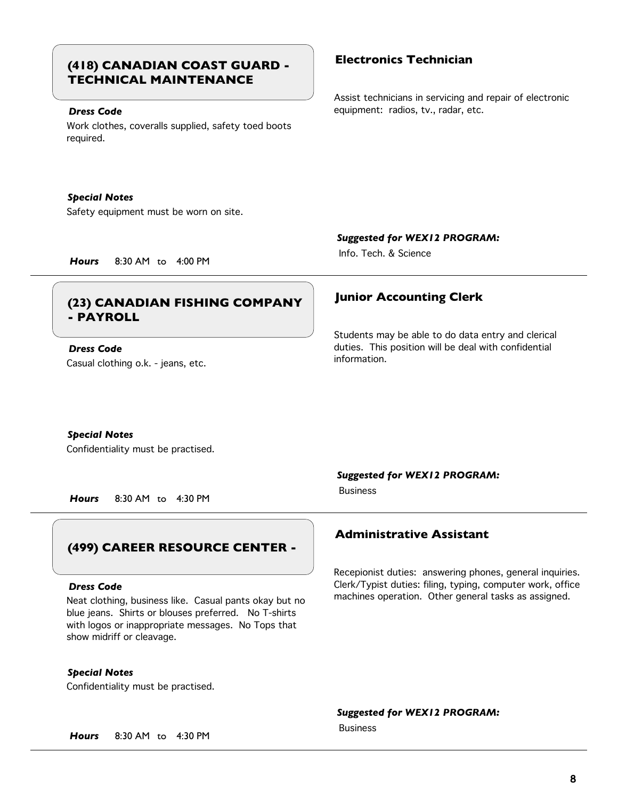## **Electronics Technician (418) CANADIAN COAST GUARD - TECHNICAL MAINTENANCE**

## *Dress Code*

Work clothes, coveralls supplied, safety toed boots required.

## *Special Notes*

Safety equipment must be worn on site.

### *Suggested for WEX12 PROGRAM:*

Students may be able to do data entry and clerical duties. This position will be deal with confidential

Info. Tech. & Science

*Hours* 8:30 AM to 4:00 PM

## **Junior Accounting Clerk (23) CANADIAN FISHING COMPANY - PAYROLL**

Casual clothing o.k. - jeans, etc. *Dress Code*

## *Special Notes*

Confidentiality must be practised.

*Hours* 8:30 AM to 4:30 PM

## **(499) CAREER RESOURCE CENTER -**

### *Dress Code*

Neat clothing, business like. Casual pants okay but no blue jeans. Shirts or blouses preferred. No T-shirts with logos or inappropriate messages. No Tops that show midriff or cleavage.

*Special Notes*

Confidentiality must be practised.

*Suggested for WEX12 PROGRAM:*

information.

## **Administrative Assistant**

Recepionist duties: answering phones, general inquiries. Clerk/Typist duties: filing, typing, computer work, office machines operation. Other general tasks as assigned.

*Suggested for WEX12 PROGRAM:*

*Hours* 8:30 AM to 4:30 PM

Assist technicians in servicing and repair of electronic equipment: radios, tv., radar, etc.

Business

Business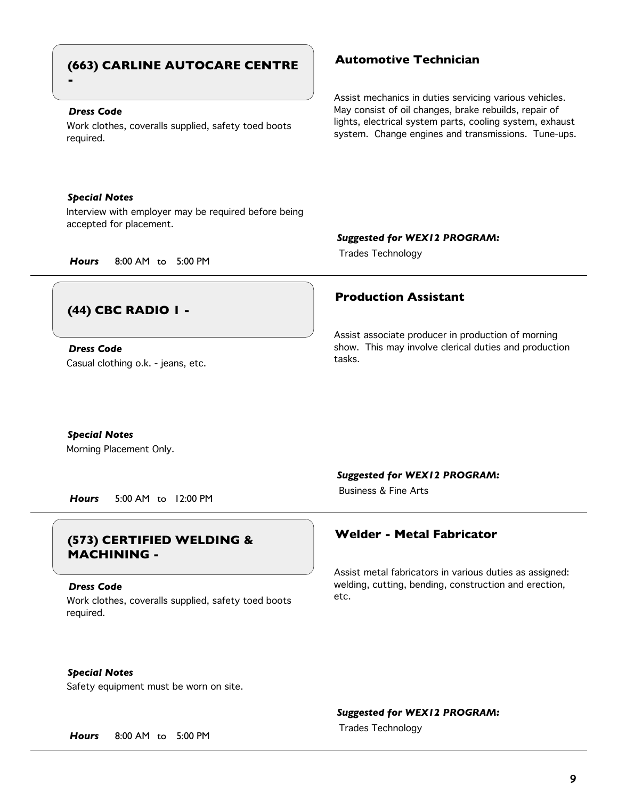## **Automotive Technician (663) CARLINE AUTOCARE CENTRE -**

## *Dress Code*

Work clothes, coveralls supplied, safety toed boots required.

## *Special Notes*

Interview with employer may be required before being accepted for placement.

### *Suggested for WEX12 PROGRAM:*

**Production Assistant**

Assist associate producer in production of morning show. This may involve clerical duties and production

Trades Technology *Hours* 8:00 AM to 5:00 PM

tasks.

## **(44) CBC RADIO 1 -**

Casual clothing o.k. - jeans, etc. *Dress Code*

## *Special Notes*

Morning Placement Only.

*Hours* 5:00 AM to 12:00 PM

## **Welder - Metal Fabricator (573) CERTIFIED WELDING & MACHINING -**

## *Dress Code*

Work clothes, coveralls supplied, safety toed boots required.

*Suggested for WEX12 PROGRAM:*

Business & Fine Arts

Assist metal fabricators in various duties as assigned: welding, cutting, bending, construction and erection, etc.

*Special Notes*

Safety equipment must be worn on site.

## *Suggested for WEX12 PROGRAM:*

Trades Technology *Hours* 8:00 AM to 5:00 PM

**9**

Assist mechanics in duties servicing various vehicles. May consist of oil changes, brake rebuilds, repair of lights, electrical system parts, cooling system, exhaust system. Change engines and transmissions. Tune-ups.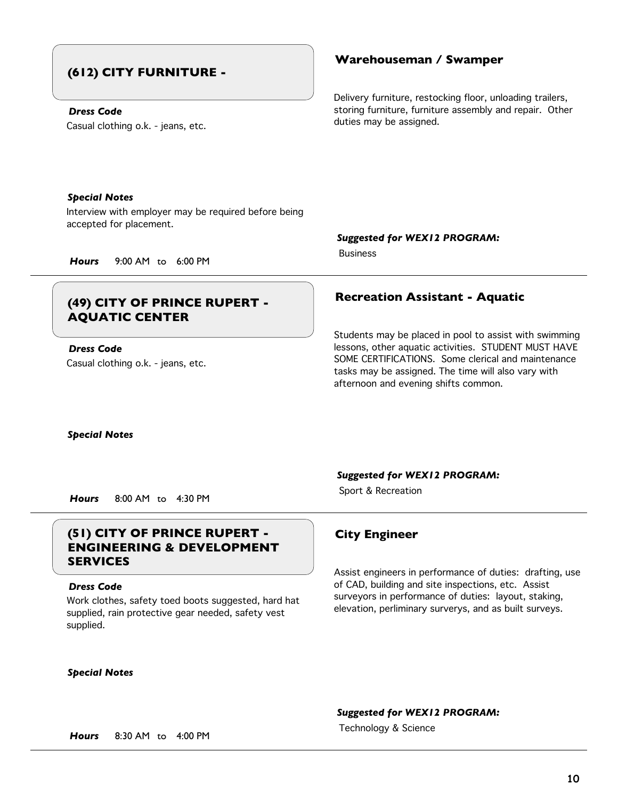## **(612) CITY FURNITURE -**

## *Dress Code*

Casual clothing o.k. - jeans, etc.

## **Warehouseman / Swamper**

Delivery furniture, restocking floor, unloading trailers, storing furniture, furniture assembly and repair. Other duties may be assigned.

## *Special Notes*

Interview with employer may be required before being accepted for placement.

*Suggested for WEX12 PROGRAM:*

Business

## *Hours* 9:00 AM to 6:00 PM

## **Recreation Assistant - Aquatic (49) CITY OF PRINCE RUPERT - AQUATIC CENTER**

Casual clothing o.k. - jeans, etc. *Dress Code*

Students may be placed in pool to assist with swimming lessons, other aquatic activities. STUDENT MUST HAVE SOME CERTIFICATIONS. Some clerical and maintenance tasks may be assigned. The time will also vary with afternoon and evening shifts common.

*Special Notes*

*Suggested for WEX12 PROGRAM:*

Sport & Recreation *Hours* 8:00 AM to 4:30 PM

## **(51) CITY OF PRINCE RUPERT - City Engineer ENGINEERING & DEVELOPMENT SERVICES**

## *Dress Code*

Work clothes, safety toed boots suggested, hard hat supplied, rain protective gear needed, safety vest supplied.

## *Special Notes*

Assist engineers in performance of duties: drafting, use of CAD, building and site inspections, etc. Assist surveyors in performance of duties: layout, staking, elevation, perliminary surverys, and as built surveys.

*Suggested for WEX12 PROGRAM:*

Technology & Science *Hours* 8:30 AM to 4:00 PM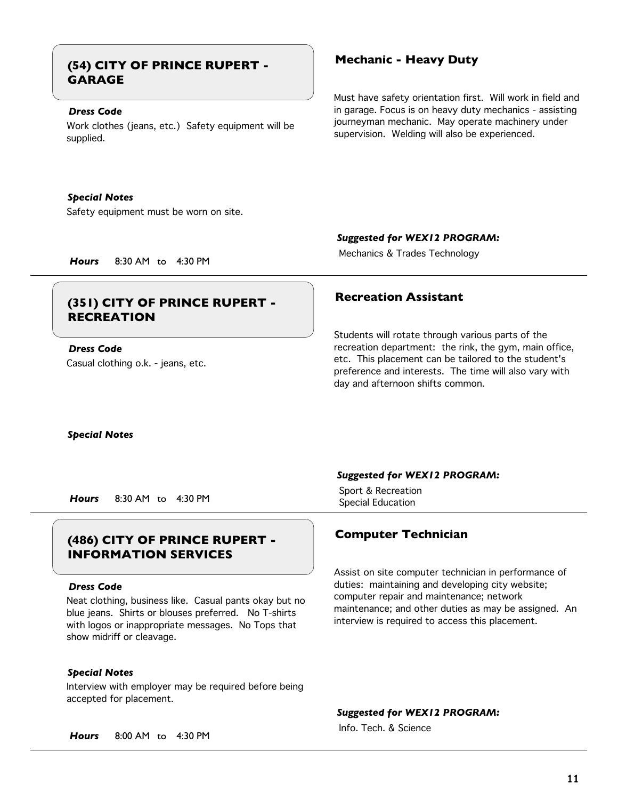## **Mechanic - Heavy Duty (54) CITY OF PRINCE RUPERT - GARAGE**

## *Dress Code*

Work clothes (jeans, etc.) Safety equipment will be supplied.

## *Special Notes*

Safety equipment must be worn on site.

Must have safety orientation first. Will work in field and in garage. Focus is on heavy duty mechanics - assisting journeyman mechanic. May operate machinery under supervision. Welding will also be experienced.

## *Suggested for WEX12 PROGRAM:*

Mechanics & Trades Technology *Hours* 8:30 AM to 4:30 PM

## **Recreation Assistant (351) CITY OF PRINCE RUPERT - RECREATION**

Casual clothing o.k. - jeans, etc. *Dress Code*

Students will rotate through various parts of the recreation department: the rink, the gym, main office, etc. This placement can be tailored to the student's preference and interests. The time will also vary with day and afternoon shifts common.

*Special Notes*

Special Education *Hours* 8:30 AM to 4:30 PM

## **Computer Technician (486) CITY OF PRINCE RUPERT - INFORMATION SERVICES**

## *Dress Code*

Neat clothing, business like. Casual pants okay but no blue jeans. Shirts or blouses preferred. No T-shirts with logos or inappropriate messages. No Tops that show midriff or cleavage.

## *Special Notes*

Interview with employer may be required before being accepted for placement.

## *Suggested for WEX12 PROGRAM:*

Sport & Recreation

Assist on site computer technician in performance of duties: maintaining and developing city website; computer repair and maintenance; network maintenance; and other duties as may be assigned. An interview is required to access this placement.

*Suggested for WEX12 PROGRAM:*

Info. Tech. & Science

*Hours* 8:00 AM to 4:30 PM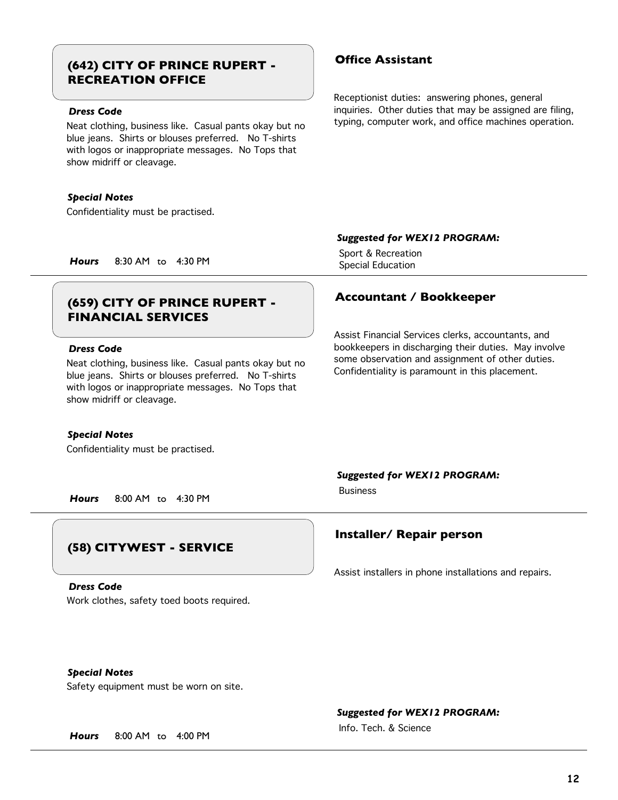## **Office Assistant (642) CITY OF PRINCE RUPERT - RECREATION OFFICE**

## *Dress Code*

Neat clothing, business like. Casual pants okay but no blue jeans. Shirts or blouses preferred. No T-shirts with logos or inappropriate messages. No Tops that show midriff or cleavage.

## *Special Notes*

Confidentiality must be practised.

Receptionist duties: answering phones, general inquiries. Other duties that may be assigned are filing, typing, computer work, and office machines operation.

## *Suggested for WEX12 PROGRAM:*

Assist Financial Services clerks, accountants, and bookkeepers in discharging their duties. May involve some observation and assignment of other duties. Confidentiality is paramount in this placement.

Sport & Recreation

Special Education *Hours* 8:30 AM to 4:30 PM

## **Accountant / Bookkeeper (659) CITY OF PRINCE RUPERT - FINANCIAL SERVICES**

## *Dress Code*

Neat clothing, business like. Casual pants okay but no blue jeans. Shirts or blouses preferred. No T-shirts with logos or inappropriate messages. No Tops that show midriff or cleavage.

### *Special Notes*

Confidentiality must be practised.

## *Suggested for WEX12 PROGRAM:*

Business

*Hours* 8:00 AM to 4:30 PM

## **(58) CITYWEST - SERVICE**

Work clothes, safety toed boots required. *Dress Code*

## **Installer/ Repair person**

Assist installers in phone installations and repairs.

*Special Notes*

Safety equipment must be worn on site.

## *Suggested for WEX12 PROGRAM:*

Info. Tech. & Science

*Hours* 8:00 AM to 4:00 PM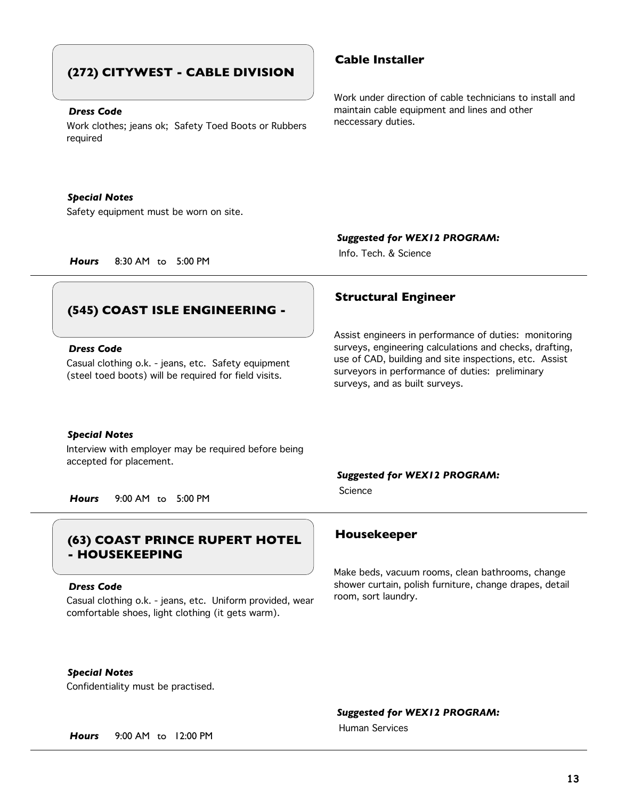## **(272) CITYWEST - CABLE DIVISION**

## *Dress Code*

Work clothes; jeans ok; Safety Toed Boots or Rubbers required

## *Special Notes*

Safety equipment must be worn on site.

*Suggested for WEX12 PROGRAM:* Info. Tech. & Science

*Hours* 8:30 AM to 5:00 PM

# **Structural Engineer**

surveys, and as built surveys.

## Assist engineers in performance of duties: monitoring surveys, engineering calculations and checks, drafting, use of CAD, building and site inspections, etc. Assist surveyors in performance of duties: preliminary

### *Special Notes*

*Dress Code*

Interview with employer may be required before being accepted for placement.

**(545) COAST ISLE ENGINEERING -**

Casual clothing o.k. - jeans, etc. Safety equipment (steel toed boots) will be required for field visits.

*Hours* 9:00 AM to 5:00 PM

## **Housekeeper (63) COAST PRINCE RUPERT HOTEL - HOUSEKEEPING**

### *Dress Code*

Casual clothing o.k. - jeans, etc. Uniform provided, wear comfortable shoes, light clothing (it gets warm).

*Suggested for WEX12 PROGRAM:*

Science

Make beds, vacuum rooms, clean bathrooms, change shower curtain, polish furniture, change drapes, detail room, sort laundry.

*Special Notes*

Confidentiality must be practised.

## *Suggested for WEX12 PROGRAM:*

Human Services

*Hours* 9:00 AM to 12:00 PM

## **Cable Installer**

Work under direction of cable technicians to install and maintain cable equipment and lines and other neccessary duties.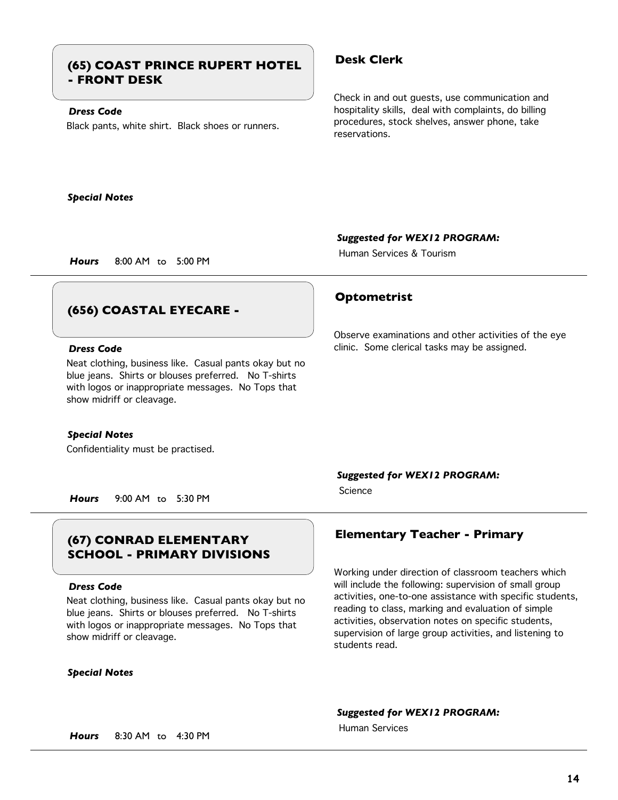## **Desk Clerk (65) COAST PRINCE RUPERT HOTEL - FRONT DESK**

## *Dress Code*

Black pants, white shirt. Black shoes or runners.

Check in and out guests, use communication and hospitality skills, deal with complaints, do billing procedures, stock shelves, answer phone, take reservations.

### *Special Notes*

*Suggested for WEX12 PROGRAM:*

Observe examinations and other activities of the eye

clinic. Some clerical tasks may be assigned.

Human Services & Tourism

**Optometrist**

*Hours* 8:00 AM to 5:00 PM

## **(656) COASTAL EYECARE -**

## *Dress Code*

Neat clothing, business like. Casual pants okay but no blue jeans. Shirts or blouses preferred. No T-shirts with logos or inappropriate messages. No Tops that show midriff or cleavage.

### *Special Notes*

Confidentiality must be practised.

## *Suggested for WEX12 PROGRAM:*

Science

*Hours* 9:00 AM to 5:30 PM

# **SCHOOL - PRIMARY DIVISIONS**

### *Dress Code*

Neat clothing, business like. Casual pants okay but no blue jeans. Shirts or blouses preferred. No T-shirts with logos or inappropriate messages. No Tops that show midriff or cleavage.

### *Special Notes*

## **Elementary Teacher - Primary (67) CONRAD ELEMENTARY**

Working under direction of classroom teachers which will include the following: supervision of small group activities, one-to-one assistance with specific students, reading to class, marking and evaluation of simple activities, observation notes on specific students, supervision of large group activities, and listening to students read.

## *Suggested for WEX12 PROGRAM:*

Human Services

*Hours* 8:30 AM to 4:30 PM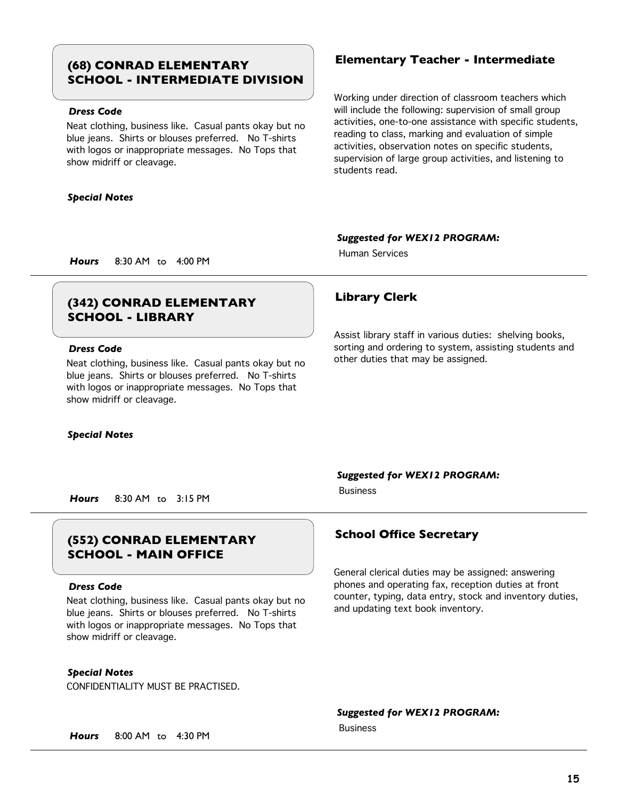## **Elementary Teacher - Intermediate (68) CONRAD ELEMENTARY SCHOOL - INTERMEDIATE DIVISION**

## *Dress Code*

Neat clothing, business like. Casual pants okay but no blue jeans. Shirts or blouses preferred. No T-shirts with logos or inappropriate messages. No Tops that show midriff or cleavage.

## *Special Notes*

Working under direction of classroom teachers which will include the following: supervision of small group activities, one-to-one assistance with specific students, reading to class, marking and evaluation of simple activities, observation notes on specific students, supervision of large group activities, and listening to students read.

Assist library staff in various duties: shelving books, sorting and ordering to system, assisting students and

## *Suggested for WEX12 PROGRAM:*

other duties that may be assigned.

Human Services

*Hours* 8:30 AM to 4:00 PM

## **Library Clerk (342) CONRAD ELEMENTARY SCHOOL - LIBRARY**

## *Dress Code*

Neat clothing, business like. Casual pants okay but no blue jeans. Shirts or blouses preferred. No T-shirts with logos or inappropriate messages. No Tops that show midriff or cleavage.

## *Special Notes*

## *Suggested for WEX12 PROGRAM:*

Business

*Hours* 8:30 AM to 3:15 PM

## **School Office Secretary (552) CONRAD ELEMENTARY SCHOOL - MAIN OFFICE**

## *Dress Code*

Neat clothing, business like. Casual pants okay but no blue jeans. Shirts or blouses preferred. No T-shirts with logos or inappropriate messages. No Tops that show midriff or cleavage.

## *Special Notes*

CONFIDENTIALITY MUST BE PRACTISED.

General clerical duties may be assigned: answering phones and operating fax, reception duties at front counter, typing, data entry, stock and inventory duties, and updating text book inventory.

## *Suggested for WEX12 PROGRAM:*

Business

*Hours* 8:00 AM to 4:30 PM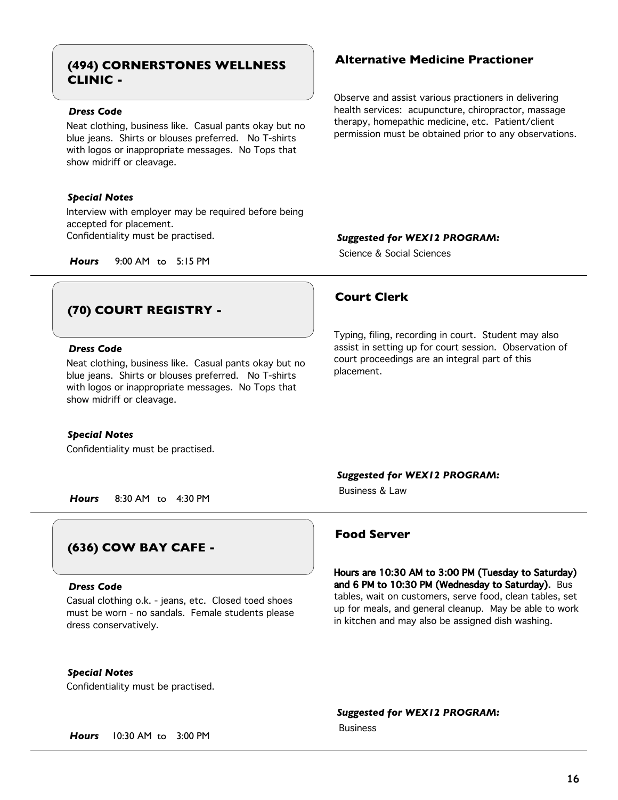## **Alternative Medicine Practioner (494) CORNERSTONES WELLNESS CLINIC -**

## *Dress Code*

Neat clothing, business like. Casual pants okay but no blue jeans. Shirts or blouses preferred. No T-shirts with logos or inappropriate messages. No Tops that show midriff or cleavage.

## *Special Notes*

Interview with employer may be required before being accepted for placement. Confidentiality must be practised.

*Hours* 9:00 AM to 5:15 PM

## **(70) COURT REGISTRY -**

## *Dress Code*

Neat clothing, business like. Casual pants okay but no blue jeans. Shirts or blouses preferred. No T-shirts with logos or inappropriate messages. No Tops that show midriff or cleavage.

### *Special Notes*

Confidentiality must be practised.

Observe and assist various practioners in delivering health services: acupuncture, chiropractor, massage therapy, homepathic medicine, etc. Patient/client permission must be obtained prior to any observations.

## *Suggested for WEX12 PROGRAM:*

Science & Social Sciences

## **Court Clerk**

Typing, filing, recording in court. Student may also assist in setting up for court session. Observation of court proceedings are an integral part of this placement.

### *Suggested for WEX12 PROGRAM:*

Business & Law

*Hours* 8:30 AM to 4:30 PM

## **(636) COW BAY CAFE -**

### *Dress Code*

Casual clothing o.k. - jeans, etc. Closed toed shoes must be worn - no sandals. Female students please dress conservatively.

## *Special Notes*

Confidentiality must be practised.

## **Food Server**

Hours are 10:30 AM to 3:00 PM (Tuesday to Saturday) and 6 PM to 10:30 PM (Wednesday to Saturday). Bus tables, wait on customers, serve food, clean tables, set up for meals, and general cleanup. May be able to work in kitchen and may also be assigned dish washing.

### *Suggested for WEX12 PROGRAM:*

Business

*Hours* 10:30 AM to 3:00 PM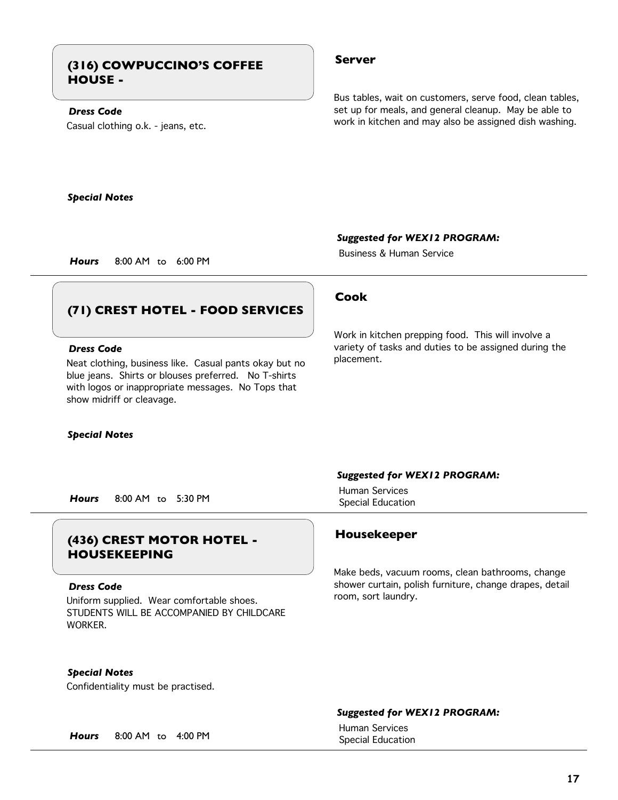## **Server (316) COWPUCCINO'S COFFEE HOUSE -**

## *Dress Code*

Casual clothing o.k. - jeans, etc.

Bus tables, wait on customers, serve food, clean tables, set up for meals, and general cleanup. May be able to work in kitchen and may also be assigned dish washing.

*Special Notes*

*Suggested for WEX12 PROGRAM:*

Business & Human Service

*Hours* 8:00 AM to 6:00 PM

## **(71) CREST HOTEL - FOOD SERVICES**

## *Dress Code*

Neat clothing, business like. Casual pants okay but no blue jeans. Shirts or blouses preferred. No T-shirts with logos or inappropriate messages. No Tops that show midriff or cleavage.

*Special Notes*

Special Education *Hours* 8:00 AM to 5:30 PM

## **Housekeeper (436) CREST MOTOR HOTEL - HOUSEKEEPING**

### *Dress Code*

Uniform supplied. Wear comfortable shoes. STUDENTS WILL BE ACCOMPANIED BY CHILDCARE **WORKER** 

## **Cook**

Work in kitchen prepping food. This will involve a variety of tasks and duties to be assigned during the placement.

### *Suggested for WEX12 PROGRAM:*

Human Services

Make beds, vacuum rooms, clean bathrooms, change shower curtain, polish furniture, change drapes, detail room, sort laundry.

*Special Notes*

Confidentiality must be practised.

## *Suggested for WEX12 PROGRAM:*

Human Services

Special Education *Hours* 8:00 AM to 4:00 PM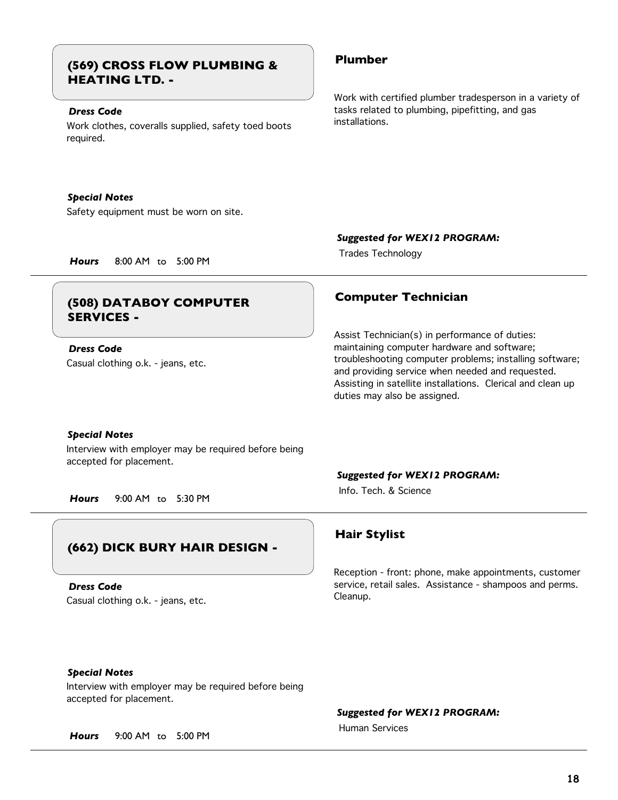## **Plumber (569) CROSS FLOW PLUMBING & HEATING LTD. -**

## *Dress Code*

Work clothes, coveralls supplied, safety toed boots required.

## *Special Notes*

Safety equipment must be worn on site.

Work with certified plumber tradesperson in a variety of tasks related to plumbing, pipefitting, and gas installations.

*Suggested for WEX12 PROGRAM:*

Trades Technology *Hours* 8:00 AM to 5:00 PM

## **Computer Technician (508) DATABOY COMPUTER SERVICES -**

Casual clothing o.k. - jeans, etc. *Dress Code*

Assist Technician(s) in performance of duties: maintaining computer hardware and software; troubleshooting computer problems; installing software; and providing service when needed and requested. Assisting in satellite installations. Clerical and clean up duties may also be assigned.

## *Special Notes*

Interview with employer may be required before being accepted for placement.

*Hours* 9:00 AM to 5:30 PM

## **(662) DICK BURY HAIR DESIGN -**

Casual clothing o.k. - jeans, etc. *Dress Code*

## *Suggested for WEX12 PROGRAM:*

Info. Tech. & Science

## **Hair Stylist**

Reception - front: phone, make appointments, customer service, retail sales. Assistance - shampoos and perms. Cleanup.

## *Special Notes*

Interview with employer may be required before being accepted for placement.

*Suggested for WEX12 PROGRAM:*

Human Services

*Hours* 9:00 AM to 5:00 PM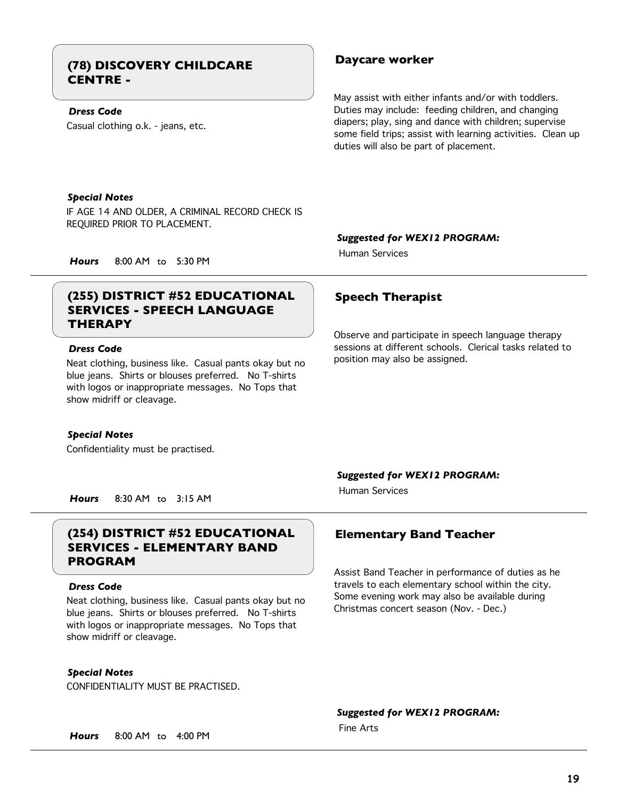## **Daycare worker (78) DISCOVERY CHILDCARE CENTRE -**

## *Dress Code*

Casual clothing o.k. - jeans, etc.

May assist with either infants and/or with toddlers. Duties may include: feeding children, and changing diapers; play, sing and dance with children; supervise some field trips; assist with learning activities. Clean up duties will also be part of placement.

## *Special Notes*

IF AGE 14 AND OLDER, A CRIMINAL RECORD CHECK IS REQUIRED PRIOR TO PLACEMENT.

## *Suggested for WEX12 PROGRAM:*

Human Services

*Hours* 8:00 AM to 5:30 PM

## (255) DISTRICT #52 EDUCATIONAL Speech Therapist **SERVICES - SPEECH LANGUAGE THERAPY**

## *Dress Code*

Neat clothing, business like. Casual pants okay but no blue jeans. Shirts or blouses preferred. No T-shirts with logos or inappropriate messages. No Tops that show midriff or cleavage.

## *Special Notes*

Confidentiality must be practised.

Observe and participate in speech language therapy sessions at different schools. Clerical tasks related to position may also be assigned.

## *Suggested for WEX12 PROGRAM:*

Human Services

*Hours* 8:30 AM to 3:15 AM

## **(254) DISTRICT #52 EDUCATIONAL Elementary Band Teacher SERVICES - ELEMENTARY BAND PROGRAM**

### *Dress Code*

Neat clothing, business like. Casual pants okay but no blue jeans. Shirts or blouses preferred. No T-shirts with logos or inappropriate messages. No Tops that show midriff or cleavage.

*Special Notes*

CONFIDENTIALITY MUST BE PRACTISED.

Assist Band Teacher in performance of duties as he travels to each elementary school within the city. Some evening work may also be available during Christmas concert season (Nov. - Dec.)

## *Suggested for WEX12 PROGRAM:*

Fine Arts

*Hours* 8:00 AM to 4:00 PM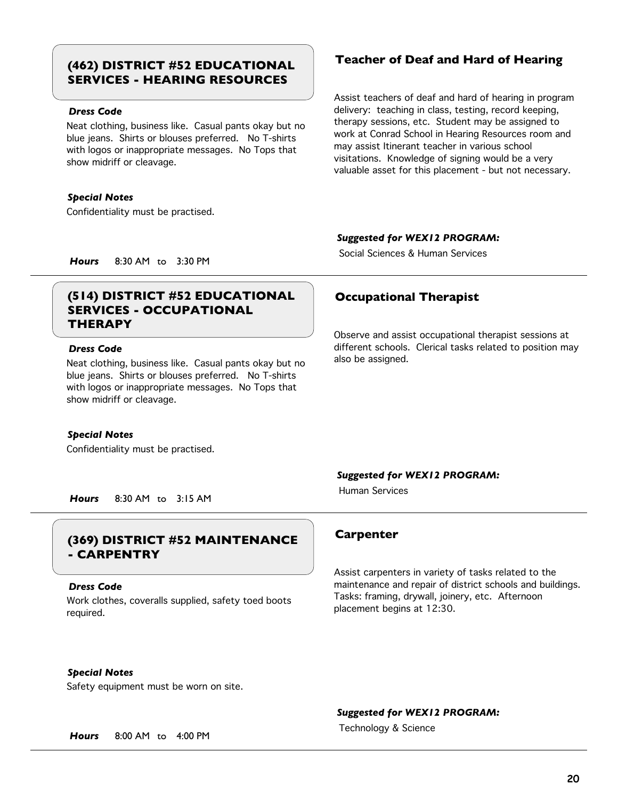# **SERVICES - HEARING RESOURCES**

## *Dress Code*

Neat clothing, business like. Casual pants okay but no blue jeans. Shirts or blouses preferred. No T-shirts with logos or inappropriate messages. No Tops that show midriff or cleavage.

## *Special Notes*

Confidentiality must be practised.

## **Teacher of Deaf and Hard of Hearing (462) DISTRICT #52 EDUCATIONAL**

Assist teachers of deaf and hard of hearing in program delivery: teaching in class, testing, record keeping, therapy sessions, etc. Student may be assigned to work at Conrad School in Hearing Resources room and may assist Itinerant teacher in various school visitations. Knowledge of signing would be a very valuable asset for this placement - but not necessary.

## *Suggested for WEX12 PROGRAM:*

Social Sciences & Human Services

*Hours* 8:30 AM to 3:30 PM

## **(514) DISTRICT #52 EDUCATIONAL Occupational Therapist SERVICES - OCCUPATIONAL THERAPY**

## *Dress Code*

Neat clothing, business like. Casual pants okay but no blue jeans. Shirts or blouses preferred. No T-shirts with logos or inappropriate messages. No Tops that show midriff or cleavage.

## *Special Notes*

Confidentiality must be practised.

Observe and assist occupational therapist sessions at different schools. Clerical tasks related to position may also be assigned.

## *Suggested for WEX12 PROGRAM:*

Human Services

*Hours* 8:30 AM to 3:15 AM

## **Carpenter (369) DISTRICT #52 MAINTENANCE - CARPENTRY**

### *Dress Code*

Work clothes, coveralls supplied, safety toed boots required.

Assist carpenters in variety of tasks related to the maintenance and repair of district schools and buildings. Tasks: framing, drywall, joinery, etc. Afternoon placement begins at 12:30.

*Special Notes*

Safety equipment must be worn on site.

## *Suggested for WEX12 PROGRAM:*

Technology & Science *Hours* 8:00 AM to 4:00 PM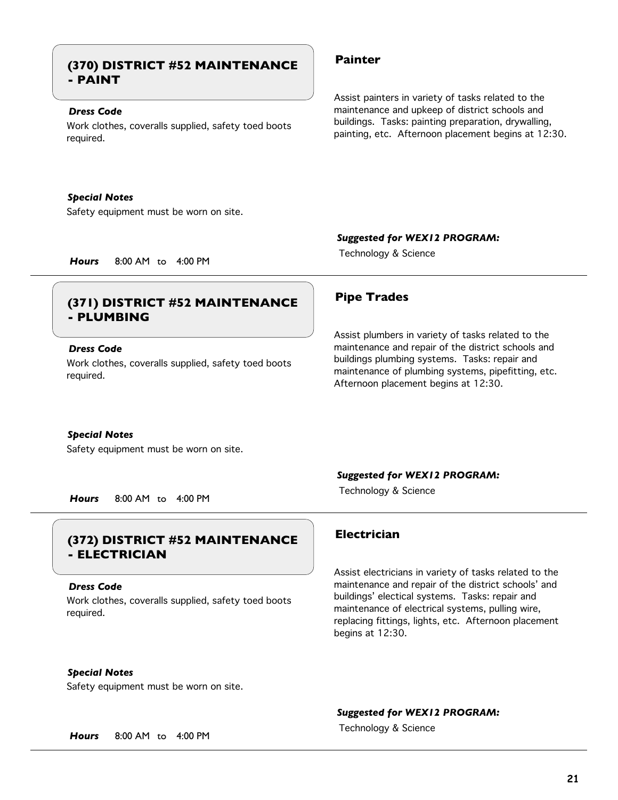## **Painter (370) DISTRICT #52 MAINTENANCE - PAINT**

## *Dress Code*

Work clothes, coveralls supplied, safety toed boots required.

## *Special Notes*

Safety equipment must be worn on site.

Assist painters in variety of tasks related to the maintenance and upkeep of district schools and buildings. Tasks: painting preparation, drywalling, painting, etc. Afternoon placement begins at 12:30.

## *Suggested for WEX12 PROGRAM:*

Assist plumbers in variety of tasks related to the maintenance and repair of the district schools and buildings plumbing systems. Tasks: repair and maintenance of plumbing systems, pipefitting, etc.

Technology & Science *Hours* 8:00 AM to 4:00 PM

## **Pipe Trades (371) DISTRICT #52 MAINTENANCE - PLUMBING**

## *Dress Code*

Work clothes, coveralls supplied, safety toed boots required.

## *Special Notes*

Safety equipment must be worn on site.

## *Suggested for WEX12 PROGRAM:*

Afternoon placement begins at 12:30.

Technology & Science *Hours* 8:00 AM to 4:00 PM

## **Electrician (372) DISTRICT #52 MAINTENANCE - ELECTRICIAN**

### *Dress Code*

Work clothes, coveralls supplied, safety toed boots required.

## *Special Notes*

Safety equipment must be worn on site.

Assist electricians in variety of tasks related to the maintenance and repair of the district schools' and buildings' electical systems. Tasks: repair and maintenance of electrical systems, pulling wire, replacing fittings, lights, etc. Afternoon placement begins at 12:30.

## *Suggested for WEX12 PROGRAM:*

Technology & Science *Hours* 8:00 AM to 4:00 PM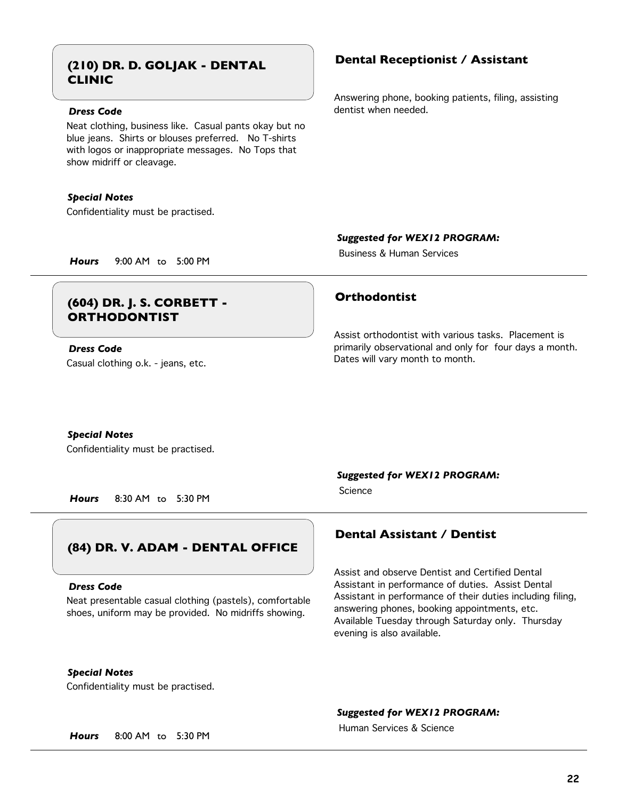## **Dental Receptionist / Assistant (210) DR. D. GOLJAK - DENTAL CLINIC**

## *Dress Code*

Neat clothing, business like. Casual pants okay but no blue jeans. Shirts or blouses preferred. No T-shirts with logos or inappropriate messages. No Tops that show midriff or cleavage.

## *Special Notes*

Confidentiality must be practised.

Answering phone, booking patients, filing, assisting dentist when needed.

*Suggested for WEX12 PROGRAM:*

Business & Human Services

*Hours* 9:00 AM to 5:00 PM

## **Orthodontist (604) DR. J. S. CORBETT - ORTHODONTIST**

Casual clothing o.k. - jeans, etc. *Dress Code*

Assist orthodontist with various tasks. Placement is primarily observational and only for four days a month. Dates will vary month to month.

### *Special Notes*

Confidentiality must be practised.

*Hours* 8:30 AM to 5:30 PM

## **(84) DR. V. ADAM - DENTAL OFFICE**

### *Dress Code*

Neat presentable casual clothing (pastels), comfortable shoes, uniform may be provided. No midriffs showing.

*Special Notes*

Confidentiality must be practised.

## *Suggested for WEX12 PROGRAM:*

Science

## **Dental Assistant / Dentist**

Assist and observe Dentist and Certified Dental Assistant in performance of duties. Assist Dental Assistant in performance of their duties including filing, answering phones, booking appointments, etc. Available Tuesday through Saturday only. Thursday evening is also available.

## *Suggested for WEX12 PROGRAM:*

Human Services & Science

*Hours* 8:00 AM to 5:30 PM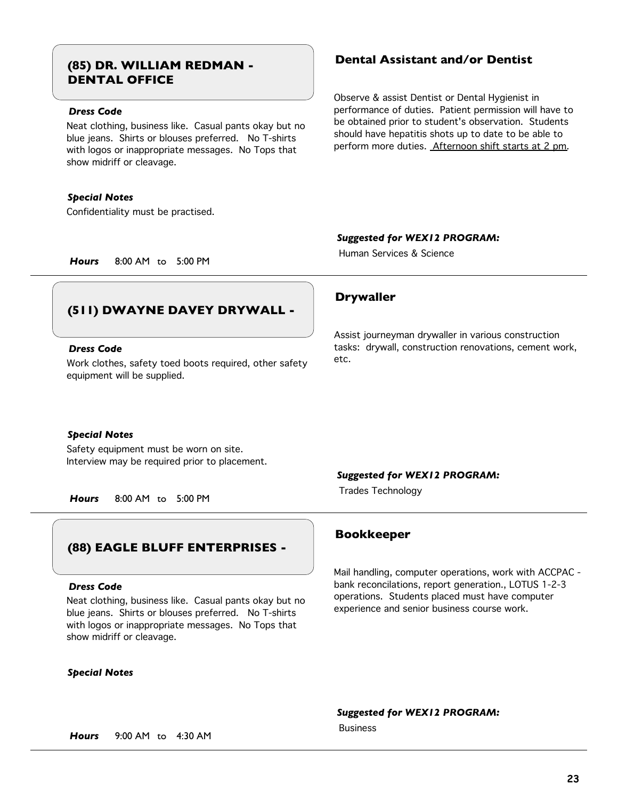# **DENTAL OFFICE**

## *Dress Code*

Neat clothing, business like. Casual pants okay but no blue jeans. Shirts or blouses preferred. No T-shirts with logos or inappropriate messages. No Tops that show midriff or cleavage.

## *Special Notes*

Confidentiality must be practised.

## **Dental Assistant and/or Dentist (85) DR. WILLIAM REDMAN -**

Observe & assist Dentist or Dental Hygienist in performance of duties. Patient permission will have to be obtained prior to student's observation. Students should have hepatitis shots up to date to be able to perform more duties. Afternoon shift starts at 2 pm.

## *Suggested for WEX12 PROGRAM:*

Assist journeyman drywaller in various construction tasks: drywall, construction renovations, cement work,

Human Services & Science

*Hours* 8:00 AM to 5:00 PM

## **(511) DWAYNE DAVEY DRYWALL -**

## *Dress Code*

Work clothes, safety toed boots required, other safety equipment will be supplied.

## *Special Notes*

Safety equipment must be worn on site. Interview may be required prior to placement.

Trades Technology *Hours* 8:00 AM to 5:00 PM

## **(88) EAGLE BLUFF ENTERPRISES -**

### *Dress Code*

Neat clothing, business like. Casual pants okay but no blue jeans. Shirts or blouses preferred. No T-shirts with logos or inappropriate messages. No Tops that show midriff or cleavage.

## *Special Notes*

*Suggested for WEX12 PROGRAM:*

etc.

**Drywaller**

## **Bookkeeper**

Mail handling, computer operations, work with ACCPAC bank reconcilations, report generation., LOTUS 1-2-3 operations. Students placed must have computer experience and senior business course work.

*Suggested for WEX12 PROGRAM:*

Business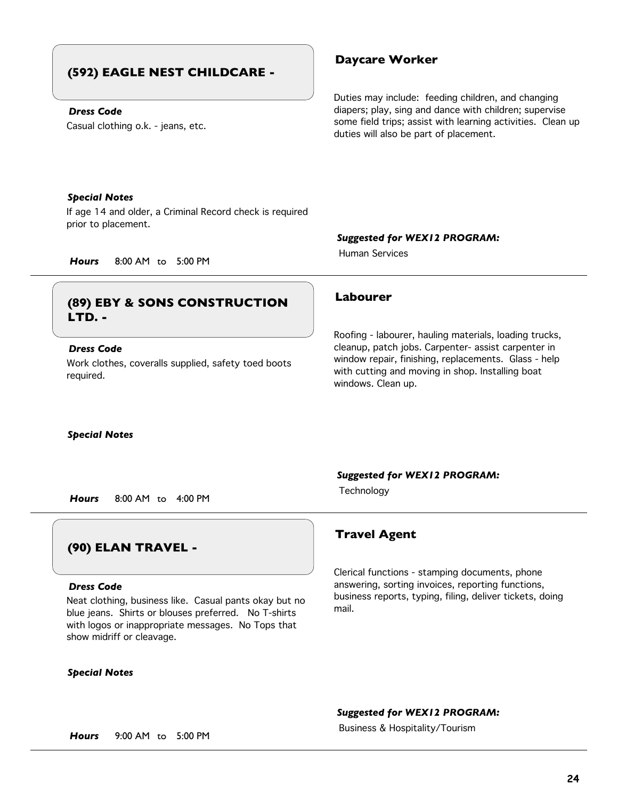## **(592) EAGLE NEST CHILDCARE -**

## *Dress Code*

Casual clothing o.k. - jeans, etc.

## **Daycare Worker**

Duties may include: feeding children, and changing diapers; play, sing and dance with children; supervise some field trips; assist with learning activities. Clean up duties will also be part of placement.

## *Special Notes*

If age 14 and older, a Criminal Record check is required prior to placement.

## *Suggested for WEX12 PROGRAM:*

Roofing - labourer, hauling materials, loading trucks, cleanup, patch jobs. Carpenter- assist carpenter in window repair, finishing, replacements. Glass - help with cutting and moving in shop. Installing boat

Human Services

*Hours* 8:00 AM to 5:00 PM

## **Labourer (89) EBY & SONS CONSTRUCTION LTD. -**

## *Dress Code*

Work clothes, coveralls supplied, safety toed boots required.

## *Special Notes*

windows. Clean up.

## *Suggested for WEX12 PROGRAM:*

Technology *Hours* 8:00 AM to 4:00 PM

## **(90) ELAN TRAVEL -**

## *Dress Code*

Neat clothing, business like. Casual pants okay but no blue jeans. Shirts or blouses preferred. No T-shirts with logos or inappropriate messages. No Tops that show midriff or cleavage.

## *Special Notes*

## **Travel Agent**

Clerical functions - stamping documents, phone answering, sorting invoices, reporting functions, business reports, typing, filing, deliver tickets, doing mail.

## *Suggested for WEX12 PROGRAM:*

Business & Hospitality/Tourism *Hours* 9:00 AM to 5:00 PM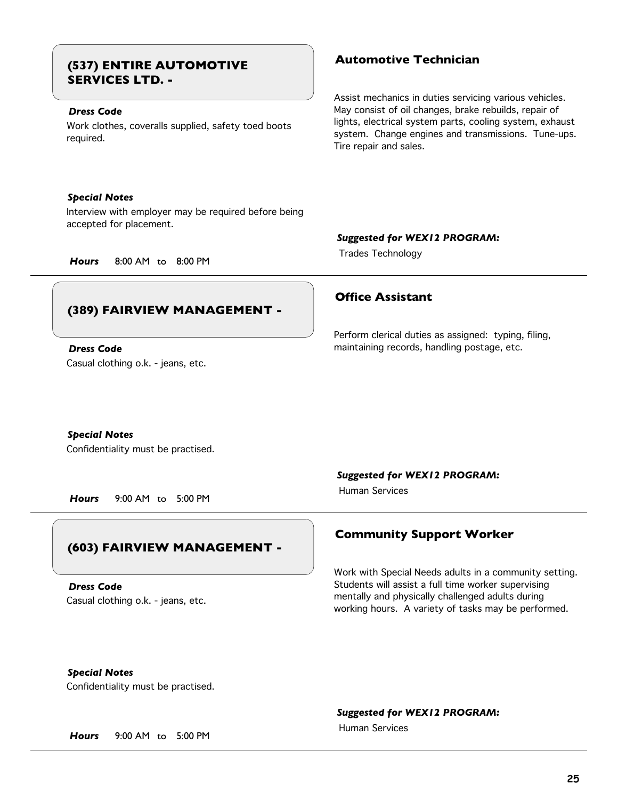## **Automotive Technician (537) ENTIRE AUTOMOTIVE SERVICES LTD. -**

## *Dress Code*

Work clothes, coveralls supplied, safety toed boots required.

## *Special Notes*

Interview with employer may be required before being accepted for placement.

Assist mechanics in duties servicing various vehicles. May consist of oil changes, brake rebuilds, repair of lights, electrical system parts, cooling system, exhaust system. Change engines and transmissions. Tune-ups. Tire repair and sales.

## *Suggested for WEX12 PROGRAM:*

Trades Technology *Hours* 8:00 AM to 8:00 PM

## **(389) FAIRVIEW MANAGEMENT -**

Casual clothing o.k. - jeans, etc. *Dress Code*

## **Office Assistant**

Perform clerical duties as assigned: typing, filing, maintaining records, handling postage, etc.

## *Special Notes*

Confidentiality must be practised.

*Hours* 9:00 AM to 5:00 PM

## **(603) FAIRVIEW MANAGEMENT -**

Casual clothing o.k. - jeans, etc. *Dress Code*

*Suggested for WEX12 PROGRAM:*

Human Services

## **Community Support Worker**

Work with Special Needs adults in a community setting. Students will assist a full time worker supervising mentally and physically challenged adults during working hours. A variety of tasks may be performed.

## *Special Notes*

Confidentiality must be practised.

## *Suggested for WEX12 PROGRAM:*

Human Services

*Hours* 9:00 AM to 5:00 PM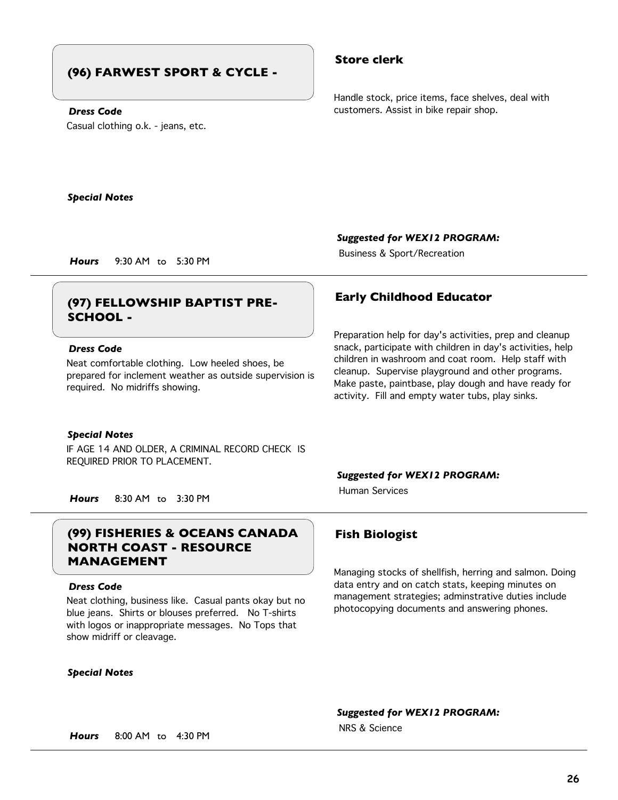## **(96) FARWEST SPORT & CYCLE -**

## *Dress Code*

Casual clothing o.k. - jeans, etc.

## **Store clerk**

Handle stock, price items, face shelves, deal with customers. Assist in bike repair shop.

*Special Notes*

*Suggested for WEX12 PROGRAM:*

Preparation help for day's activities, prep and cleanup snack, participate with children in day's activities, help children in washroom and coat room. Help staff with cleanup. Supervise playground and other programs. Make paste, paintbase, play dough and have ready for activity. Fill and empty water tubs, play sinks.

Business & Sport/Recreation *Hours* 9:30 AM to 5:30 PM

## **Early Childhood Educator (97) FELLOWSHIP BAPTIST PRE-SCHOOL -**

## *Dress Code*

Neat comfortable clothing. Low heeled shoes, be prepared for inclement weather as outside supervision is required. No midriffs showing.

### *Special Notes*

IF AGE 14 AND OLDER, A CRIMINAL RECORD CHECK IS REQUIRED PRIOR TO PLACEMENT.

*Suggested for WEX12 PROGRAM:*

Human Services

*Hours* 8:30 AM to 3:30 PM

## **(99) FISHERIES & OCEANS CANADA Fish Biologist NORTH COAST - RESOURCE MANAGEMENT**

## *Dress Code*

Neat clothing, business like. Casual pants okay but no blue jeans. Shirts or blouses preferred. No T-shirts with logos or inappropriate messages. No Tops that show midriff or cleavage.

## *Special Notes*

Managing stocks of shellfish, herring and salmon. Doing data entry and on catch stats, keeping minutes on management strategies; adminstrative duties include photocopying documents and answering phones.

*Suggested for WEX12 PROGRAM:*

NRS & Science

*Hours* 8:00 AM to 4:30 PM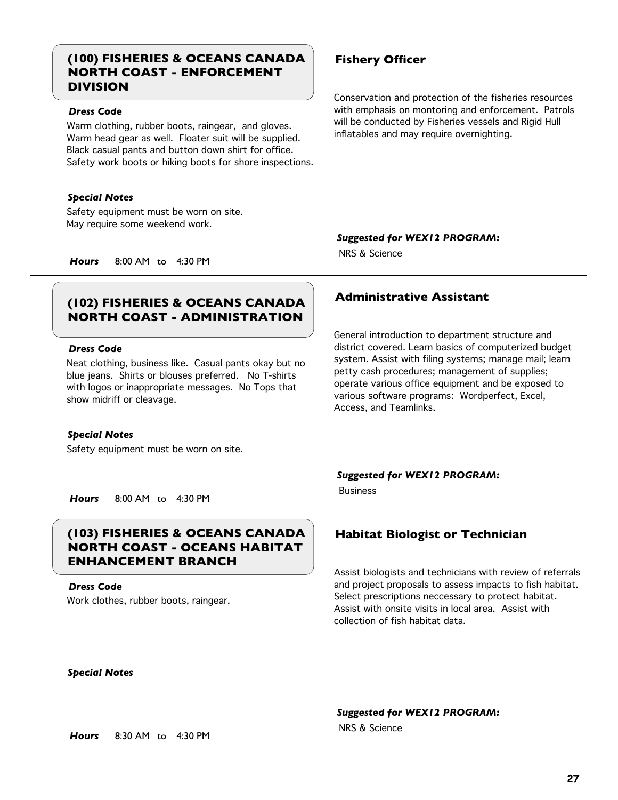## **(100) FISHERIES & OCEANS CANADA Fishery Officer NORTH COAST - ENFORCEMENT DIVISION**

## *Dress Code*

Warm clothing, rubber boots, raingear, and gloves. Warm head gear as well. Floater suit will be supplied. Black casual pants and button down shirt for office. Safety work boots or hiking boots for shore inspections.

## *Special Notes*

Safety equipment must be worn on site. May require some weekend work.

Conservation and protection of the fisheries resources with emphasis on montoring and enforcement. Patrols will be conducted by Fisheries vessels and Rigid Hull inflatables and may require overnighting.

## *Suggested for WEX12 PROGRAM:*

NRS & Science

*Hours* 8:00 AM to 4:30 PM

## **Administrative Assistant (102) FISHERIES & OCEANS CANADA NORTH COAST - ADMINISTRATION**

## *Dress Code*

Neat clothing, business like. Casual pants okay but no blue jeans. Shirts or blouses preferred. No T-shirts with logos or inappropriate messages. No Tops that show midriff or cleavage.

## *Special Notes*

Safety equipment must be worn on site.

## district covered. Learn basics of computerized budget

system. Assist with filing systems; manage mail; learn petty cash procedures; management of supplies; operate various office equipment and be exposed to various software programs: Wordperfect, Excel, Access, and Teamlinks.

General introduction to department structure and

## *Suggested for WEX12 PROGRAM:*

Business

*Hours* 8:00 AM to 4:30 PM

## **(103) FISHERIES & OCEANS CANADA Habitat Biologist or Technician NORTH COAST - OCEANS HABITAT ENHANCEMENT BRANCH**

*Dress Code*

Work clothes, rubber boots, raingear.

Assist biologists and technicians with review of referrals and project proposals to assess impacts to fish habitat. Select prescriptions neccessary to protect habitat. Assist with onsite visits in local area. Assist with collection of fish habitat data.

## *Special Notes*

## *Suggested for WEX12 PROGRAM:*

NRS & Science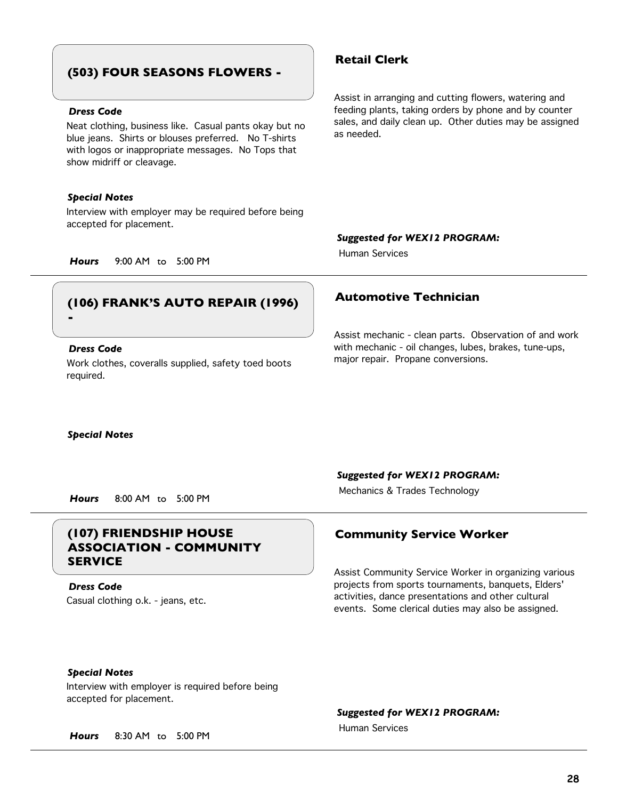## **(503) FOUR SEASONS FLOWERS -**

## *Dress Code*

Neat clothing, business like. Casual pants okay but no blue jeans. Shirts or blouses preferred. No T-shirts with logos or inappropriate messages. No Tops that show midriff or cleavage.

## *Special Notes*

Interview with employer may be required before being accepted for placement.

## **Retail Clerk**

Assist in arranging and cutting flowers, watering and feeding plants, taking orders by phone and by counter sales, and daily clean up. Other duties may be assigned as needed.

## *Suggested for WEX12 PROGRAM:*

Human Services

*Hours* 9:00 AM to 5:00 PM

## **Automotive Technician (106) FRANK'S AUTO REPAIR (1996) -**

## *Dress Code*

Work clothes, coveralls supplied, safety toed boots required.

Assist mechanic - clean parts. Observation of and work with mechanic - oil changes, lubes, brakes, tune-ups, major repair. Propane conversions.

*Special Notes*

*Suggested for WEX12 PROGRAM:*

Mechanics & Trades Technology *Hours* 8:00 AM to 5:00 PM

## **(107) FRIENDSHIP HOUSE Community Service Worker ASSOCIATION - COMMUNITY SERVICE**

Casual clothing o.k. - jeans, etc. *Dress Code*

Assist Community Service Worker in organizing various projects from sports tournaments, banquets, Elders' activities, dance presentations and other cultural events. Some clerical duties may also be assigned.

## *Special Notes*

Interview with employer is required before being accepted for placement.

## *Suggested for WEX12 PROGRAM:*

Human Services

*Hours* 8:30 AM to 5:00 PM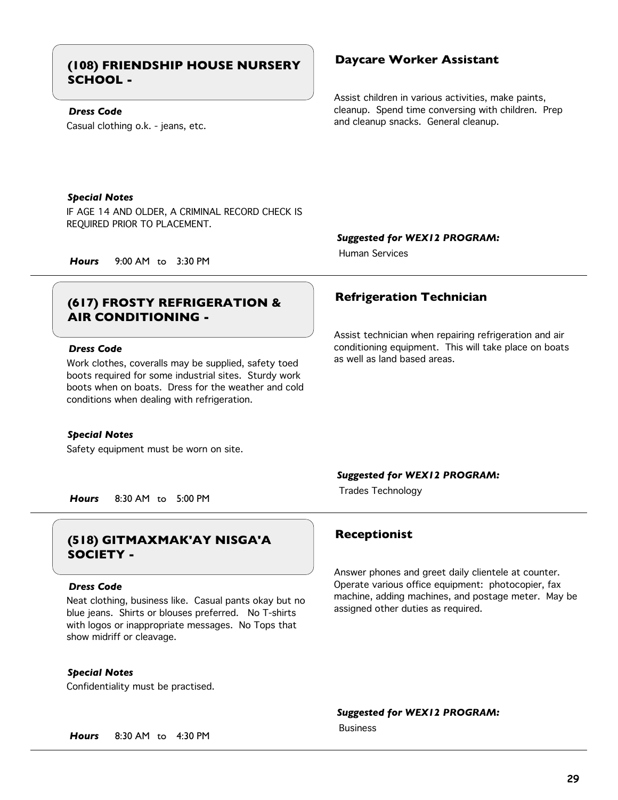## **Daycare Worker Assistant (108) FRIENDSHIP HOUSE NURSERY SCHOOL -**

## *Dress Code*

Casual clothing o.k. - jeans, etc.

Assist children in various activities, make paints, cleanup. Spend time conversing with children. Prep and cleanup snacks. General cleanup.

## *Special Notes*

IF AGE 14 AND OLDER, A CRIMINAL RECORD CHECK IS REQUIRED PRIOR TO PLACEMENT.

*Suggested for WEX12 PROGRAM:*

Human Services

*Hours* 9:00 AM to 3:30 PM

## **Refrigeration Technician (617) FROSTY REFRIGERATION & AIR CONDITIONING -**

## *Dress Code*

Work clothes, coveralls may be supplied, safety toed boots required for some industrial sites. Sturdy work boots when on boats. Dress for the weather and cold conditions when dealing with refrigeration.

## *Special Notes*

Safety equipment must be worn on site.

Assist technician when repairing refrigeration and air conditioning equipment. This will take place on boats as well as land based areas.

## *Suggested for WEX12 PROGRAM:*

Trades Technology *Hours* 8:30 AM to 5:00 PM

## **Receptionist (518) GITMAXMAK'AY NISGA'A SOCIETY -**

### *Dress Code*

Neat clothing, business like. Casual pants okay but no blue jeans. Shirts or blouses preferred. No T-shirts with logos or inappropriate messages. No Tops that show midriff or cleavage.

*Special Notes*

Confidentiality must be practised.

Answer phones and greet daily clientele at counter. Operate various office equipment: photocopier, fax machine, adding machines, and postage meter. May be assigned other duties as required.

*Suggested for WEX12 PROGRAM:*

Business

*Hours* 8:30 AM to 4:30 PM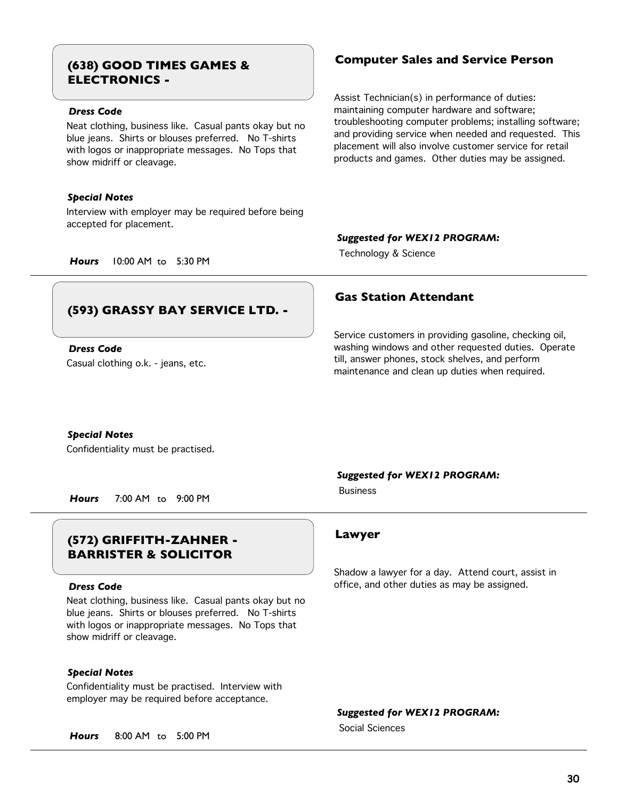# **ELECTRONICS -**

## *Dress Code*

Neat clothing, business like. Casual pants okay but no blue jeans. Shirts or blouses preferred. No T-shirts with logos or inappropriate messages. No Tops that show midriff or cleavage.

## *Special Notes*

Interview with employer may be required before being accepted for placement.

## **Computer Sales and Service Person (638) GOOD TIMES GAMES &**

Assist Technician(s) in performance of duties: maintaining computer hardware and software; troubleshooting computer problems; installing software; and providing service when needed and requested. This placement will also involve customer service for retail products and games. Other duties may be assigned.

## *Suggested for WEX12 PROGRAM:*

Technology & Science *Hours* 10:00 AM to 5:30 PM

## **(593) GRASSY BAY SERVICE LTD. -**

Casual clothing o.k. - jeans, etc. *Dress Code*

## **Gas Station Attendant**

Service customers in providing gasoline, checking oil, washing windows and other requested duties. Operate till, answer phones, stock shelves, and perform maintenance and clean up duties when required.

## *Special Notes*

Confidentiality must be practised.

*Hours* 7:00 AM to 9:00 PM

## **Lawyer (572) GRIFFITH-ZAHNER - BARRISTER & SOLICITOR**

## *Dress Code*

Neat clothing, business like. Casual pants okay but no blue jeans. Shirts or blouses preferred. No T-shirts with logos or inappropriate messages. No Tops that show midriff or cleavage.

## *Special Notes*

Confidentiality must be practised. Interview with employer may be required before acceptance.

*Hours* 8:00 AM to 5:00 PM

## *Suggested for WEX12 PROGRAM:*

Business

Shadow a lawyer for a day. Attend court, assist in office, and other duties as may be assigned.

*Suggested for WEX12 PROGRAM:*

Social Sciences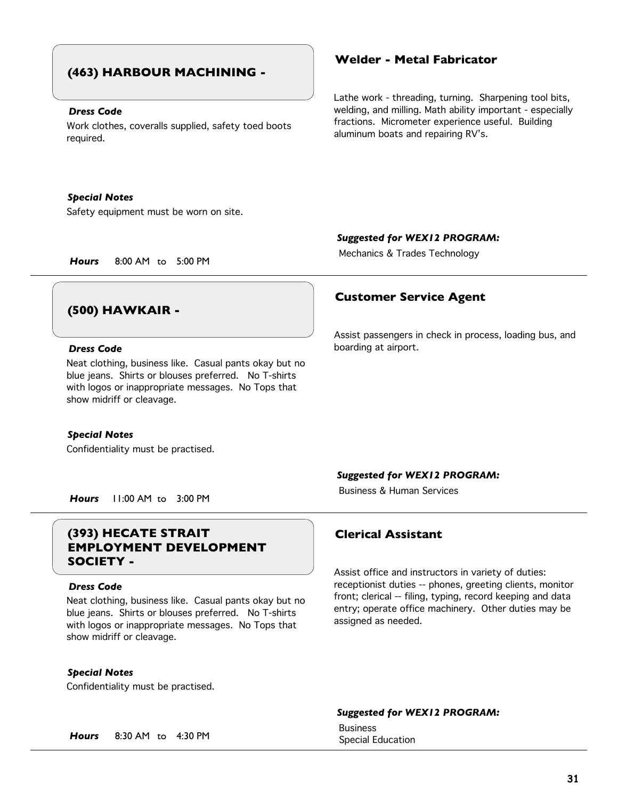## **(463) HARBOUR MACHINING -**

## *Dress Code*

Work clothes, coveralls supplied, safety toed boots required.

## *Special Notes*

Safety equipment must be worn on site.

## **Welder - Metal Fabricator**

Lathe work - threading, turning. Sharpening tool bits, welding, and milling. Math ability important - especially fractions. Micrometer experience useful. Building aluminum boats and repairing RV's.

## *Suggested for WEX12 PROGRAM:*

Mechanics & Trades Technology *Hours* 8:00 AM to 5:00 PM

## **(500) HAWKAIR -**

## *Dress Code*

Neat clothing, business like. Casual pants okay but no blue jeans. Shirts or blouses preferred. No T-shirts with logos or inappropriate messages. No Tops that show midriff or cleavage.

### *Special Notes*

Confidentiality must be practised.

## **Customer Service Agent**

Assist passengers in check in process, loading bus, and boarding at airport.

## *Suggested for WEX12 PROGRAM:*

Business & Human Services

*Hours* 11:00 AM to 3:00 PM

## **(393) HECATE STRAIT Clerical Assistant EMPLOYMENT DEVELOPMENT SOCIETY -**

### *Dress Code*

Neat clothing, business like. Casual pants okay but no blue jeans. Shirts or blouses preferred. No T-shirts with logos or inappropriate messages. No Tops that show midriff or cleavage.

## *Special Notes*

Confidentiality must be practised.

Assist office and instructors in variety of duties: receptionist duties -- phones, greeting clients, monitor front; clerical -- filing, typing, record keeping and data entry; operate office machinery. Other duties may be assigned as needed.

## *Suggested for WEX12 PROGRAM:*

Business

**Hours** 8:30 AM to 4:30 PM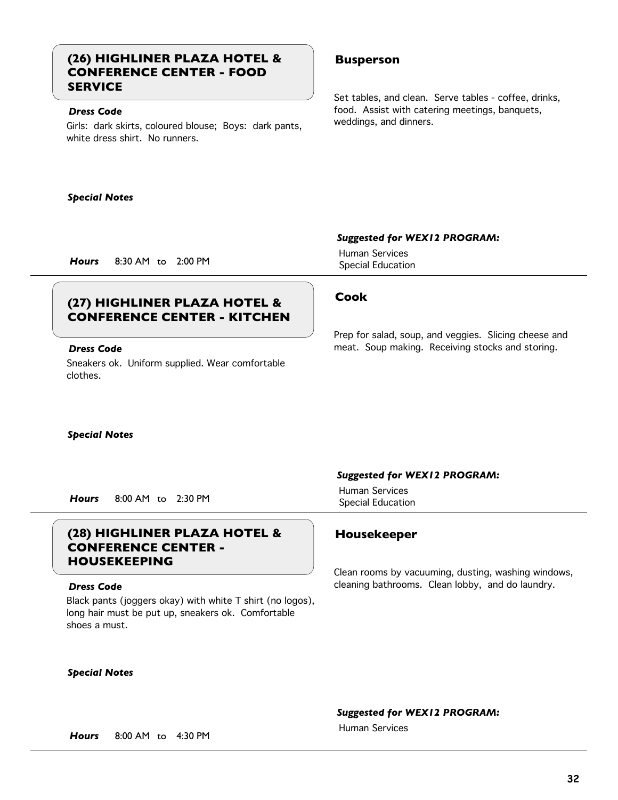## **(26) HIGHLINER PLAZA HOTEL & Busperson CONFERENCE CENTER - FOOD SERVICE**

## *Dress Code*

Girls: dark skirts, coloured blouse; Boys: dark pants, white dress shirt. No runners.

Set tables, and clean. Serve tables - coffee, drinks, food. Assist with catering meetings, banquets, weddings, and dinners.

## *Special Notes*

## **Cook (27) HIGHLINER PLAZA HOTEL & CONFERENCE CENTER - KITCHEN**

## *Dress Code*

Sneakers ok. Uniform supplied. Wear comfortable clothes.

*Special Notes*

Special Education *Hours* 8:00 AM to 2:30 PM

## **(28) HIGHLINER PLAZA HOTEL & Housekeeper CONFERENCE CENTER - HOUSEKEEPING**

## *Dress Code*

Black pants (joggers okay) with white T shirt (no logos), long hair must be put up, sneakers ok. Comfortable shoes a must.

## *Special Notes*

## *Suggested for WEX12 PROGRAM:*

Human Services

*Suggested for WEX12 PROGRAM:*

Human Services Special Education *Hours* 8:30 AM to 2:00 PM

Prep for salad, soup, and veggies. Slicing cheese and meat. Soup making. Receiving stocks and storing.

## *Suggested for WEX12 PROGRAM:* Human Services

Clean rooms by vacuuming, dusting, washing windows, cleaning bathrooms. Clean lobby, and do laundry.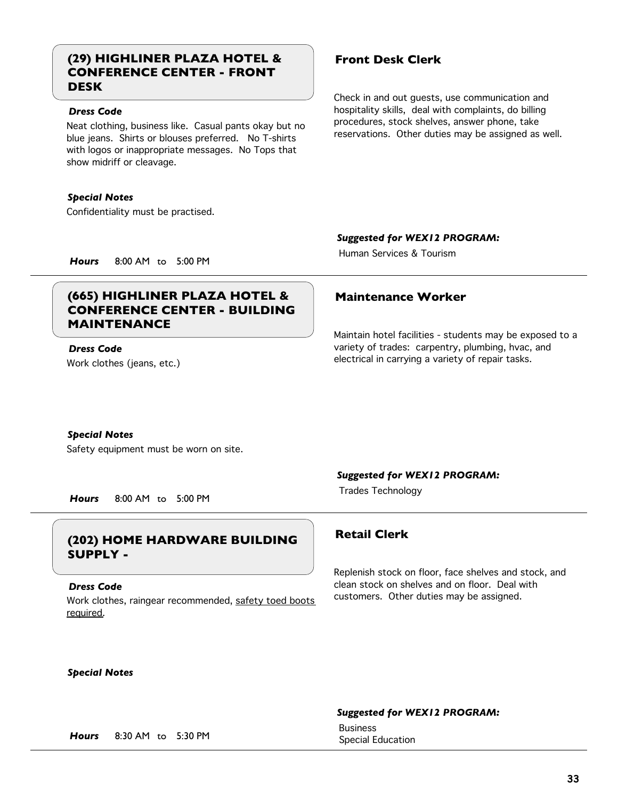## **(29) HIGHLINER PLAZA HOTEL & Front Desk Clerk CONFERENCE CENTER - FRONT DESK**

## *Dress Code*

Neat clothing, business like. Casual pants okay but no blue jeans. Shirts or blouses preferred. No T-shirts with logos or inappropriate messages. No Tops that show midriff or cleavage.

## *Special Notes*

Confidentiality must be practised.

Check in and out guests, use communication and hospitality skills, deal with complaints, do billing procedures, stock shelves, answer phone, take reservations. Other duties may be assigned as well.

## *Suggested for WEX12 PROGRAM:*

Human Services & Tourism

*Hours* 8:00 AM to 5:00 PM

## **(665) HIGHLINER PLAZA HOTEL & Maintenance Worker CONFERENCE CENTER - BUILDING MAINTENANCE**

## *Dress Code*

Work clothes (jeans, etc.)

Maintain hotel facilities - students may be exposed to a variety of trades: carpentry, plumbing, hvac, and electrical in carrying a variety of repair tasks.

## *Special Notes*

Safety equipment must be worn on site.

## *Suggested for WEX12 PROGRAM:*

Trades Technology *Hours* 8:00 AM to 5:00 PM

## **Retail Clerk (202) HOME HARDWARE BUILDING SUPPLY -**

## *Dress Code*

Work clothes, raingear recommended, safety toed boots required.

Replenish stock on floor, face shelves and stock, and clean stock on shelves and on floor. Deal with customers. Other duties may be assigned.

## *Special Notes*

## *Suggested for WEX12 PROGRAM:*

Business

Special Education *Hours* 8:30 AM to 5:30 PM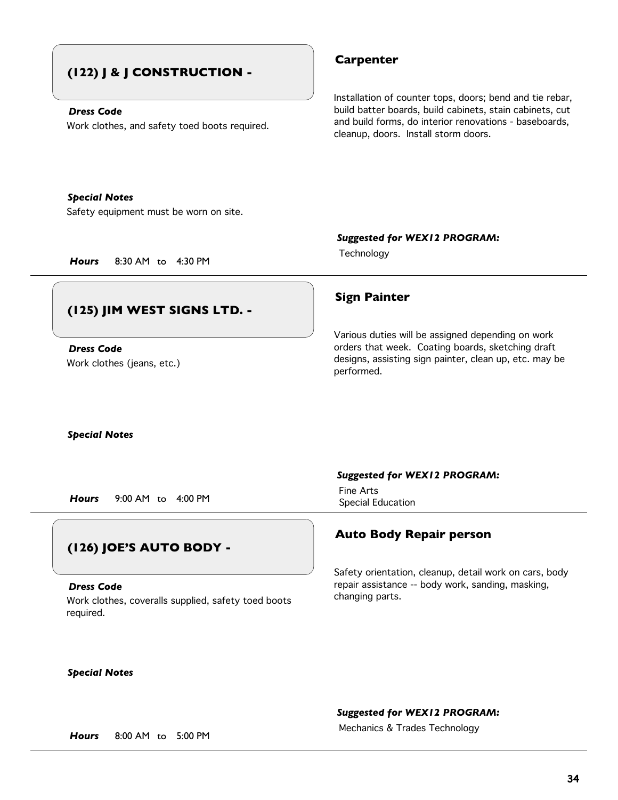## **(122) J & J CONSTRUCTION -**

## *Dress Code*

Work clothes, and safety toed boots required.

## **Carpenter**

Installation of counter tops, doors; bend and tie rebar, build batter boards, build cabinets, stain cabinets, cut and build forms, do interior renovations - baseboards, cleanup, doors. Install storm doors.

## *Special Notes*

Safety equipment must be worn on site.

*Suggested for WEX12 PROGRAM:*

Technology *Hours* 8:30 AM to 4:30 PM

## **(125) JIM WEST SIGNS LTD. -**

Work clothes (jeans, etc.) *Dress Code*

## **Sign Painter**

Various duties will be assigned depending on work orders that week. Coating boards, sketching draft designs, assisting sign painter, clean up, etc. may be performed.

*Special Notes*

Special Education *Hours* 9:00 AM to 4:00 PM

## **(126) JOE'S AUTO BODY -**

Work clothes, coveralls supplied, safety toed boots required. *Dress Code*

## *Suggested for WEX12 PROGRAM:*

Fine Arts

## **Auto Body Repair person**

Safety orientation, cleanup, detail work on cars, body repair assistance -- body work, sanding, masking, changing parts.

*Special Notes*

## *Suggested for WEX12 PROGRAM:*

Mechanics & Trades Technology *Hours* 8:00 AM to 5:00 PM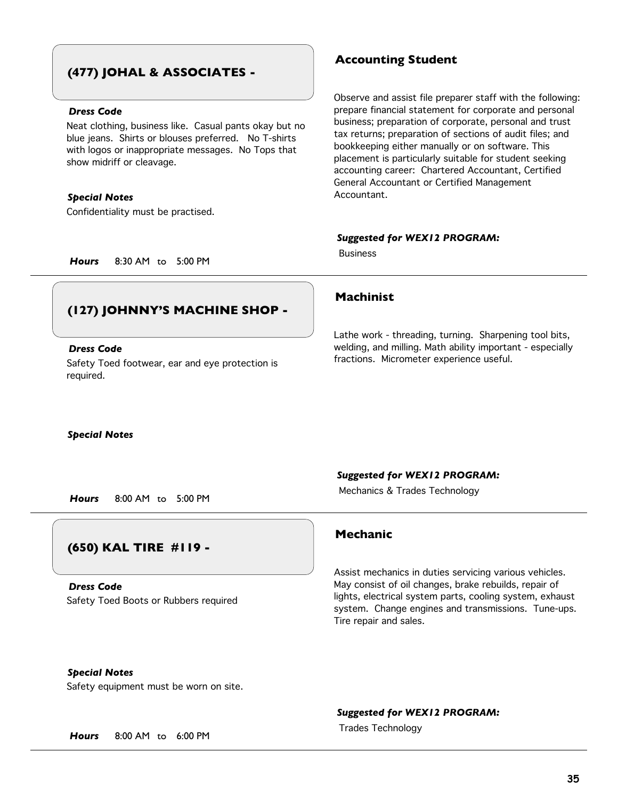## **(477) JOHAL & ASSOCIATES -**

## *Dress Code*

Neat clothing, business like. Casual pants okay but no blue jeans. Shirts or blouses preferred. No T-shirts with logos or inappropriate messages. No Tops that show midriff or cleavage.

## *Special Notes*

Confidentiality must be practised.

## **Accounting Student**

Observe and assist file preparer staff with the following: prepare financial statement for corporate and personal business; preparation of corporate, personal and trust tax returns; preparation of sections of audit files; and bookkeeping either manually or on software. This placement is particularly suitable for student seeking accounting career: Chartered Accountant, Certified General Accountant or Certified Management Accountant.

## *Suggested for WEX12 PROGRAM:*

Business

*Hours* 8:30 AM to 5:00 PM

## **(127) JOHNNY'S MACHINE SHOP -**

## *Dress Code*

Safety Toed footwear, ear and eye protection is required.

## **Machinist**

Lathe work - threading, turning. Sharpening tool bits, welding, and milling. Math ability important - especially fractions. Micrometer experience useful.

## *Special Notes*

## *Suggested for WEX12 PROGRAM:*

Mechanics & Trades Technology *Hours* 8:00 AM to 5:00 PM

## **(650) KAL TIRE #119 -**

Safety Toed Boots or Rubbers required *Dress Code*

## **Mechanic**

Assist mechanics in duties servicing various vehicles. May consist of oil changes, brake rebuilds, repair of lights, electrical system parts, cooling system, exhaust system. Change engines and transmissions. Tune-ups. Tire repair and sales.

## *Special Notes*

Safety equipment must be worn on site.

## *Suggested for WEX12 PROGRAM:*

Trades Technology *Hours* 8:00 AM to 6:00 PM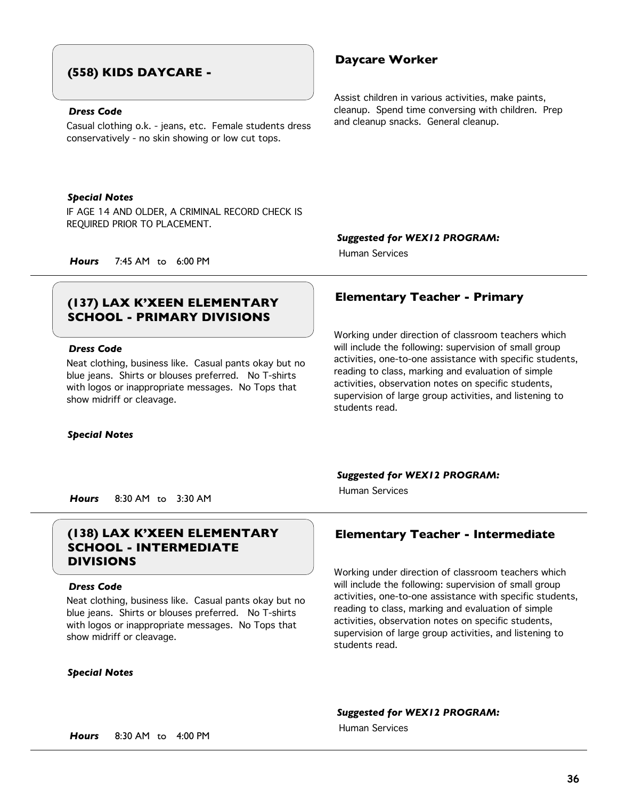## **(558) KIDS DAYCARE -**

## *Dress Code*

Casual clothing o.k. - jeans, etc. Female students dress conservatively - no skin showing or low cut tops.

## *Special Notes*

IF AGE 14 AND OLDER, A CRIMINAL RECORD CHECK IS REQUIRED PRIOR TO PLACEMENT.

*Suggested for WEX12 PROGRAM:*

Human Services

*Hours* 7:45 AM to 6:00 PM

# **SCHOOL - PRIMARY DIVISIONS**

## *Dress Code*

Neat clothing, business like. Casual pants okay but no blue jeans. Shirts or blouses preferred. No T-shirts with logos or inappropriate messages. No Tops that show midriff or cleavage.

### *Special Notes*

### *Suggested for WEX12 PROGRAM:*

Human Services

*Hours* 8:30 AM to 3:30 AM

## **(138) LAX K'XEEN ELEMENTARY Elementary Teacher - Intermediate SCHOOL - INTERMEDIATE DIVISIONS**

### *Dress Code*

Neat clothing, business like. Casual pants okay but no blue jeans. Shirts or blouses preferred. No T-shirts with logos or inappropriate messages. No Tops that show midriff or cleavage.

## *Special Notes*

Working under direction of classroom teachers which will include the following: supervision of small group activities, one-to-one assistance with specific students, reading to class, marking and evaluation of simple activities, observation notes on specific students, supervision of large group activities, and listening to students read.

## *Suggested for WEX12 PROGRAM:*

Human Services

## **Daycare Worker**

Assist children in various activities, make paints, cleanup. Spend time conversing with children. Prep and cleanup snacks. General cleanup.

## **Elementary Teacher - Primary (137) LAX K'XEEN ELEMENTARY**

Working under direction of classroom teachers which will include the following: supervision of small group activities, one-to-one assistance with specific students, reading to class, marking and evaluation of simple activities, observation notes on specific students, supervision of large group activities, and listening to students read.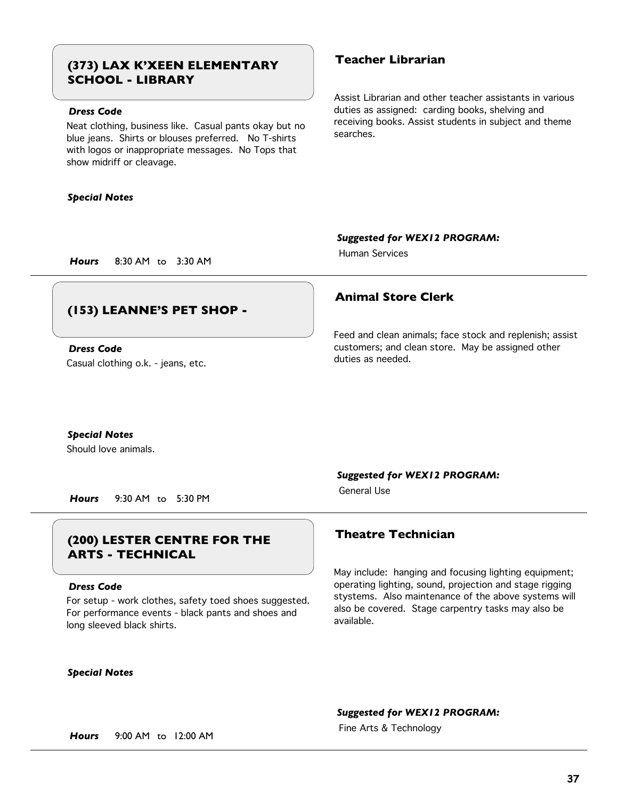# **Teacher Librarian (373) LAX K'XEEN ELEMENTARY SCHOOL - LIBRARY**

## *Dress Code*

Neat clothing, business like. Casual pants okay but no blue jeans. Shirts or blouses preferred. No T-shirts with logos or inappropriate messages. No Tops that show midriff or cleavage.

#### *Special Notes*

Assist Librarian and other teacher assistants in various duties as assigned: carding books, shelving and receiving books. Assist students in subject and theme searches.

*Suggested for WEX12 PROGRAM:*

Human Services

## **(153) LEANNE'S PET SHOP -**

Casual clothing o.k. - jeans, etc. *Dress Code*

*Hours* 8:30 AM to 3:30 AM

## **Animal Store Clerk**

Feed and clean animals; face stock and replenish; assist customers; and clean store. May be assigned other duties as needed.

*Special Notes*

Should love animals.

*Hours* 9:30 AM to 5:30 PM

# **Theatre Technician (200) LESTER CENTRE FOR THE ARTS - TECHNICAL**

#### *Dress Code*

For setup - work clothes, safety toed shoes suggested. For performance events - black pants and shoes and long sleeved black shirts.

### *Special Notes*

*Suggested for WEX12 PROGRAM:*

General Use

May include: hanging and focusing lighting equipment; operating lighting, sound, projection and stage rigging stystems. Also maintenance of the above systems will also be covered. Stage carpentry tasks may also be available.

### *Suggested for WEX12 PROGRAM:*

Fine Arts & Technology *Hours* 9:00 AM to 12:00 AM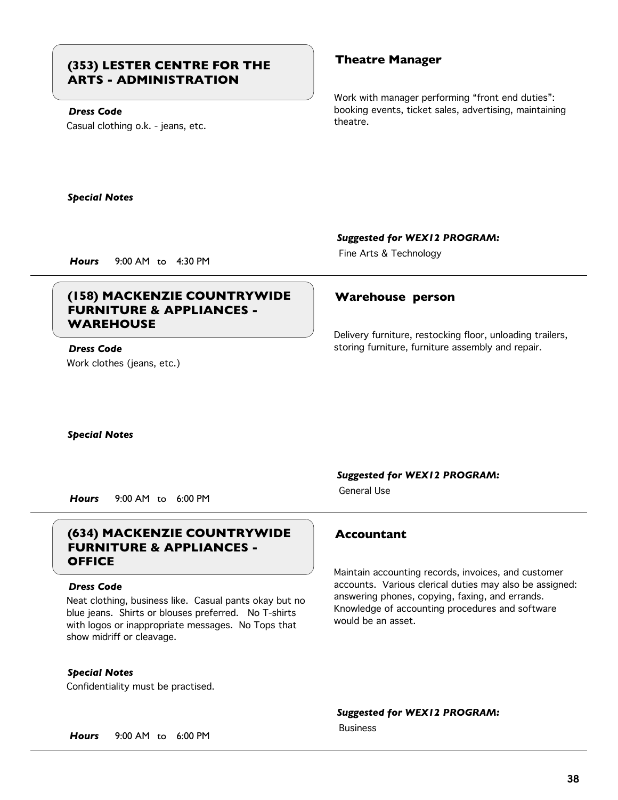# **Theatre Manager (353) LESTER CENTRE FOR THE ARTS - ADMINISTRATION**

## *Dress Code*

Casual clothing o.k. - jeans, etc.

Work with manager performing "front end duties": booking events, ticket sales, advertising, maintaining theatre.

*Special Notes*

### *Suggested for WEX12 PROGRAM:*

Fine Arts & Technology *Hours* 9:00 AM to 4:30 PM

# **(158) MACKENZIE COUNTRYWIDE Warehouse person FURNITURE & APPLIANCES - WAREHOUSE**

## Work clothes (jeans, etc.) *Dress Code*

Delivery furniture, restocking floor, unloading trailers, storing furniture, furniture assembly and repair.

*Special Notes*

*Hours* 9:00 AM to 6:00 PM

# **(634) MACKENZIE COUNTRYWIDE Accountant FURNITURE & APPLIANCES - OFFICE**

### *Dress Code*

Neat clothing, business like. Casual pants okay but no blue jeans. Shirts or blouses preferred. No T-shirts with logos or inappropriate messages. No Tops that show midriff or cleavage.

*Special Notes*

Confidentiality must be practised.

### *Suggested for WEX12 PROGRAM:*

General Use

Maintain accounting records, invoices, and customer accounts. Various clerical duties may also be assigned: answering phones, copying, faxing, and errands. Knowledge of accounting procedures and software would be an asset.

*Suggested for WEX12 PROGRAM:*

Business

*Hours* 9:00 AM to 6:00 PM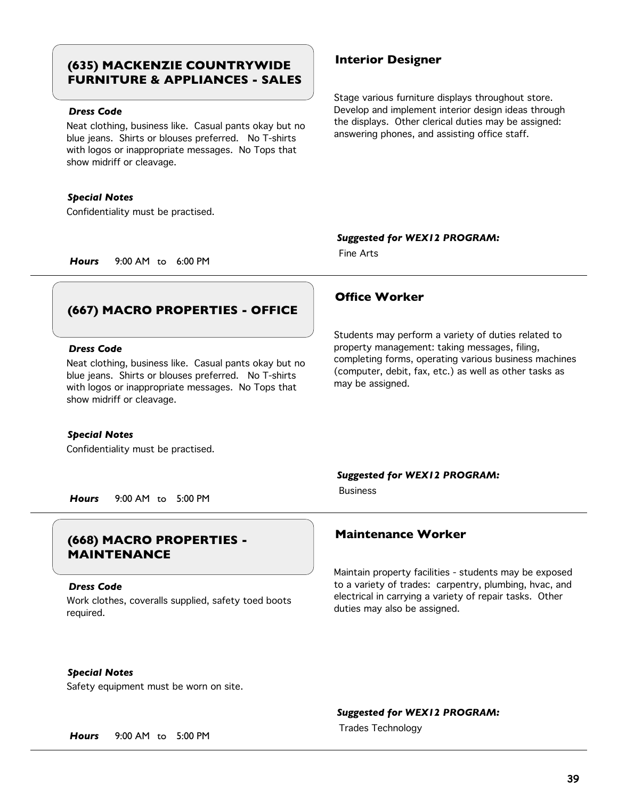# **Interior Designer (635) MACKENZIE COUNTRYWIDE FURNITURE & APPLIANCES - SALES**

### *Dress Code*

Neat clothing, business like. Casual pants okay but no blue jeans. Shirts or blouses preferred. No T-shirts with logos or inappropriate messages. No Tops that show midriff or cleavage.

#### *Special Notes*

Confidentiality must be practised.

Stage various furniture displays throughout store. Develop and implement interior design ideas through the displays. Other clerical duties may be assigned: answering phones, and assisting office staff.

#### *Suggested for WEX12 PROGRAM:*

Fine Arts

*Hours* 9:00 AM to 6:00 PM

# **(667) MACRO PROPERTIES - OFFICE**

#### *Dress Code*

Neat clothing, business like. Casual pants okay but no blue jeans. Shirts or blouses preferred. No T-shirts with logos or inappropriate messages. No Tops that show midriff or cleavage.

#### *Special Notes*

Confidentiality must be practised.

## **Office Worker**

Students may perform a variety of duties related to property management: taking messages, filing, completing forms, operating various business machines (computer, debit, fax, etc.) as well as other tasks as may be assigned.

### *Suggested for WEX12 PROGRAM:*

Business

*Hours* 9:00 AM to 5:00 PM

# **Maintenance Worker (668) MACRO PROPERTIES - MAINTENANCE**

#### *Dress Code*

Work clothes, coveralls supplied, safety toed boots required.

Maintain property facilities - students may be exposed to a variety of trades: carpentry, plumbing, hvac, and electrical in carrying a variety of repair tasks. Other duties may also be assigned.

### *Special Notes*

Safety equipment must be worn on site.

#### *Suggested for WEX12 PROGRAM:*

Trades Technology *Hours* 9:00 AM to 5:00 PM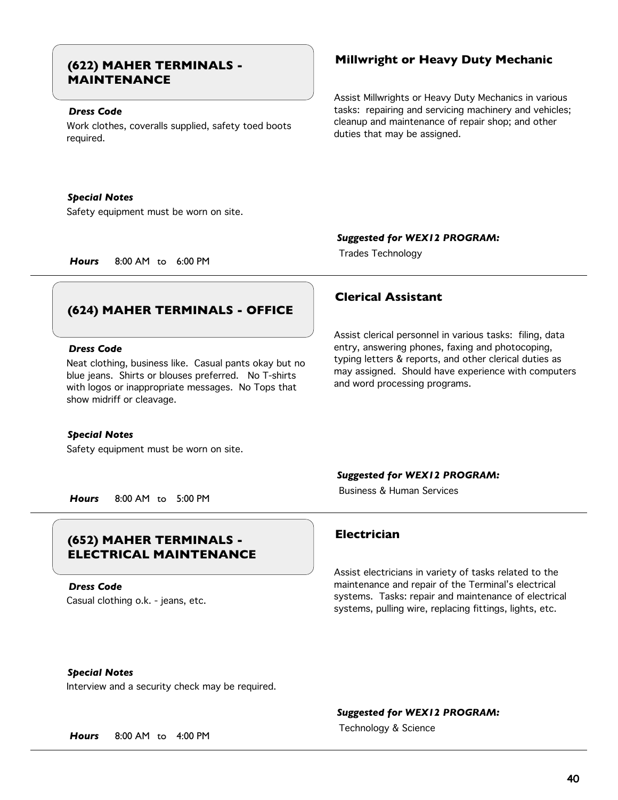# **MAINTENANCE**

### *Dress Code*

Work clothes, coveralls supplied, safety toed boots required.

#### *Special Notes*

Safety equipment must be worn on site.

# **Millwright or Heavy Duty Mechanic (622) MAHER TERMINALS -**

Assist Millwrights or Heavy Duty Mechanics in various tasks: repairing and servicing machinery and vehicles; cleanup and maintenance of repair shop; and other duties that may be assigned.

#### *Suggested for WEX12 PROGRAM:*

Trades Technology *Hours* 8:00 AM to 6:00 PM

# **(624) MAHER TERMINALS - OFFICE**

#### *Dress Code*

Neat clothing, business like. Casual pants okay but no blue jeans. Shirts or blouses preferred. No T-shirts with logos or inappropriate messages. No Tops that show midriff or cleavage.

#### *Special Notes*

Safety equipment must be worn on site.

## **Clerical Assistant**

Assist clerical personnel in various tasks: filing, data entry, answering phones, faxing and photocoping, typing letters & reports, and other clerical duties as may assigned. Should have experience with computers and word processing programs.

#### *Suggested for WEX12 PROGRAM:*

Business & Human Services

*Hours* 8:00 AM to 5:00 PM

# **Electrician (652) MAHER TERMINALS - ELECTRICAL MAINTENANCE**

Casual clothing o.k. - jeans, etc. *Dress Code*

Assist electricians in variety of tasks related to the maintenance and repair of the Terminal's electrical systems. Tasks: repair and maintenance of electrical systems, pulling wire, replacing fittings, lights, etc.

### *Special Notes*

Interview and a security check may be required.

#### *Suggested for WEX12 PROGRAM:*

Technology & Science *Hours* 8:00 AM to 4:00 PM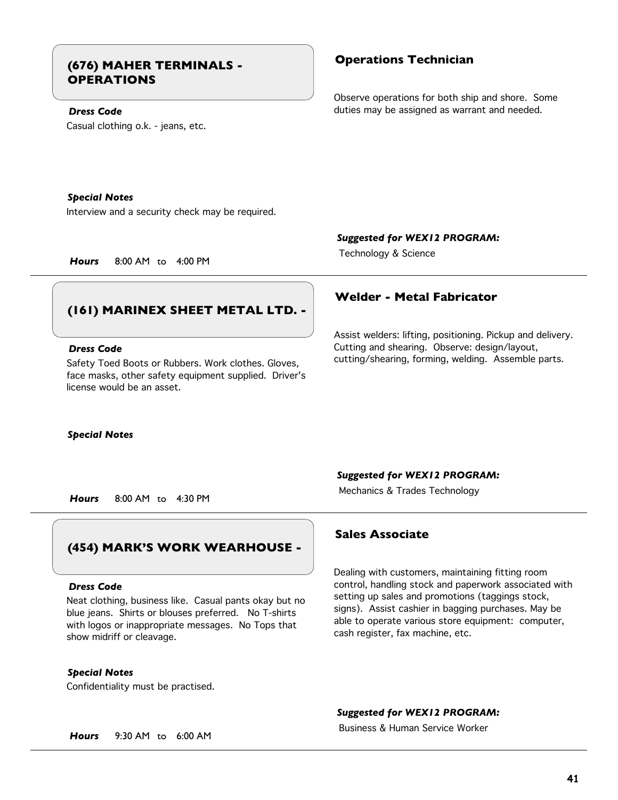# **Operations Technician (676) MAHER TERMINALS - OPERATIONS**

# *Dress Code*

Casual clothing o.k. - jeans, etc.

Observe operations for both ship and shore. Some duties may be assigned as warrant and needed.

#### *Special Notes*

Interview and a security check may be required.

*Suggested for WEX12 PROGRAM:*

Technology & Science *Hours* 8:00 AM to 4:00 PM

**Welder - Metal Fabricator**

# **(161) MARINEX SHEET METAL LTD. -**

#### *Dress Code*

Safety Toed Boots or Rubbers. Work clothes. Gloves, face masks, other safety equipment supplied. Driver's license would be an asset.

#### *Special Notes*

# Cutting and shearing. Observe: design/layout,

cutting/shearing, forming, welding. Assemble parts.

Assist welders: lifting, positioning. Pickup and delivery.

# Mechanics & Trades Technology *Hours* 8:00 AM to 4:30 PM

# **(454) MARK'S WORK WEARHOUSE -**

#### *Dress Code*

Neat clothing, business like. Casual pants okay but no blue jeans. Shirts or blouses preferred. No T-shirts with logos or inappropriate messages. No Tops that show midriff or cleavage.

## *Special Notes*

Confidentiality must be practised.

## *Suggested for WEX12 PROGRAM:*

## **Sales Associate**

Dealing with customers, maintaining fitting room control, handling stock and paperwork associated with setting up sales and promotions (taggings stock, signs). Assist cashier in bagging purchases. May be able to operate various store equipment: computer, cash register, fax machine, etc.

### *Suggested for WEX12 PROGRAM:*

Business & Human Service Worker

*Hours* 9:30 AM to 6:00 AM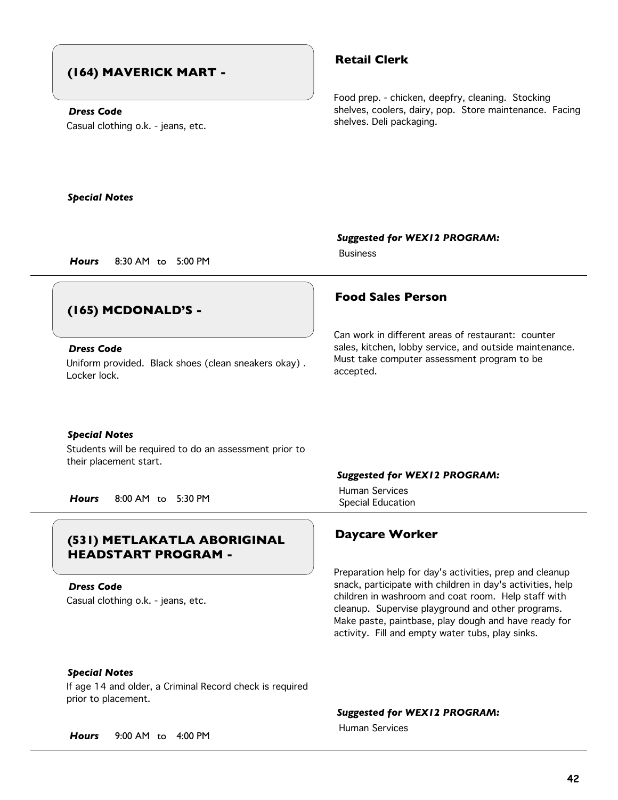# **(164) MAVERICK MART -**

# *Dress Code*

Casual clothing o.k. - jeans, etc.

# **Retail Clerk**

Food prep. - chicken, deepfry, cleaning. Stocking shelves, coolers, dairy, pop. Store maintenance. Facing shelves. Deli packaging.

*Special Notes*

## *Suggested for WEX12 PROGRAM:*

Business

*Hours* 8:30 AM to 5:00 PM

# **(165) MCDONALD'S -**

## *Dress Code*

Uniform provided. Black shoes (clean sneakers okay) . Locker lock.

# **Food Sales Person**

Can work in different areas of restaurant: counter sales, kitchen, lobby service, and outside maintenance. Must take computer assessment program to be accepted.

### *Special Notes*

Students will be required to do an assessment prior to their placement start.

Special Education *Hours* 8:00 AM to 5:30 PM

# **Daycare Worker (531) METLAKATLA ABORIGINAL HEADSTART PROGRAM -**

Casual clothing o.k. - jeans, etc. *Dress Code*

### *Suggested for WEX12 PROGRAM:*

Human Services

Preparation help for day's activities, prep and cleanup snack, participate with children in day's activities, help children in washroom and coat room. Help staff with cleanup. Supervise playground and other programs. Make paste, paintbase, play dough and have ready for activity. Fill and empty water tubs, play sinks.

## *Special Notes*

If age 14 and older, a Criminal Record check is required prior to placement.

*Suggested for WEX12 PROGRAM:*

Human Services

*Hours* 9:00 AM to 4:00 PM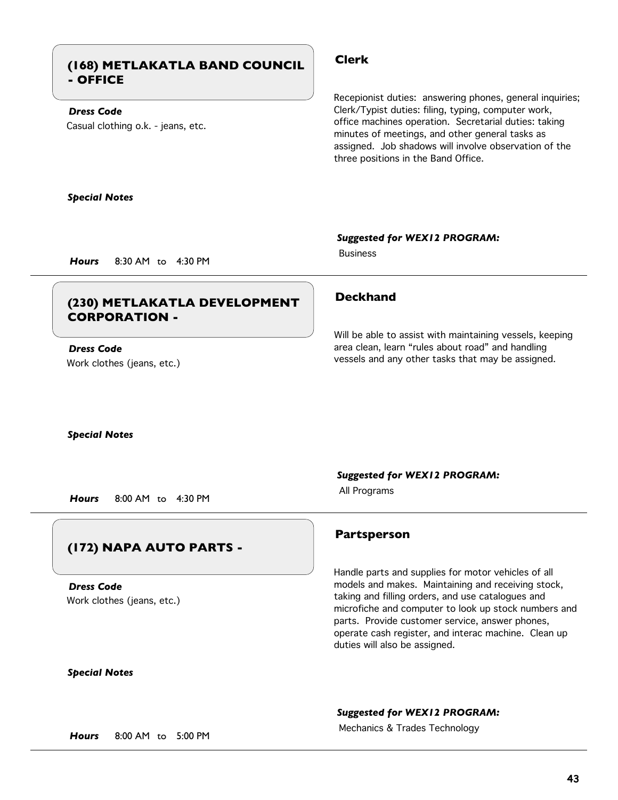# **Clerk (168) METLAKATLA BAND COUNCIL - OFFICE**

## *Dress Code*

Casual clothing o.k. - jeans, etc.

Recepionist duties: answering phones, general inquiries; Clerk/Typist duties: filing, typing, computer work, office machines operation. Secretarial duties: taking minutes of meetings, and other general tasks as assigned. Job shadows will involve observation of the three positions in the Band Office.

#### *Special Notes*

#### *Suggested for WEX12 PROGRAM:*

Business

*Hours* 8:30 AM to 4:30 PM

# **Deckhand (230) METLAKATLA DEVELOPMENT CORPORATION -**

## Work clothes (jeans, etc.) *Dress Code*

Will be able to assist with maintaining vessels, keeping area clean, learn "rules about road" and handling vessels and any other tasks that may be assigned.

#### *Special Notes*

All Programs *Hours* 8:00 AM to 4:30 PM

# **(172) NAPA AUTO PARTS -**

Work clothes (jeans, etc.) *Dress Code*

# *Suggested for WEX12 PROGRAM:*

## **Partsperson**

Handle parts and supplies for motor vehicles of all models and makes. Maintaining and receiving stock, taking and filling orders, and use catalogues and microfiche and computer to look up stock numbers and parts. Provide customer service, answer phones, operate cash register, and interac machine. Clean up duties will also be assigned.

# *Special Notes*

### *Suggested for WEX12 PROGRAM:*

Mechanics & Trades Technology *Hours* 8:00 AM to 5:00 PM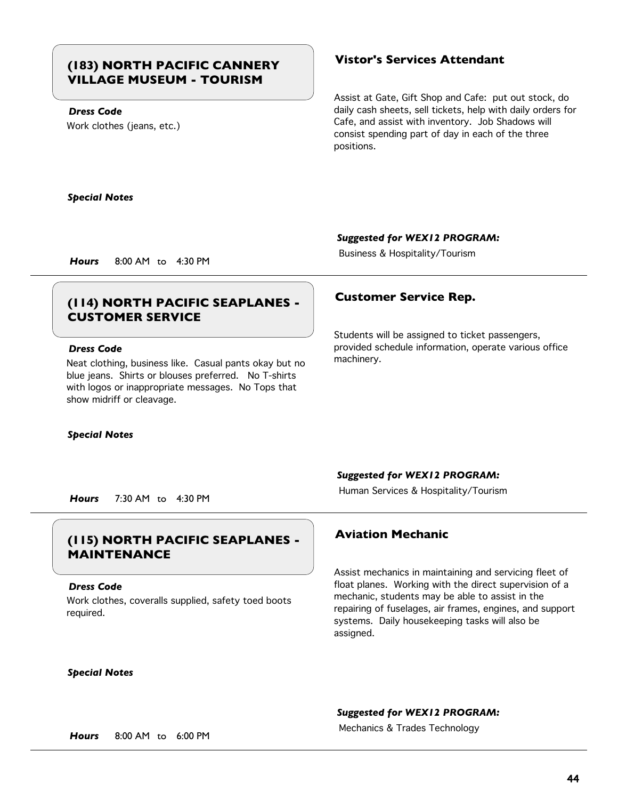# **Vistor's Services Attendant (183) NORTH PACIFIC CANNERY VILLAGE MUSEUM - TOURISM**

## *Dress Code*

Work clothes (jeans, etc.)

Assist at Gate, Gift Shop and Cafe: put out stock, do daily cash sheets, sell tickets, help with daily orders for Cafe, and assist with inventory. Job Shadows will consist spending part of day in each of the three positions.

#### *Special Notes*

### *Suggested for WEX12 PROGRAM:*

Business & Hospitality/Tourism *Hours* 8:00 AM to 4:30 PM

# **Customer Service Rep. (114) NORTH PACIFIC SEAPLANES - CUSTOMER SERVICE**

### *Dress Code*

Neat clothing, business like. Casual pants okay but no blue jeans. Shirts or blouses preferred. No T-shirts with logos or inappropriate messages. No Tops that show midriff or cleavage.

#### *Special Notes*

Students will be assigned to ticket passengers, provided schedule information, operate various office machinery.

### *Suggested for WEX12 PROGRAM:*

Human Services & Hospitality/Tourism *Hours* 7:30 AM to 4:30 PM

# **Aviation Mechanic (115) NORTH PACIFIC SEAPLANES - MAINTENANCE**

#### *Dress Code*

Work clothes, coveralls supplied, safety toed boots required.

#### *Special Notes*

Assist mechanics in maintaining and servicing fleet of float planes. Working with the direct supervision of a mechanic, students may be able to assist in the repairing of fuselages, air frames, engines, and support systems. Daily housekeeping tasks will also be assigned.

### *Suggested for WEX12 PROGRAM:*

Mechanics & Trades Technology *Hours* 8:00 AM to 6:00 PM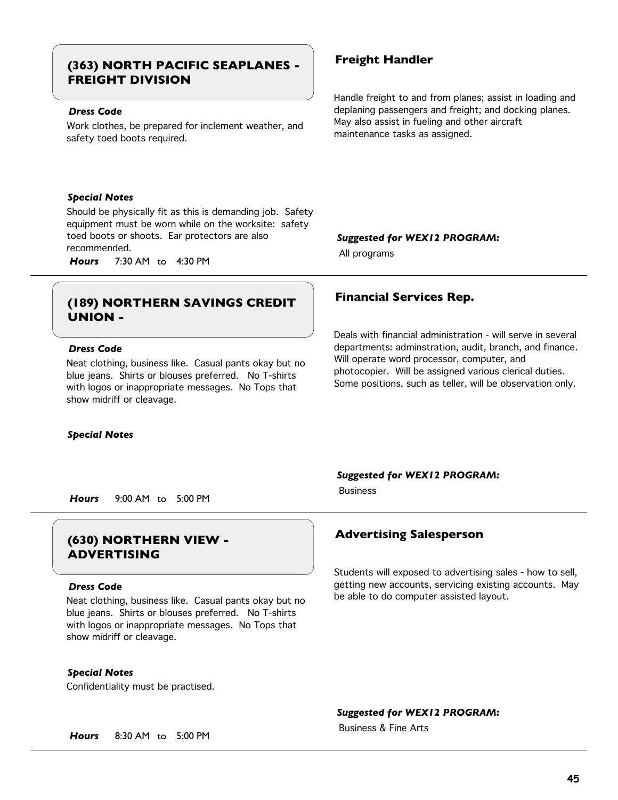# **Freight Handler (363) NORTH PACIFIC SEAPLANES - FREIGHT DIVISION**

### *Dress Code*

Work clothes, be prepared for inclement weather, and safety toed boots required.

#### *Special Notes*

Should be physically fit as this is demanding job. Safety equipment must be worn while on the worksite: safety toed boots or shoots. Ear protectors are also recommended. All programs *Hours* 7:30 AM to 4:30 PM

# **Financial Services Rep. (189) NORTHERN SAVINGS CREDIT UNION -**

#### *Dress Code*

Neat clothing, business like. Casual pants okay but no blue jeans. Shirts or blouses preferred. No T-shirts with logos or inappropriate messages. No Tops that show midriff or cleavage.

#### *Special Notes*

#### *Suggested for WEX12 PROGRAM:*

be able to do computer assisted layout.

Business

*Hours* 9:00 AM to 5:00 PM

# **Advertising Salesperson (630) NORTHERN VIEW - ADVERTISING**

#### *Dress Code*

Neat clothing, business like. Casual pants okay but no blue jeans. Shirts or blouses preferred. No T-shirts with logos or inappropriate messages. No Tops that show midriff or cleavage.

### *Special Notes*

Confidentiality must be practised.

### *Suggested for WEX12 PROGRAM:*

Business & Fine Arts

Handle freight to and from planes; assist in loading and deplaning passengers and freight; and docking planes. May also assist in fueling and other aircraft maintenance tasks as assigned.

### *Suggested for WEX12 PROGRAM:*

Deals with financial administration - will serve in several departments: adminstration, audit, branch, and finance. Will operate word processor, computer, and photocopier. Will be assigned various clerical duties. Some positions, such as teller, will be observation only.

Students will exposed to advertising sales - how to sell, getting new accounts, servicing existing accounts. May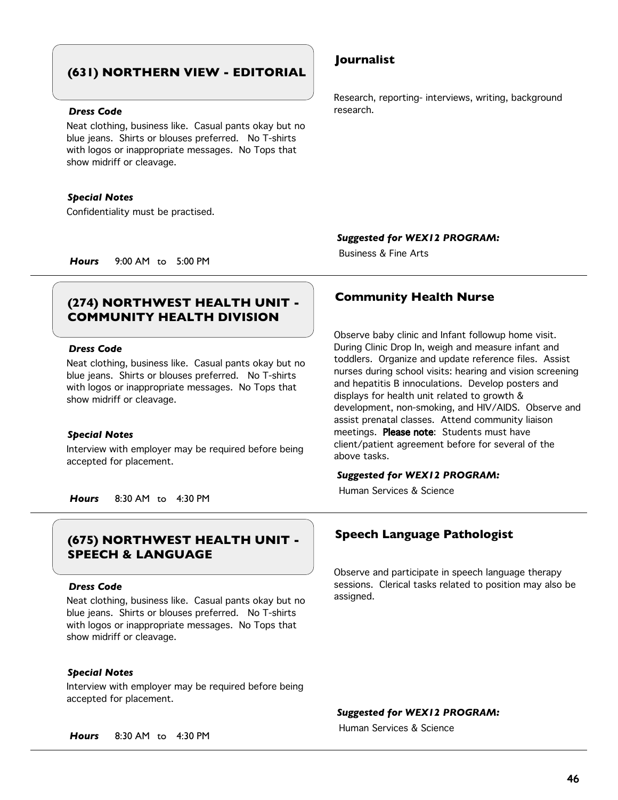# **(631) NORTHERN VIEW - EDITORIAL**

#### *Dress Code*

Neat clothing, business like. Casual pants okay but no blue jeans. Shirts or blouses preferred. No T-shirts with logos or inappropriate messages. No Tops that show midriff or cleavage.

#### *Special Notes*

Confidentiality must be practised.

## **Journalist**

Research, reporting- interviews, writing, background research.

*Suggested for WEX12 PROGRAM:*

Business & Fine Arts

*Hours* 9:00 AM to 5:00 PM

# **Community Health Nurse (274) NORTHWEST HEALTH UNIT - COMMUNITY HEALTH DIVISION**

### *Dress Code*

Neat clothing, business like. Casual pants okay but no blue jeans. Shirts or blouses preferred. No T-shirts with logos or inappropriate messages. No Tops that show midriff or cleavage.

#### *Special Notes*

Interview with employer may be required before being accepted for placement.

*Hours* 8:30 AM to 4:30 PM

# **Speech Language Pathologist (675) NORTHWEST HEALTH UNIT - SPEECH & LANGUAGE**

#### *Dress Code*

Neat clothing, business like. Casual pants okay but no blue jeans. Shirts or blouses preferred. No T-shirts with logos or inappropriate messages. No Tops that show midriff or cleavage.

### *Special Notes*

Interview with employer may be required before being accepted for placement.

Observe baby clinic and Infant followup home visit. During Clinic Drop In, weigh and measure infant and toddlers. Organize and update reference files. Assist nurses during school visits: hearing and vision screening and hepatitis B innoculations. Develop posters and displays for health unit related to growth & development, non-smoking, and HIV/AIDS. Observe and assist prenatal classes. Attend community liaison meetings. Please note: Students must have client/patient agreement before for several of the above tasks.

#### *Suggested for WEX12 PROGRAM:*

Human Services & Science

Observe and participate in speech language therapy sessions. Clerical tasks related to position may also be assigned.

#### *Suggested for WEX12 PROGRAM:*

Human Services & Science

*Hours* 8:30 AM to 4:30 PM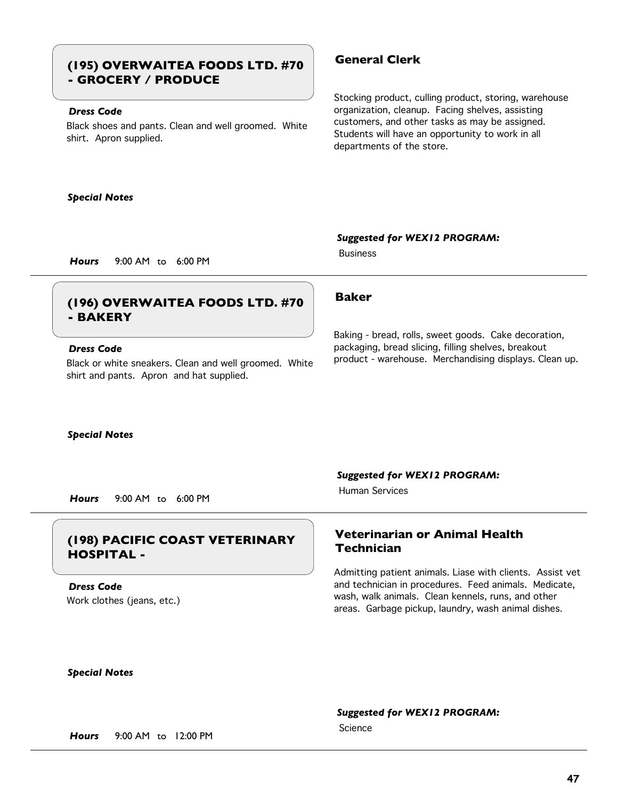# **General Clerk (195) OVERWAITEA FOODS LTD. #70 - GROCERY / PRODUCE**

## *Dress Code*

Black shoes and pants. Clean and well groomed. White shirt. Apron supplied.

#### *Special Notes*

Stocking product, culling product, storing, warehouse organization, cleanup. Facing shelves, assisting customers, and other tasks as may be assigned. Students will have an opportunity to work in all departments of the store.

#### *Suggested for WEX12 PROGRAM:*

Business

*Hours* 9:00 AM to 6:00 PM

# **Baker (196) OVERWAITEA FOODS LTD. #70 - BAKERY**

### *Dress Code*

Black or white sneakers. Clean and well groomed. White shirt and pants. Apron and hat supplied.

Baking - bread, rolls, sweet goods. Cake decoration, packaging, bread slicing, filling shelves, breakout product - warehouse. Merchandising displays. Clean up.

*Special Notes*

*Suggested for WEX12 PROGRAM:*

Human Services

*Hours* 9:00 AM to 6:00 PM

## **Technician (198) PACIFIC COAST VETERINARY HOSPITAL -**

Work clothes (jeans, etc.) *Dress Code*

# **Veterinarian or Animal Health**

Admitting patient animals. Liase with clients. Assist vet and technician in procedures. Feed animals. Medicate, wash, walk animals. Clean kennels, runs, and other areas. Garbage pickup, laundry, wash animal dishes.

#### *Special Notes*

### *Suggested for WEX12 PROGRAM:*

Science

*Hours* 9:00 AM to 12:00 PM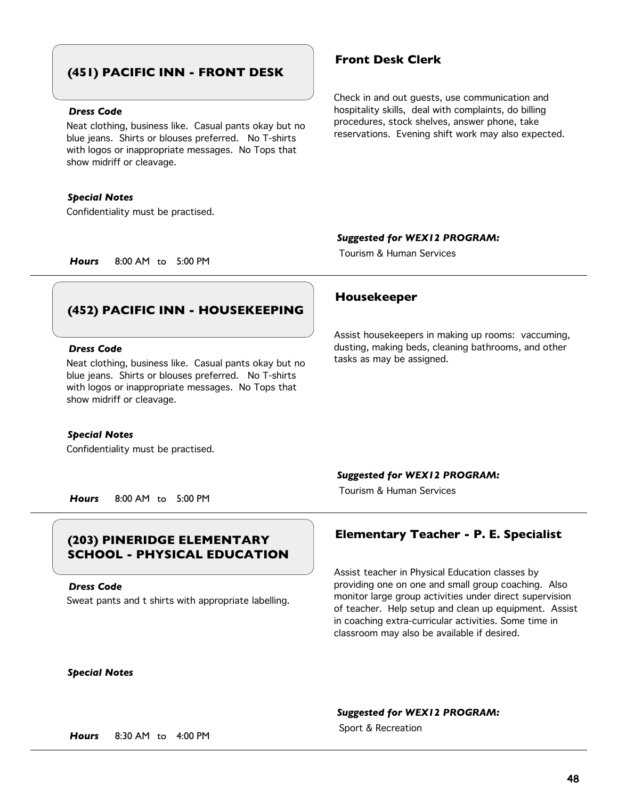# **(451) PACIFIC INN - FRONT DESK**

### *Dress Code*

Neat clothing, business like. Casual pants okay but no blue jeans. Shirts or blouses preferred. No T-shirts with logos or inappropriate messages. No Tops that show midriff or cleavage.

#### *Special Notes*

Confidentiality must be practised.

## **Front Desk Clerk**

Check in and out guests, use communication and hospitality skills, deal with complaints, do billing procedures, stock shelves, answer phone, take reservations. Evening shift work may also expected.

#### *Suggested for WEX12 PROGRAM:*

Tourism & Human Services

*Hours* 8:00 AM to 5:00 PM

## **(452) PACIFIC INN - HOUSEKEEPING**

#### *Dress Code*

Neat clothing, business like. Casual pants okay but no blue jeans. Shirts or blouses preferred. No T-shirts with logos or inappropriate messages. No Tops that show midriff or cleavage.

#### *Special Notes*

Confidentiality must be practised.

#### **Housekeeper**

Assist housekeepers in making up rooms: vaccuming, dusting, making beds, cleaning bathrooms, and other tasks as may be assigned.

#### *Suggested for WEX12 PROGRAM:*

Tourism & Human Services

*Hours* 8:00 AM to 5:00 PM

# **SCHOOL - PHYSICAL EDUCATION**

*Dress Code*

Sweat pants and t shirts with appropriate labelling.



# **Elementary Teacher - P. E. Specialist (203) PINERIDGE ELEMENTARY**

Assist teacher in Physical Education classes by providing one on one and small group coaching. Also monitor large group activities under direct supervision of teacher. Help setup and clean up equipment. Assist in coaching extra-curricular activities. Some time in classroom may also be available if desired.

#### *Suggested for WEX12 PROGRAM:*

Sport & Recreation *Hours* 8:30 AM to 4:00 PM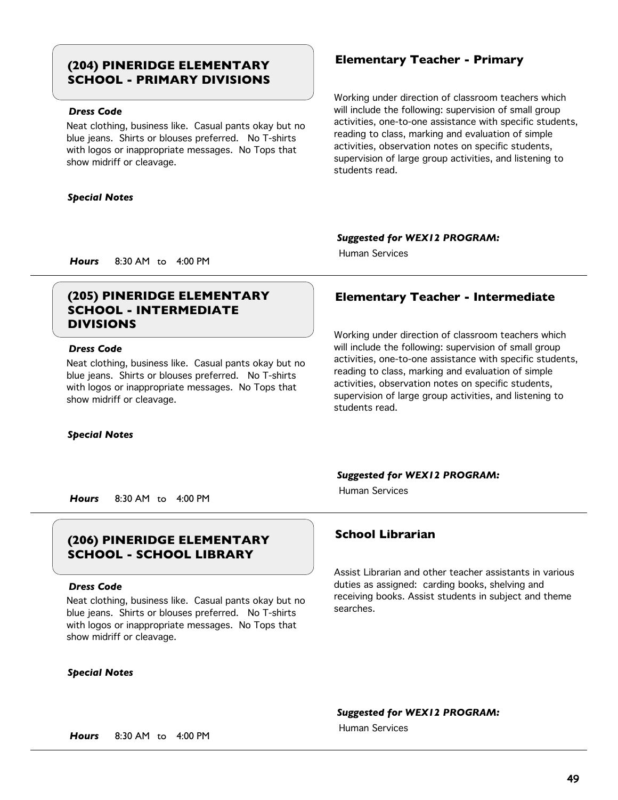# **Elementary Teacher - Primary (204) PINERIDGE ELEMENTARY SCHOOL - PRIMARY DIVISIONS**

## *Dress Code*

Neat clothing, business like. Casual pants okay but no blue jeans. Shirts or blouses preferred. No T-shirts with logos or inappropriate messages. No Tops that show midriff or cleavage.

#### *Special Notes*

Working under direction of classroom teachers which will include the following: supervision of small group activities, one-to-one assistance with specific students, reading to class, marking and evaluation of simple activities, observation notes on specific students, supervision of large group activities, and listening to students read.

#### *Suggested for WEX12 PROGRAM:*

Human Services

*Hours* 8:30 AM to 4:00 PM

# **SCHOOL - INTERMEDIATE DIVISIONS**

### *Dress Code*

Neat clothing, business like. Casual pants okay but no blue jeans. Shirts or blouses preferred. No T-shirts with logos or inappropriate messages. No Tops that show midriff or cleavage.

#### *Special Notes*

# **(205) PINERIDGE ELEMENTARY Elementary Teacher - Intermediate**

Working under direction of classroom teachers which will include the following: supervision of small group activities, one-to-one assistance with specific students, reading to class, marking and evaluation of simple activities, observation notes on specific students, supervision of large group activities, and listening to students read.

#### *Suggested for WEX12 PROGRAM:*

Human Services

*Hours* 8:30 AM to 4:00 PM

# **School Librarian (206) PINERIDGE ELEMENTARY SCHOOL - SCHOOL LIBRARY**

#### *Dress Code*

Neat clothing, business like. Casual pants okay but no blue jeans. Shirts or blouses preferred. No T-shirts with logos or inappropriate messages. No Tops that show midriff or cleavage.

#### *Special Notes*

Assist Librarian and other teacher assistants in various duties as assigned: carding books, shelving and receiving books. Assist students in subject and theme searches.

#### *Suggested for WEX12 PROGRAM:*

Human Services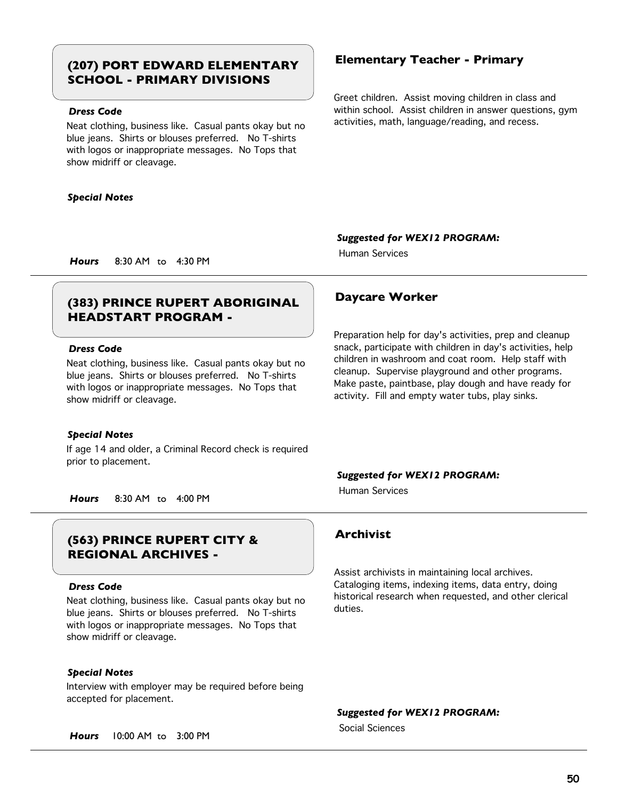# **Elementary Teacher - Primary (207) PORT EDWARD ELEMENTARY SCHOOL - PRIMARY DIVISIONS**

## *Dress Code*

Neat clothing, business like. Casual pants okay but no blue jeans. Shirts or blouses preferred. No T-shirts with logos or inappropriate messages. No Tops that show midriff or cleavage.

#### *Special Notes*

Greet children. Assist moving children in class and within school. Assist children in answer questions, gym activities, math, language/reading, and recess.

*Suggested for WEX12 PROGRAM:*

Human Services

*Hours* 8:30 AM to 4:30 PM

# **Daycare Worker (383) PRINCE RUPERT ABORIGINAL HEADSTART PROGRAM -**

### *Dress Code*

Neat clothing, business like. Casual pants okay but no blue jeans. Shirts or blouses preferred. No T-shirts with logos or inappropriate messages. No Tops that show midriff or cleavage.

#### *Special Notes*

If age 14 and older, a Criminal Record check is required prior to placement.

Preparation help for day's activities, prep and cleanup snack, participate with children in day's activities, help children in washroom and coat room. Help staff with cleanup. Supervise playground and other programs. Make paste, paintbase, play dough and have ready for activity. Fill and empty water tubs, play sinks.

#### *Suggested for WEX12 PROGRAM:*

Human Services

*Hours* 8:30 AM to 4:00 PM

# **Archivist (563) PRINCE RUPERT CITY & REGIONAL ARCHIVES -**

#### *Dress Code*

Neat clothing, business like. Casual pants okay but no blue jeans. Shirts or blouses preferred. No T-shirts with logos or inappropriate messages. No Tops that show midriff or cleavage.

### *Special Notes*

Interview with employer may be required before being accepted for placement.

*Hours* 10:00 AM to 3:00 PM

Assist archivists in maintaining local archives. Cataloging items, indexing items, data entry, doing historical research when requested, and other clerical duties.

*Suggested for WEX12 PROGRAM:*

Social Sciences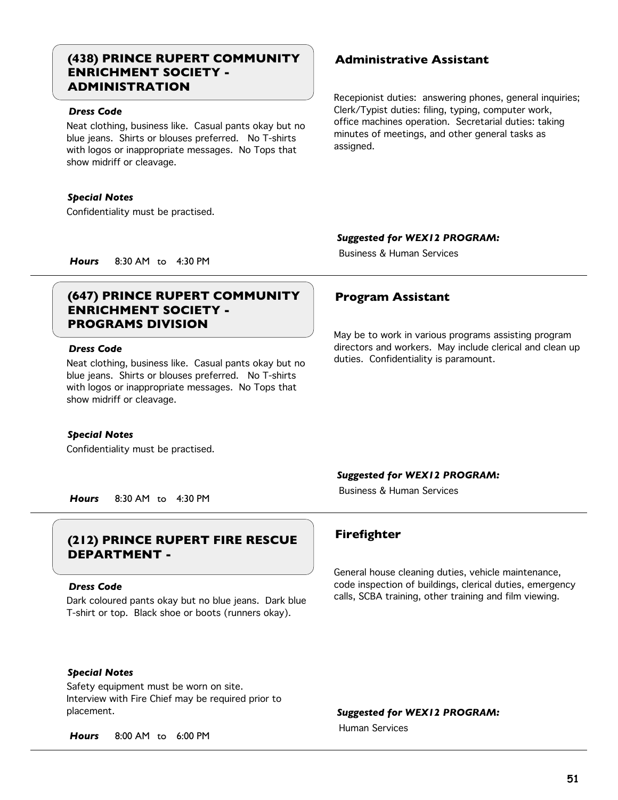# **(438) PRINCE RUPERT COMMUNITY Administrative Assistant ENRICHMENT SOCIETY - ADMINISTRATION**

### *Dress Code*

Neat clothing, business like. Casual pants okay but no blue jeans. Shirts or blouses preferred. No T-shirts with logos or inappropriate messages. No Tops that show midriff or cleavage.

### *Special Notes*

Confidentiality must be practised.

Recepionist duties: answering phones, general inquiries; Clerk/Typist duties: filing, typing, computer work, office machines operation. Secretarial duties: taking minutes of meetings, and other general tasks as assigned.

## *Suggested for WEX12 PROGRAM:*

Business & Human Services

*Hours* 8:30 AM to 4:30 PM

# **(647) PRINCE RUPERT COMMUNITY Program Assistant ENRICHMENT SOCIETY - PROGRAMS DIVISION**

### *Dress Code*

Neat clothing, business like. Casual pants okay but no blue jeans. Shirts or blouses preferred. No T-shirts with logos or inappropriate messages. No Tops that show midriff or cleavage.

### *Special Notes*

Confidentiality must be practised.

May be to work in various programs assisting program directors and workers. May include clerical and clean up duties. Confidentiality is paramount.

### *Suggested for WEX12 PROGRAM:*

Business & Human Services

*Hours* 8:30 AM to 4:30 PM

# **Firefighter (212) PRINCE RUPERT FIRE RESCUE DEPARTMENT -**

### *Dress Code*

Dark coloured pants okay but no blue jeans. Dark blue T-shirt or top. Black shoe or boots (runners okay).

## *Special Notes*

Safety equipment must be worn on site. Interview with Fire Chief may be required prior to placement.

*Hours* 8:00 AM to 6:00 PM

General house cleaning duties, vehicle maintenance, code inspection of buildings, clerical duties, emergency calls, SCBA training, other training and film viewing.

*Suggested for WEX12 PROGRAM:*

Human Services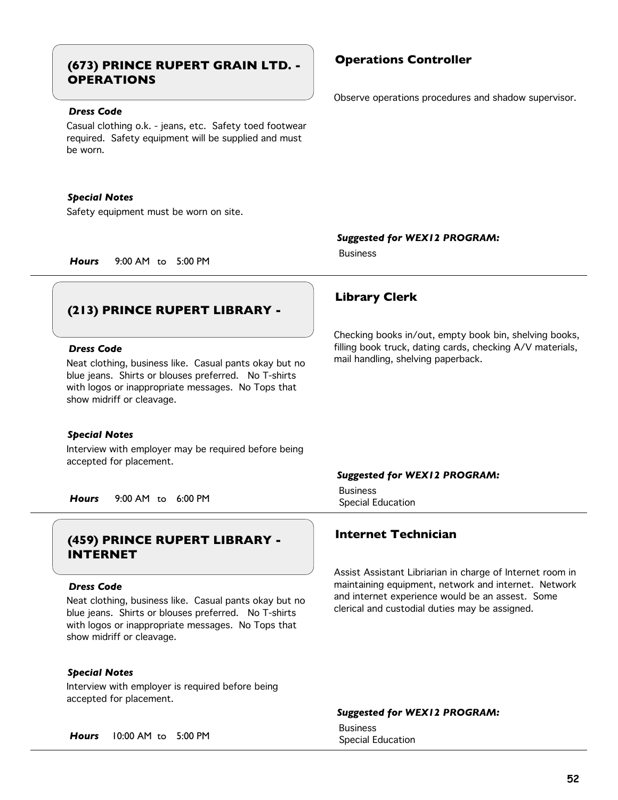# **Operations Controller (673) PRINCE RUPERT GRAIN LTD. - OPERATIONS**

### *Dress Code*

Casual clothing o.k. - jeans, etc. Safety toed footwear required. Safety equipment will be supplied and must be worn.

#### *Special Notes*

Safety equipment must be worn on site.

*Hours* 9:00 AM to 5:00 PM

# **(213) PRINCE RUPERT LIBRARY -**

#### *Dress Code*

Neat clothing, business like. Casual pants okay but no blue jeans. Shirts or blouses preferred. No T-shirts with logos or inappropriate messages. No Tops that show midriff or cleavage.

#### *Special Notes*

Interview with employer may be required before being accepted for placement.

Special Education *Hours* 9:00 AM to 6:00 PM

# **Internet Technician (459) PRINCE RUPERT LIBRARY - INTERNET**

#### *Dress Code*

Neat clothing, business like. Casual pants okay but no blue jeans. Shirts or blouses preferred. No T-shirts with logos or inappropriate messages. No Tops that show midriff or cleavage.

#### *Special Notes*

Interview with employer is required before being accepted for placement.

Special Education *Hours* 10:00 AM to 5:00 PM

Observe operations procedures and shadow supervisor.

*Suggested for WEX12 PROGRAM:*

## **Library Clerk**

Business

Checking books in/out, empty book bin, shelving books, filling book truck, dating cards, checking A/V materials, mail handling, shelving paperback.

#### *Suggested for WEX12 PROGRAM:*

Business

Assist Assistant Libriarian in charge of Internet room in maintaining equipment, network and internet. Network and internet experience would be an assest. Some clerical and custodial duties may be assigned.

#### *Suggested for WEX12 PROGRAM:*

Business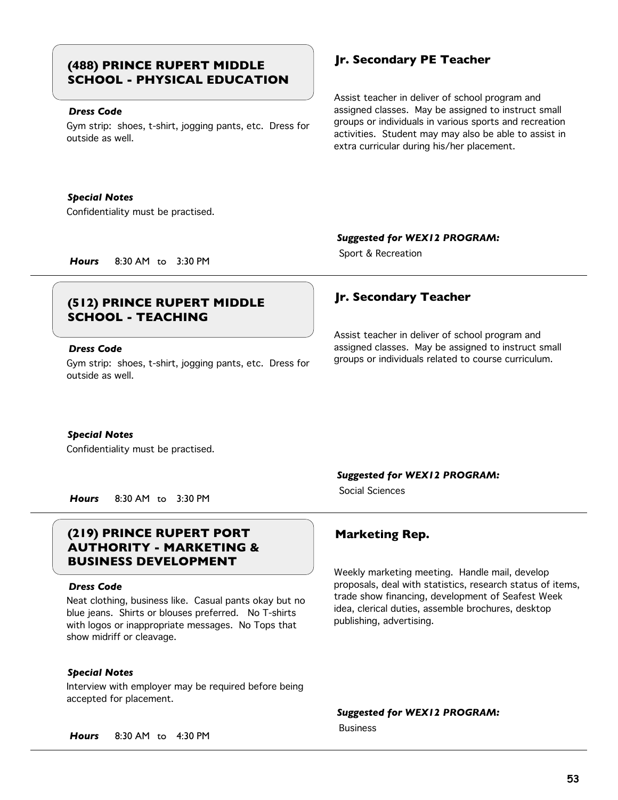# **Jr. Secondary PE Teacher (488) PRINCE RUPERT MIDDLE SCHOOL - PHYSICAL EDUCATION**

### *Dress Code*

Gym strip: shoes, t-shirt, jogging pants, etc. Dress for outside as well.

#### *Special Notes*

Confidentiality must be practised.

Assist teacher in deliver of school program and assigned classes. May be assigned to instruct small groups or individuals in various sports and recreation activities. Student may may also be able to assist in extra curricular during his/her placement.

#### *Suggested for WEX12 PROGRAM:*

Sport & Recreation *Hours* 8:30 AM to 3:30 PM

# **Jr. Secondary Teacher (512) PRINCE RUPERT MIDDLE SCHOOL - TEACHING**

### *Dress Code*

Gym strip: shoes, t-shirt, jogging pants, etc. Dress for outside as well.

Assist teacher in deliver of school program and assigned classes. May be assigned to instruct small groups or individuals related to course curriculum.

#### *Special Notes*

Confidentiality must be practised.

*Hours* 8:30 AM to 3:30 PM

# **(219) PRINCE RUPERT PORT Marketing Rep. AUTHORITY - MARKETING & BUSINESS DEVELOPMENT**

#### *Dress Code*

Neat clothing, business like. Casual pants okay but no blue jeans. Shirts or blouses preferred. No T-shirts with logos or inappropriate messages. No Tops that show midriff or cleavage.

### *Special Notes*

Interview with employer may be required before being accepted for placement.

*Suggested for WEX12 PROGRAM:*

Social Sciences

Weekly marketing meeting. Handle mail, develop proposals, deal with statistics, research status of items, trade show financing, development of Seafest Week idea, clerical duties, assemble brochures, desktop publishing, advertising.

*Suggested for WEX12 PROGRAM:*

Business

*Hours* 8:30 AM to 4:30 PM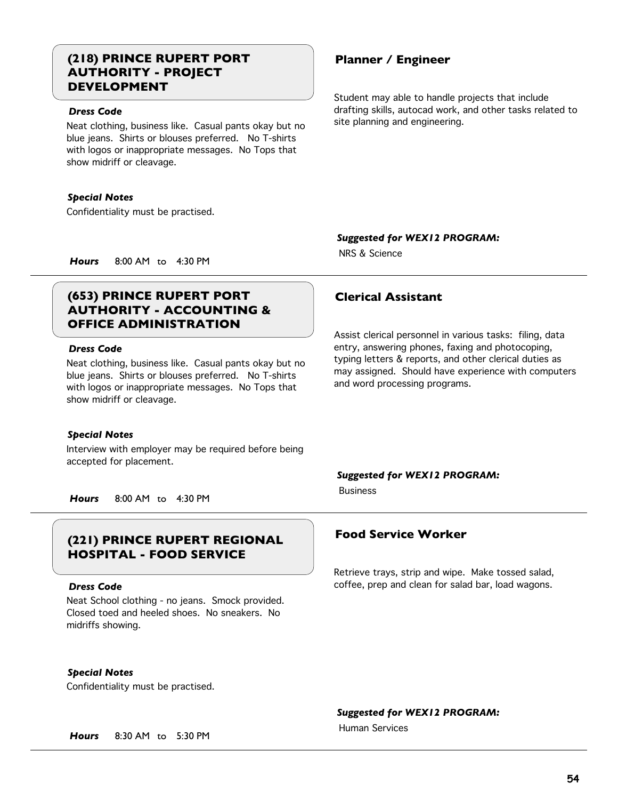# **(218) PRINCE RUPERT PORT Planner / Engineer AUTHORITY - PROJECT DEVELOPMENT**

### *Dress Code*

Neat clothing, business like. Casual pants okay but no blue jeans. Shirts or blouses preferred. No T-shirts with logos or inappropriate messages. No Tops that show midriff or cleavage.

#### *Special Notes*

Confidentiality must be practised.

Student may able to handle projects that include drafting skills, autocad work, and other tasks related to site planning and engineering.

*Suggested for WEX12 PROGRAM:*

NRS & Science

*Hours* 8:00 AM to 4:30 PM

# **(653) PRINCE RUPERT PORT Clerical Assistant AUTHORITY - ACCOUNTING & OFFICE ADMINISTRATION**

### *Dress Code*

Neat clothing, business like. Casual pants okay but no blue jeans. Shirts or blouses preferred. No T-shirts with logos or inappropriate messages. No Tops that show midriff or cleavage.

#### *Special Notes*

Interview with employer may be required before being accepted for placement.

*Hours* 8:00 AM to 4:30 PM

# **Food Service Worker (221) PRINCE RUPERT REGIONAL HOSPITAL - FOOD SERVICE**

#### *Dress Code*

Neat School clothing - no jeans. Smock provided. Closed toed and heeled shoes. No sneakers. No midriffs showing.

#### *Special Notes*

Confidentiality must be practised.

### *Suggested for WEX12 PROGRAM:*

Human Services

*Hours* 8:30 AM to 5:30 PM

Assist clerical personnel in various tasks: filing, data entry, answering phones, faxing and photocoping, typing letters & reports, and other clerical duties as may assigned. Should have experience with computers and word processing programs.

## *Suggested for WEX12 PROGRAM:*

Business

Retrieve trays, strip and wipe. Make tossed salad, coffee, prep and clean for salad bar, load wagons.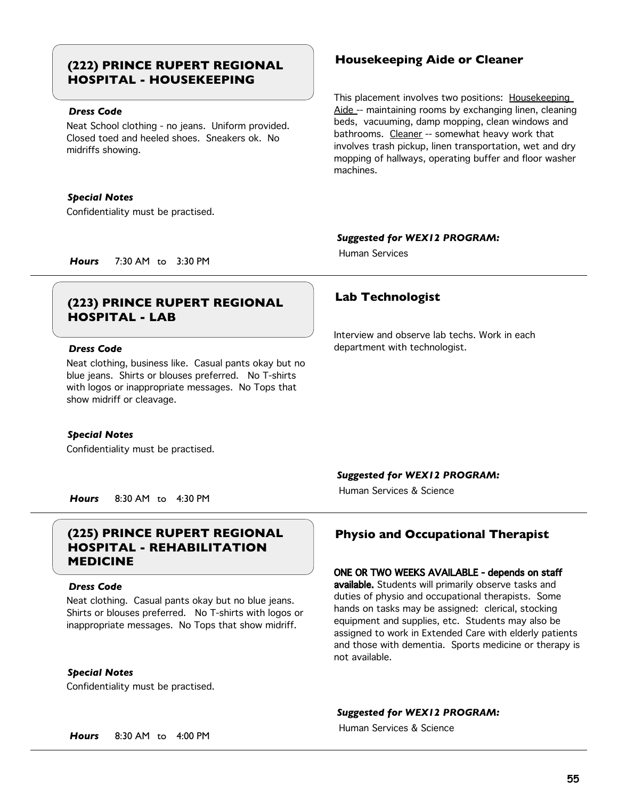# **Housekeeping Aide or Cleaner (222) PRINCE RUPERT REGIONAL HOSPITAL - HOUSEKEEPING**

### *Dress Code*

Neat School clothing - no jeans. Uniform provided. Closed toed and heeled shoes. Sneakers ok. No midriffs showing.

#### *Special Notes*

Confidentiality must be practised.

This placement involves two positions: Housekeeping Aide -- maintaining rooms by exchanging linen, cleaning beds, vacuuming, damp mopping, clean windows and bathrooms. Cleaner -- somewhat heavy work that involves trash pickup, linen transportation, wet and dry mopping of hallways, operating buffer and floor washer machines.

### *Suggested for WEX12 PROGRAM:*

Human Services

*Hours* 7:30 AM to 3:30 PM

# **Lab Technologist (223) PRINCE RUPERT REGIONAL HOSPITAL - LAB**

### *Dress Code*

Neat clothing, business like. Casual pants okay but no blue jeans. Shirts or blouses preferred. No T-shirts with logos or inappropriate messages. No Tops that show midriff or cleavage.

#### *Special Notes*

Confidentiality must be practised.

Interview and observe lab techs. Work in each department with technologist.

### *Suggested for WEX12 PROGRAM:*

Human Services & Science

*Hours* 8:30 AM to 4:30 PM

# **(225) PRINCE RUPERT REGIONAL Physio and Occupational Therapist HOSPITAL - REHABILITATION MEDICINE**

#### *Dress Code*

Neat clothing. Casual pants okay but no blue jeans. Shirts or blouses preferred. No T-shirts with logos or inappropriate messages. No Tops that show midriff.

#### *Special Notes*

Confidentiality must be practised.

### ONE OR TWO WEEKS AVAILABLE - depends on staff

available. Students will primarily observe tasks and duties of physio and occupational therapists. Some hands on tasks may be assigned: clerical, stocking equipment and supplies, etc. Students may also be assigned to work in Extended Care with elderly patients and those with dementia. Sports medicine or therapy is not available.

#### *Suggested for WEX12 PROGRAM:*

Human Services & Science

*Hours* 8:30 AM to 4:00 PM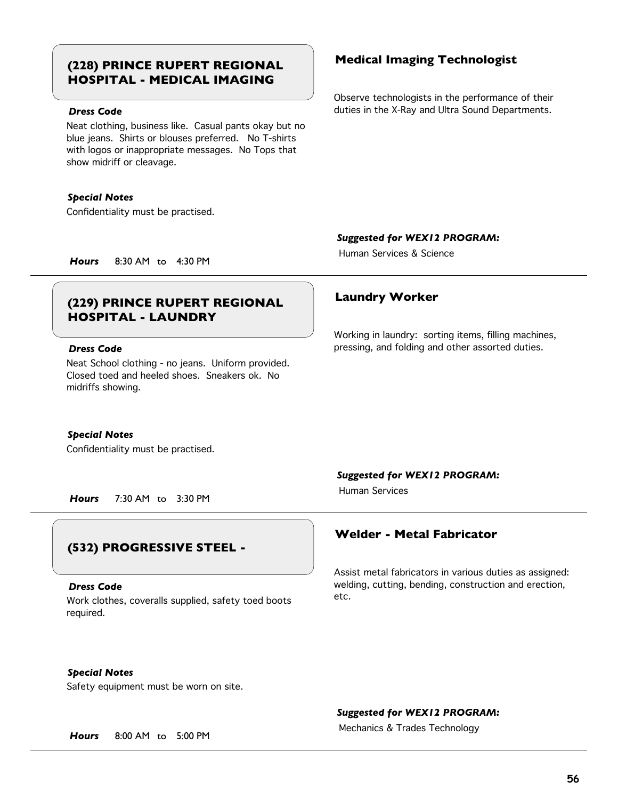# **Medical Imaging Technologist (228) PRINCE RUPERT REGIONAL HOSPITAL - MEDICAL IMAGING**

## *Dress Code*

Neat clothing, business like. Casual pants okay but no blue jeans. Shirts or blouses preferred. No T-shirts with logos or inappropriate messages. No Tops that show midriff or cleavage.

#### *Special Notes*

Confidentiality must be practised.

Observe technologists in the performance of their duties in the X-Ray and Ultra Sound Departments.

#### *Suggested for WEX12 PROGRAM:*

Human Services & Science

*Hours* 8:30 AM to 4:30 PM

# **Laundry Worker (229) PRINCE RUPERT REGIONAL HOSPITAL - LAUNDRY**

#### *Dress Code*

Neat School clothing - no jeans. Uniform provided. Closed toed and heeled shoes. Sneakers ok. No midriffs showing.

#### *Special Notes*

Confidentiality must be practised.

*Hours* 7:30 AM to 3:30 PM

## **(532) PROGRESSIVE STEEL -**

#### *Dress Code*

Work clothes, coveralls supplied, safety toed boots required.

Working in laundry: sorting items, filling machines, pressing, and folding and other assorted duties.

#### *Suggested for WEX12 PROGRAM:*

Human Services

## **Welder - Metal Fabricator**

Assist metal fabricators in various duties as assigned: welding, cutting, bending, construction and erection, etc.

## *Special Notes*

Safety equipment must be worn on site.

### *Suggested for WEX12 PROGRAM:*

Mechanics & Trades Technology *Hours* 8:00 AM to 5:00 PM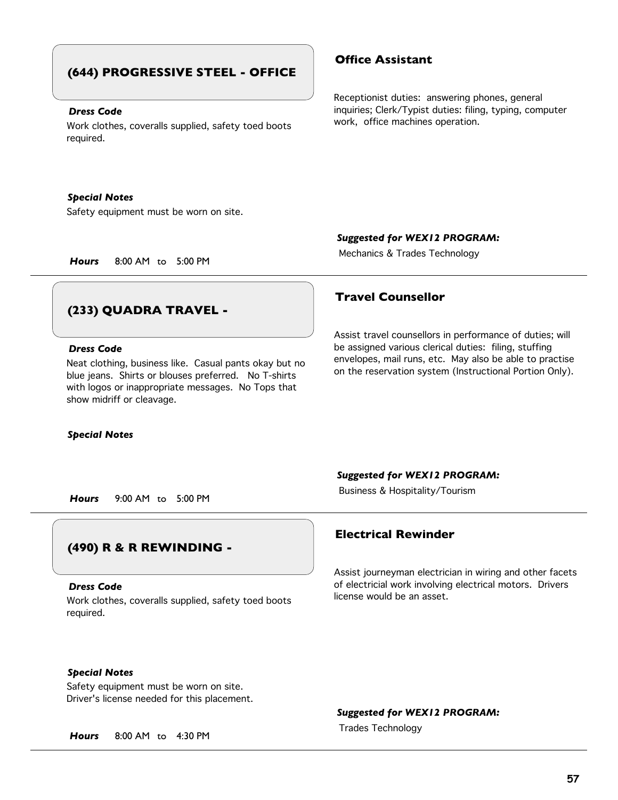# **(644) PROGRESSIVE STEEL - OFFICE**

#### *Dress Code*

Work clothes, coveralls supplied, safety toed boots required.

#### *Special Notes*

Safety equipment must be worn on site.

## **Office Assistant**

Receptionist duties: answering phones, general inquiries; Clerk/Typist duties: filing, typing, computer work, office machines operation.

#### *Suggested for WEX12 PROGRAM:*

Mechanics & Trades Technology *Hours* 8:00 AM to 5:00 PM

# **(233) QUADRA TRAVEL -**

### *Dress Code*

Neat clothing, business like. Casual pants okay but no blue jeans. Shirts or blouses preferred. No T-shirts with logos or inappropriate messages. No Tops that show midriff or cleavage.

#### *Special Notes*

## **Travel Counsellor**

Assist travel counsellors in performance of duties; will be assigned various clerical duties: filing, stuffing envelopes, mail runs, etc. May also be able to practise on the reservation system (Instructional Portion Only).

#### *Suggested for WEX12 PROGRAM:*

Business & Hospitality/Tourism *Hours* 9:00 AM to 5:00 PM

# **(490) R & R REWINDING -**

#### *Dress Code*

Work clothes, coveralls supplied, safety toed boots required.

## **Electrical Rewinder**

Assist journeyman electrician in wiring and other facets of electricial work involving electrical motors. Drivers license would be an asset.

### *Special Notes*

Safety equipment must be worn on site. Driver's license needed for this placement.

*Suggested for WEX12 PROGRAM:*

Trades Technology *Hours* 8:00 AM to 4:30 PM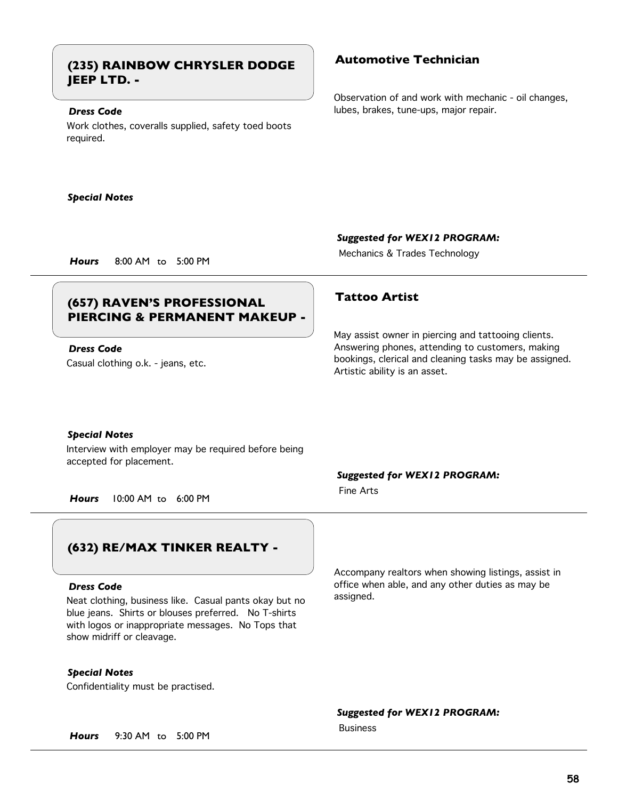# **Automotive Technician (235) RAINBOW CHRYSLER DODGE JEEP LTD. -**

#### *Dress Code*

Work clothes, coveralls supplied, safety toed boots required.

#### *Special Notes*

Observation of and work with mechanic - oil changes, lubes, brakes, tune-ups, major repair.

*Suggested for WEX12 PROGRAM:*

Mechanics & Trades Technology *Hours* 8:00 AM to 5:00 PM

# **Tattoo Artist (657) RAVEN'S PROFESSIONAL PIERCING & PERMANENT MAKEUP -**

Casual clothing o.k. - jeans, etc. *Dress Code*

May assist owner in piercing and tattooing clients. Answering phones, attending to customers, making bookings, clerical and cleaning tasks may be assigned. Artistic ability is an asset.

#### *Special Notes*

Interview with employer may be required before being accepted for placement.

*Hours* 10:00 AM to 6:00 PM

# **(632) RE/MAX TINKER REALTY -**

#### *Dress Code*

Neat clothing, business like. Casual pants okay but no blue jeans. Shirts or blouses preferred. No T-shirts with logos or inappropriate messages. No Tops that show midriff or cleavage.

*Special Notes*

Confidentiality must be practised.

*Suggested for WEX12 PROGRAM:*

Fine Arts

Accompany realtors when showing listings, assist in office when able, and any other duties as may be assigned.

*Suggested for WEX12 PROGRAM:*

Business

*Hours* 9:30 AM to 5:00 PM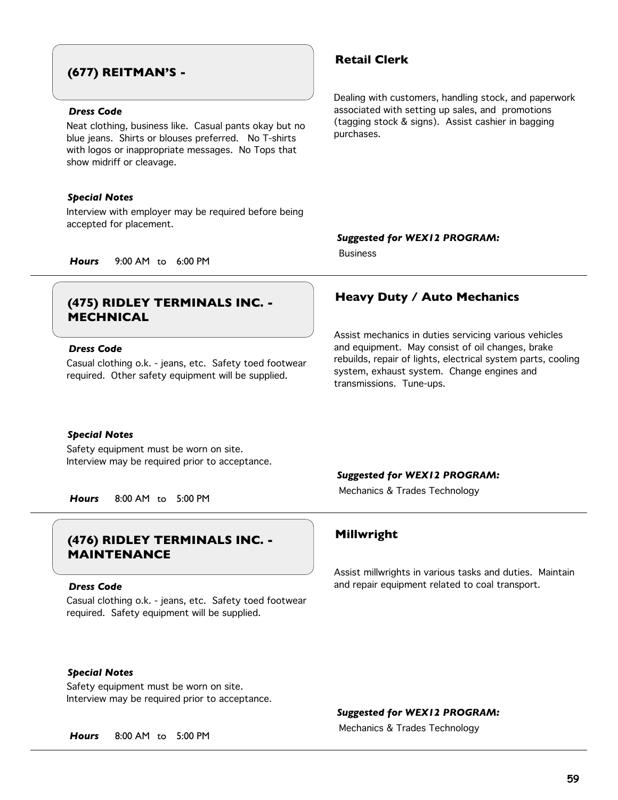# **(677) REITMAN'S -**

### *Dress Code*

Neat clothing, business like. Casual pants okay but no blue jeans. Shirts or blouses preferred. No T-shirts with logos or inappropriate messages. No Tops that show midriff or cleavage.

#### *Special Notes*

Interview with employer may be required before being accepted for placement.

## **Retail Clerk**

Dealing with customers, handling stock, and paperwork associated with setting up sales, and promotions (tagging stock & signs). Assist cashier in bagging purchases.

#### *Suggested for WEX12 PROGRAM:*

Business

*Hours* 9:00 AM to 6:00 PM

# **MECHNICAL**

### *Dress Code*

Casual clothing o.k. - jeans, etc. Safety toed footwear required. Other safety equipment will be supplied.

#### *Special Notes*

Safety equipment must be worn on site. Interview may be required prior to acceptance.

# **Millwright (476) RIDLEY TERMINALS INC. - MAINTENANCE**

#### *Dress Code*

Casual clothing o.k. - jeans, etc. Safety toed footwear required. Safety equipment will be supplied.

### *Special Notes*

Safety equipment must be worn on site. Interview may be required prior to acceptance.

# **Heavy Duty / Auto Mechanics (475) RIDLEY TERMINALS INC. -**

Assist mechanics in duties servicing various vehicles and equipment. May consist of oil changes, brake rebuilds, repair of lights, electrical system parts, cooling system, exhaust system. Change engines and transmissions. Tune-ups.

#### *Suggested for WEX12 PROGRAM:*

Mechanics & Trades Technology *Hours* 8:00 AM to 5:00 PM

Assist millwrights in various tasks and duties. Maintain and repair equipment related to coal transport.

#### *Suggested for WEX12 PROGRAM:*

Mechanics & Trades Technology *Hours* 8:00 AM to 5:00 PM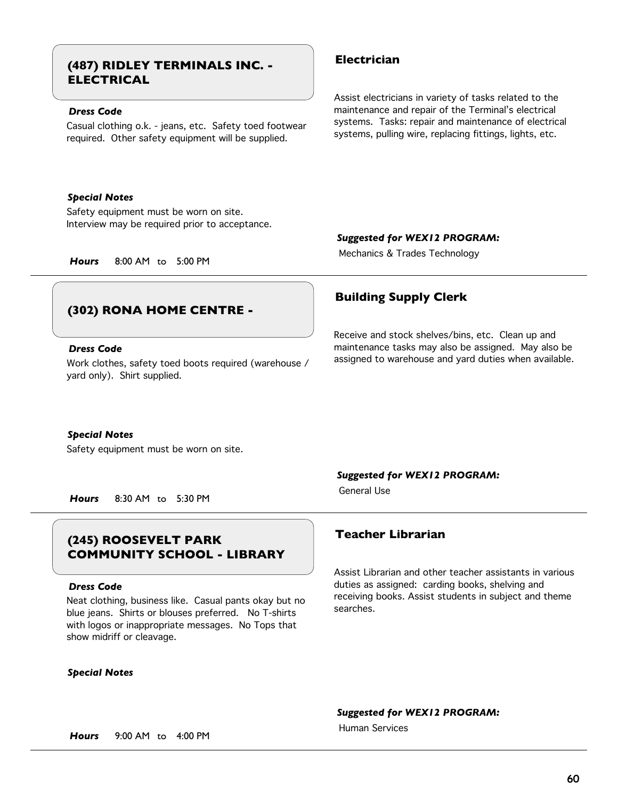# **Electrician (487) RIDLEY TERMINALS INC. - ELECTRICAL**

## *Dress Code*

Casual clothing o.k. - jeans, etc. Safety toed footwear required. Other safety equipment will be supplied.

#### *Special Notes*

Safety equipment must be worn on site. Interview may be required prior to acceptance.

# **(302) RONA HOME CENTRE -**

### *Dress Code*

Work clothes, safety toed boots required (warehouse / yard only). Shirt supplied.

#### *Special Notes*

Safety equipment must be worn on site.

*Hours* 8:30 AM to 5:30 PM

# **Teacher Librarian (245) ROOSEVELT PARK COMMUNITY SCHOOL - LIBRARY**

#### *Dress Code*

Neat clothing, business like. Casual pants okay but no blue jeans. Shirts or blouses preferred. No T-shirts with logos or inappropriate messages. No Tops that show midriff or cleavage.

#### *Special Notes*

Assist electricians in variety of tasks related to the maintenance and repair of the Terminal's electrical systems. Tasks: repair and maintenance of electrical systems, pulling wire, replacing fittings, lights, etc.

#### *Suggested for WEX12 PROGRAM:*

Mechanics & Trades Technology *Hours* 8:00 AM to 5:00 PM

## **Building Supply Clerk**

Receive and stock shelves/bins, etc. Clean up and maintenance tasks may also be assigned. May also be assigned to warehouse and yard duties when available.

### *Suggested for WEX12 PROGRAM:*

General Use

Assist Librarian and other teacher assistants in various duties as assigned: carding books, shelving and receiving books. Assist students in subject and theme searches.

*Suggested for WEX12 PROGRAM:*

Human Services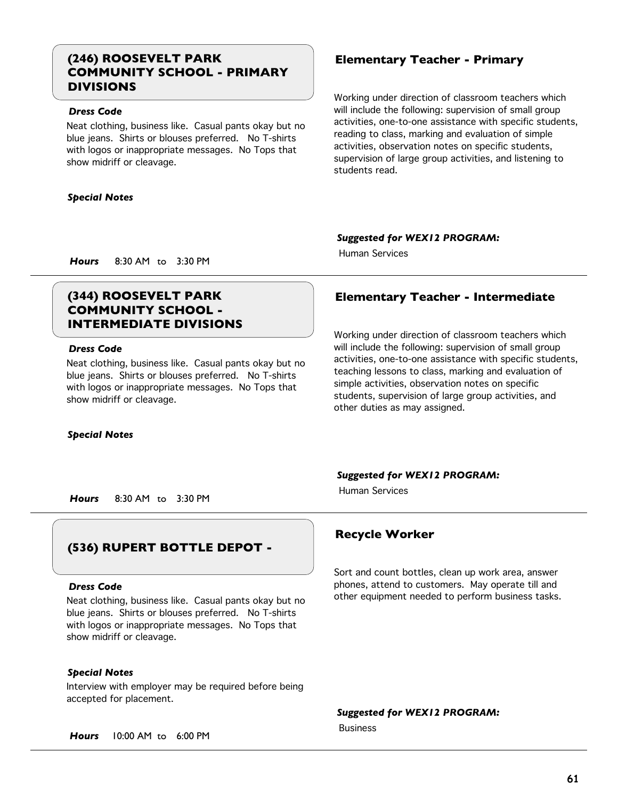# **(246) ROOSEVELT PARK Elementary Teacher - Primary COMMUNITY SCHOOL - PRIMARY DIVISIONS**

### *Dress Code*

Neat clothing, business like. Casual pants okay but no blue jeans. Shirts or blouses preferred. No T-shirts with logos or inappropriate messages. No Tops that show midriff or cleavage.

#### *Special Notes*

Working under direction of classroom teachers which will include the following: supervision of small group activities, one-to-one assistance with specific students, reading to class, marking and evaluation of simple activities, observation notes on specific students, supervision of large group activities, and listening to students read.

### *Suggested for WEX12 PROGRAM:*

Human Services

*Hours* 8:30 AM to 3:30 PM

# **COMMUNITY SCHOOL - INTERMEDIATE DIVISIONS**

### *Dress Code*

Neat clothing, business like. Casual pants okay but no blue jeans. Shirts or blouses preferred. No T-shirts with logos or inappropriate messages. No Tops that show midriff or cleavage.

#### *Special Notes*

# **(344) ROOSEVELT PARK Elementary Teacher - Intermediate**

Working under direction of classroom teachers which will include the following: supervision of small group activities, one-to-one assistance with specific students, teaching lessons to class, marking and evaluation of simple activities, observation notes on specific students, supervision of large group activities, and other duties as may assigned.

#### *Suggested for WEX12 PROGRAM:*

Human Services

*Hours* 8:30 AM to 3:30 PM

# **(536) RUPERT BOTTLE DEPOT -**

#### *Dress Code*

Neat clothing, business like. Casual pants okay but no blue jeans. Shirts or blouses preferred. No T-shirts with logos or inappropriate messages. No Tops that show midriff or cleavage.

### *Special Notes*

Interview with employer may be required before being accepted for placement.

*Hours* 10:00 AM to 6:00 PM

## **Recycle Worker**

Sort and count bottles, clean up work area, answer phones, attend to customers. May operate till and other equipment needed to perform business tasks.

*Suggested for WEX12 PROGRAM:* Business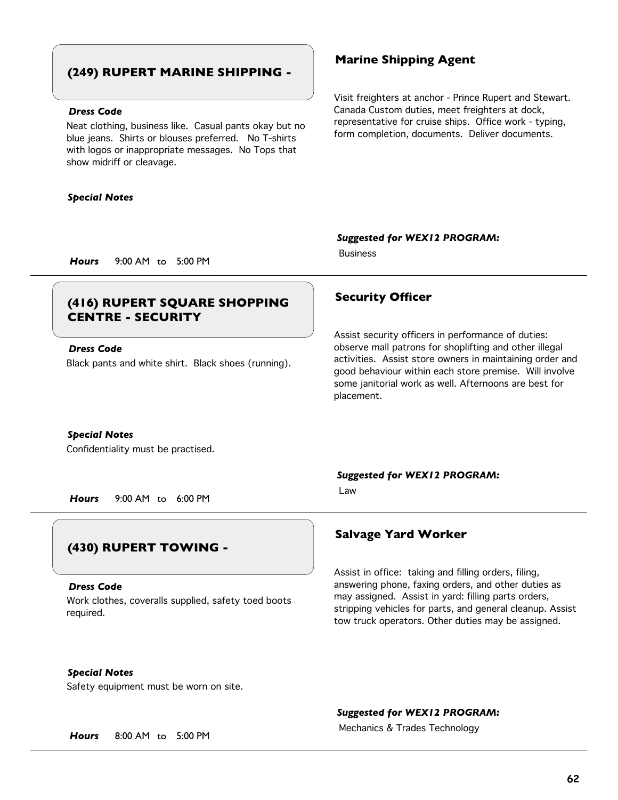## **(249) RUPERT MARINE SHIPPING -**

### *Dress Code*

Neat clothing, business like. Casual pants okay but no blue jeans. Shirts or blouses preferred. No T-shirts with logos or inappropriate messages. No Tops that show midriff or cleavage.

#### *Special Notes*

### **Marine Shipping Agent**

Visit freighters at anchor - Prince Rupert and Stewart. Canada Custom duties, meet freighters at dock, representative for cruise ships. Office work - typing, form completion, documents. Deliver documents.

#### *Suggested for WEX12 PROGRAM:*

Business

*Hours* 9:00 AM to 5:00 PM

# **Security Officer (416) RUPERT SQUARE SHOPPING CENTRE - SECURITY**

### *Dress Code*

Black pants and white shirt. Black shoes (running).

#### *Special Notes*

Confidentiality must be practised.

*Hours* 9:00 AM to 6:00 PM

# **(430) RUPERT TOWING -**

#### *Dress Code*

Work clothes, coveralls supplied, safety toed boots required.

Assist security officers in performance of duties: observe mall patrons for shoplifting and other illegal activities. Assist store owners in maintaining order and good behaviour within each store premise. Will involve some janitorial work as well. Afternoons are best for placement.

*Suggested for WEX12 PROGRAM:*

Law

## **Salvage Yard Worker**

Assist in office: taking and filling orders, filing, answering phone, faxing orders, and other duties as may assigned. Assist in yard: filling parts orders, stripping vehicles for parts, and general cleanup. Assist tow truck operators. Other duties may be assigned.

### *Special Notes*

Safety equipment must be worn on site.

#### *Suggested for WEX12 PROGRAM:*

Mechanics & Trades Technology *Hours* 8:00 AM to 5:00 PM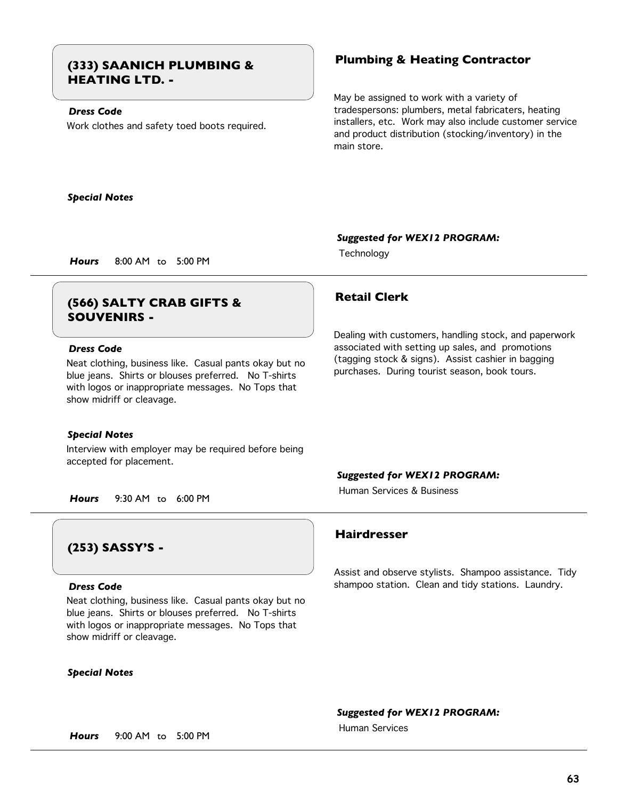# **Plumbing & Heating Contractor (333) SAANICH PLUMBING & HEATING LTD. -**

## *Dress Code*

Work clothes and safety toed boots required.

May be assigned to work with a variety of tradespersons: plumbers, metal fabricaters, heating installers, etc. Work may also include customer service and product distribution (stocking/inventory) in the main store.

Dealing with customers, handling stock, and paperwork associated with setting up sales, and promotions (tagging stock & signs). Assist cashier in bagging purchases. During tourist season, book tours.

*Special Notes*

#### *Suggested for WEX12 PROGRAM:*

Technology *Hours* 8:00 AM to 5:00 PM

# **Retail Clerk (566) SALTY CRAB GIFTS & SOUVENIRS -**

### *Dress Code*

Neat clothing, business like. Casual pants okay but no blue jeans. Shirts or blouses preferred. No T-shirts with logos or inappropriate messages. No Tops that show midriff or cleavage.

#### *Special Notes*

Interview with employer may be required before being accepted for placement.

*Suggested for WEX12 PROGRAM:*

Human Services & Business

*Hours* 9:30 AM to 6:00 PM

# **(253) SASSY'S -**

#### *Dress Code*

Neat clothing, business like. Casual pants okay but no blue jeans. Shirts or blouses preferred. No T-shirts with logos or inappropriate messages. No Tops that show midriff or cleavage.

#### *Special Notes*

## **Hairdresser**

Assist and observe stylists. Shampoo assistance. Tidy shampoo station. Clean and tidy stations. Laundry.

*Suggested for WEX12 PROGRAM:*

Human Services

*Hours* 9:00 AM to 5:00 PM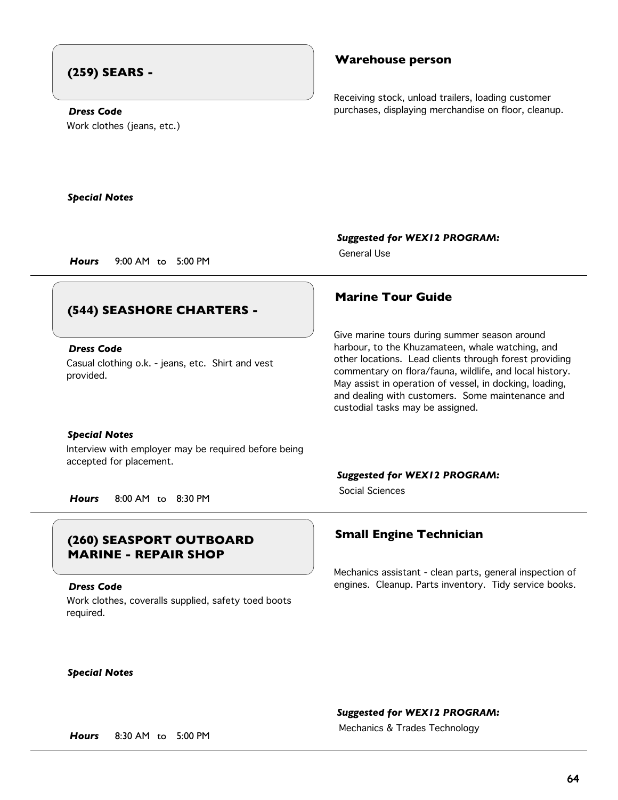# **(259) SEARS -**

### **Warehouse person**

Receiving stock, unload trailers, loading customer purchases, displaying merchandise on floor, cleanup.

Work clothes (jeans, etc.) *Dress Code*

*Special Notes*

*Suggested for WEX12 PROGRAM:* General Use

*Hours* 9:00 AM to 5:00 PM

# **(544) SEASHORE CHARTERS -**

### *Dress Code*

Casual clothing o.k. - jeans, etc. Shirt and vest provided.

#### *Special Notes*

Interview with employer may be required before being accepted for placement.

*Hours* 8:00 AM to 8:30 PM

# **Small Engine Technician (260) SEASPORT OUTBOARD MARINE - REPAIR SHOP**

#### *Dress Code*

Work clothes, coveralls supplied, safety toed boots required.

## **Marine Tour Guide**

Give marine tours during summer season around harbour, to the Khuzamateen, whale watching, and other locations. Lead clients through forest providing commentary on flora/fauna, wildlife, and local history. May assist in operation of vessel, in docking, loading, and dealing with customers. Some maintenance and custodial tasks may be assigned.

#### *Suggested for WEX12 PROGRAM:*

Social Sciences

Mechanics assistant - clean parts, general inspection of engines. Cleanup. Parts inventory. Tidy service books.

*Special Notes*

## *Suggested for WEX12 PROGRAM:*

Mechanics & Trades Technology *Hours* 8:30 AM to 5:00 PM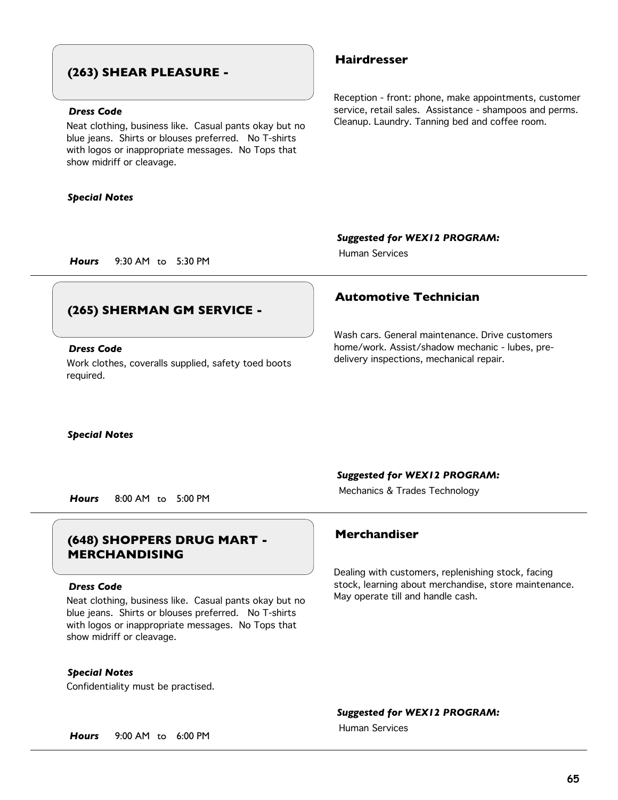## **(263) SHEAR PLEASURE -**

### *Dress Code*

Neat clothing, business like. Casual pants okay but no blue jeans. Shirts or blouses preferred. No T-shirts with logos or inappropriate messages. No Tops that show midriff or cleavage.

#### *Special Notes*

### **Hairdresser**

Reception - front: phone, make appointments, customer service, retail sales. Assistance - shampoos and perms. Cleanup. Laundry. Tanning bed and coffee room.

*Suggested for WEX12 PROGRAM:*

Human Services

*Hours* 9:30 AM to 5:30 PM

# **(265) SHERMAN GM SERVICE -**

### *Dress Code*

Work clothes, coveralls supplied, safety toed boots required.

## **Automotive Technician**

Wash cars. General maintenance. Drive customers home/work. Assist/shadow mechanic - lubes, predelivery inspections, mechanical repair.

*Special Notes*

*Suggested for WEX12 PROGRAM:*

Mechanics & Trades Technology *Hours* 8:00 AM to 5:00 PM

# **Merchandiser (648) SHOPPERS DRUG MART - MERCHANDISING**

#### *Dress Code*

Neat clothing, business like. Casual pants okay but no blue jeans. Shirts or blouses preferred. No T-shirts with logos or inappropriate messages. No Tops that show midriff or cleavage.

Confidentiality must be practised. *Special Notes*

Dealing with customers, replenishing stock, facing stock, learning about merchandise, store maintenance. May operate till and handle cash.

*Suggested for WEX12 PROGRAM:*

Human Services

*Hours* 9:00 AM to 6:00 PM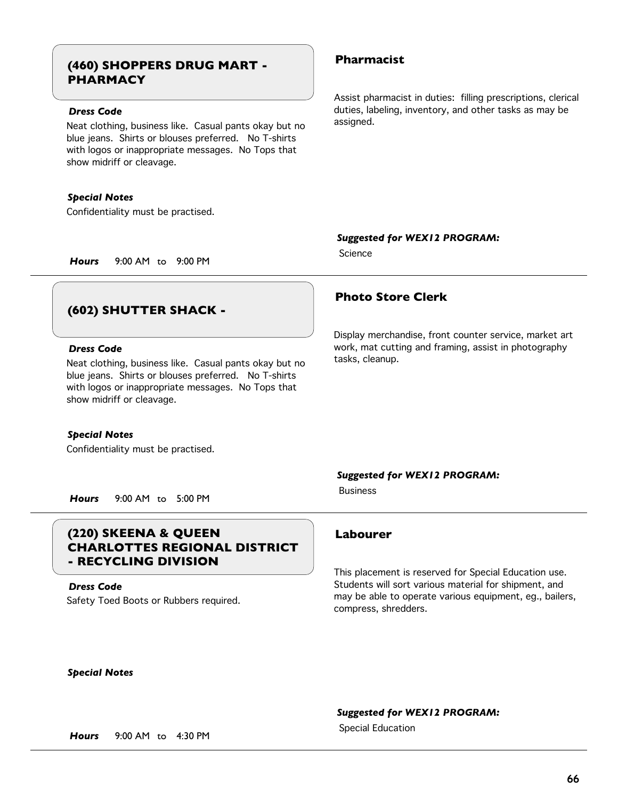# **Pharmacist (460) SHOPPERS DRUG MART - PHARMACY**

## *Dress Code*

Neat clothing, business like. Casual pants okay but no blue jeans. Shirts or blouses preferred. No T-shirts with logos or inappropriate messages. No Tops that show midriff or cleavage.

#### *Special Notes*

Confidentiality must be practised.

Assist pharmacist in duties: filling prescriptions, clerical duties, labeling, inventory, and other tasks as may be assigned.

Display merchandise, front counter service, market art work, mat cutting and framing, assist in photography

#### *Suggested for WEX12 PROGRAM:*

**Science** 

tasks, cleanup.

**Photo Store Clerk**

*Hours* 9:00 AM to 9:00 PM

# **(602) SHUTTER SHACK -**

### *Dress Code*

Neat clothing, business like. Casual pants okay but no blue jeans. Shirts or blouses preferred. No T-shirts with logos or inappropriate messages. No Tops that show midriff or cleavage.

#### *Special Notes*

Confidentiality must be practised.

#### *Suggested for WEX12 PROGRAM:*

Business

*Hours* 9:00 AM to 5:00 PM

# **(220) SKEENA & QUEEN Labourer CHARLOTTES REGIONAL DISTRICT - RECYCLING DIVISION**

Safety Toed Boots or Rubbers required. *Dress Code*

This placement is reserved for Special Education use. Students will sort various material for shipment, and may be able to operate various equipment, eg., bailers, compress, shredders.

*Special Notes*

#### *Suggested for WEX12 PROGRAM:*

Special Education *Hours* 9:00 AM to 4:30 PM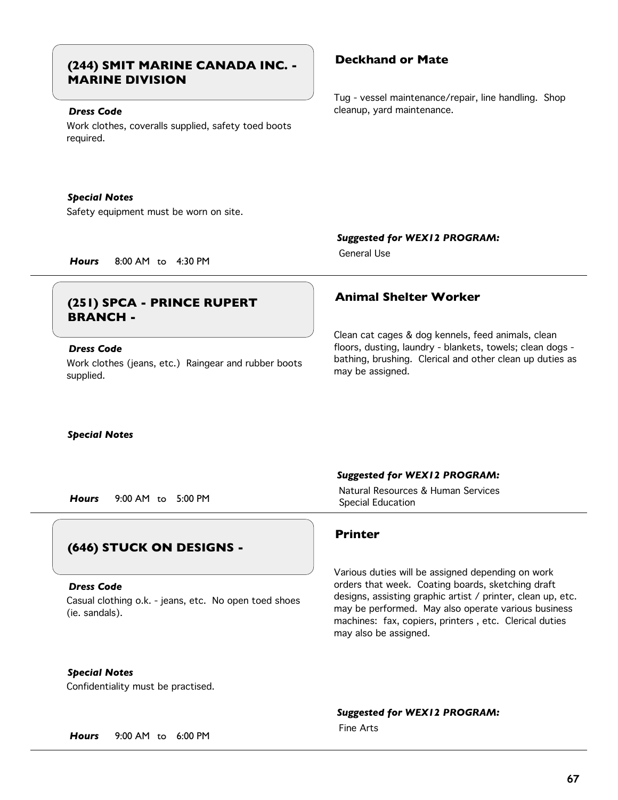# **Deckhand or Mate (244) SMIT MARINE CANADA INC. - MARINE DIVISION**

## *Dress Code*

Work clothes, coveralls supplied, safety toed boots required.

#### *Special Notes*

Safety equipment must be worn on site.

Tug - vessel maintenance/repair, line handling. Shop cleanup, yard maintenance.

*Hours* 8:00 AM to 4:30 PM

# **Animal Shelter Worker (251) SPCA - PRINCE RUPERT BRANCH -**

### *Dress Code*

Work clothes (jeans, etc.) Raingear and rubber boots supplied.

General Use

*Suggested for WEX12 PROGRAM:*

Clean cat cages & dog kennels, feed animals, clean floors, dusting, laundry - blankets, towels; clean dogs bathing, brushing. Clerical and other clean up duties as may be assigned.

## *Special Notes*

Special Education *Hours* 9:00 AM to 5:00 PM

# **(646) STUCK ON DESIGNS -**

#### *Dress Code*

Casual clothing o.k. - jeans, etc. No open toed shoes (ie. sandals).

### *Special Notes*

Confidentiality must be practised.

#### *Suggested for WEX12 PROGRAM:*

Natural Resources & Human Services

### **Printer**

Various duties will be assigned depending on work orders that week. Coating boards, sketching draft designs, assisting graphic artist / printer, clean up, etc. may be performed. May also operate various business machines: fax, copiers, printers , etc. Clerical duties may also be assigned.

# *Suggested for WEX12 PROGRAM:*

Fine Arts

*Hours* 9:00 AM to 6:00 PM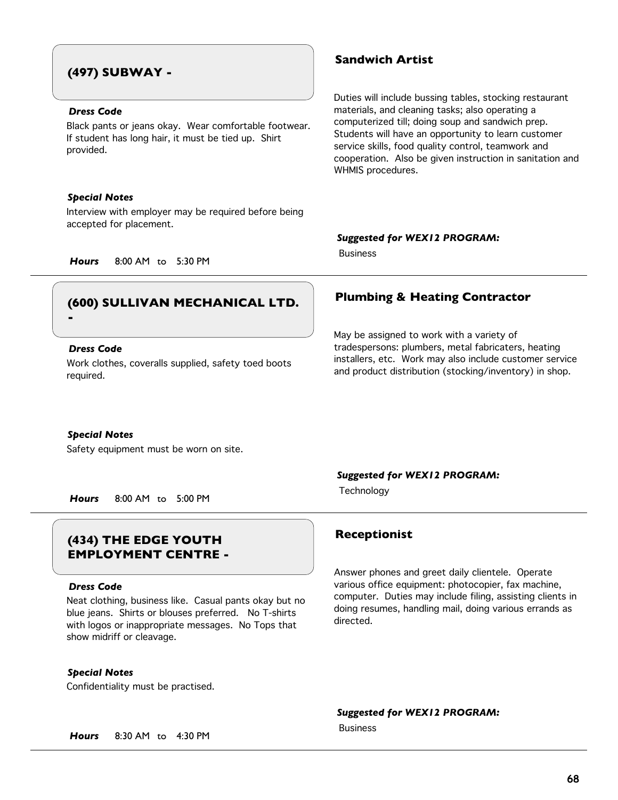# **(497) SUBWAY -**

### *Dress Code*

Black pants or jeans okay. Wear comfortable footwear. If student has long hair, it must be tied up. Shirt provided.

#### *Special Notes*

Interview with employer may be required before being accepted for placement.

## **Sandwich Artist**

Duties will include bussing tables, stocking restaurant materials, and cleaning tasks; also operating a computerized till; doing soup and sandwich prep. Students will have an opportunity to learn customer service skills, food quality control, teamwork and cooperation. Also be given instruction in sanitation and WHMIS procedures.

#### *Suggested for WEX12 PROGRAM:*

May be assigned to work with a variety of

tradespersons: plumbers, metal fabricaters, heating installers, etc. Work may also include customer service and product distribution (stocking/inventory) in shop.

Business

*Hours* 8:00 AM to 5:30 PM

# **Plumbing & Heating Contractor (600) SULLIVAN MECHANICAL LTD.**

# **-**

## *Dress Code*

Work clothes, coveralls supplied, safety toed boots required.

#### *Special Notes*

Safety equipment must be worn on site.

Technology *Hours* 8:00 AM to 5:00 PM

# **Receptionist (434) THE EDGE YOUTH EMPLOYMENT CENTRE -**

#### *Dress Code*

Neat clothing, business like. Casual pants okay but no blue jeans. Shirts or blouses preferred. No T-shirts with logos or inappropriate messages. No Tops that show midriff or cleavage.

### *Special Notes*

Confidentiality must be practised.

### *Suggested for WEX12 PROGRAM:*

Answer phones and greet daily clientele. Operate various office equipment: photocopier, fax machine, computer. Duties may include filing, assisting clients in doing resumes, handling mail, doing various errands as directed.

#### *Suggested for WEX12 PROGRAM:*

Business

*Hours* 8:30 AM to 4:30 PM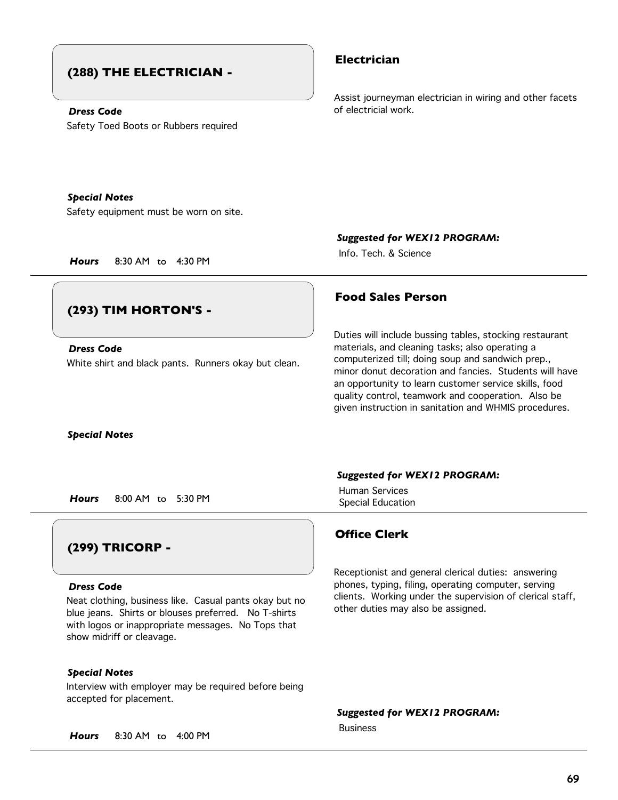# **(288) THE ELECTRICIAN -**

### *Dress Code*

Safety Toed Boots or Rubbers required

## **Electrician**

Assist journeyman electrician in wiring and other facets of electricial work.

Safety equipment must be worn on site. *Special Notes*

*Hours* 8:30 AM to 4:30 PM

### *Suggested for WEX12 PROGRAM:*

Info. Tech. & Science

# **(293) TIM HORTON'S -**

White shirt and black pants. Runners okay but clean. *Dress Code*

*Special Notes*

Special Education *Hours* 8:00 AM to 5:30 PM

# **(299) TRICORP -**

#### *Dress Code*

Neat clothing, business like. Casual pants okay but no blue jeans. Shirts or blouses preferred. No T-shirts with logos or inappropriate messages. No Tops that show midriff or cleavage.

### *Special Notes*

Interview with employer may be required before being accepted for placement.

*Hours* 8:30 AM to 4:00 PM

## **Food Sales Person**

Duties will include bussing tables, stocking restaurant materials, and cleaning tasks; also operating a computerized till; doing soup and sandwich prep., minor donut decoration and fancies. Students will have an opportunity to learn customer service skills, food quality control, teamwork and cooperation. Also be given instruction in sanitation and WHMIS procedures.

#### *Suggested for WEX12 PROGRAM:*

Human Services

## **Office Clerk**

Receptionist and general clerical duties: answering phones, typing, filing, operating computer, serving clients. Working under the supervision of clerical staff, other duties may also be assigned.

*Suggested for WEX12 PROGRAM:*

Business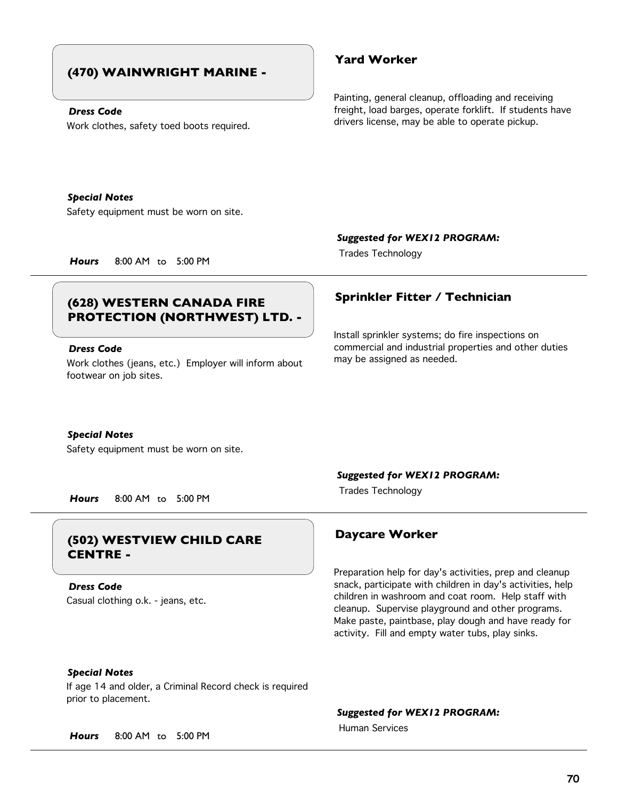# **(470) WAINWRIGHT MARINE -**

#### *Dress Code*

Work clothes, safety toed boots required.

## **Yard Worker**

Painting, general cleanup, offloading and receiving freight, load barges, operate forklift. If students have drivers license, may be able to operate pickup.

*Special Notes*

Safety equipment must be worn on site.

*Suggested for WEX12 PROGRAM:*

Install sprinkler systems; do fire inspections on commercial and industrial properties and other duties

Trades Technology *Hours* 8:00 AM to 5:00 PM

# **Sprinkler Fitter / Technician (628) WESTERN CANADA FIRE PROTECTION (NORTHWEST) LTD. -**

### *Dress Code*

Work clothes (jeans, etc.) Employer will inform about footwear on job sites.

#### *Special Notes*

Safety equipment must be worn on site.

*Suggested for WEX12 PROGRAM:*

Trades Technology *Hours* 8:00 AM to 5:00 PM

# **Daycare Worker (502) WESTVIEW CHILD CARE CENTRE -**

Casual clothing o.k. - jeans, etc. *Dress Code*



may be assigned as needed.

Preparation help for day's activities, prep and cleanup snack, participate with children in day's activities, help children in washroom and coat room. Help staff with cleanup. Supervise playground and other programs. Make paste, paintbase, play dough and have ready for activity. Fill and empty water tubs, play sinks.

## *Special Notes*

If age 14 and older, a Criminal Record check is required prior to placement.

*Suggested for WEX12 PROGRAM:*

Human Services

*Hours* 8:00 AM to 5:00 PM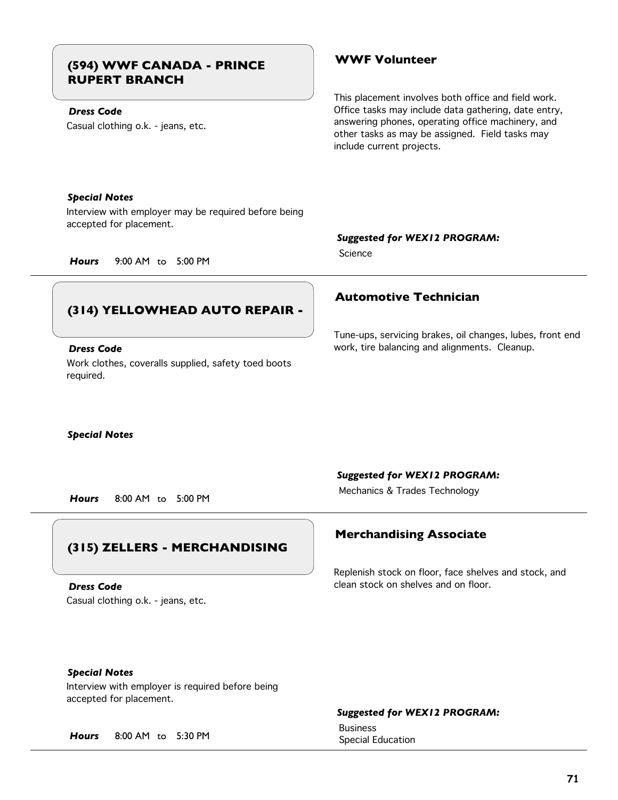# **WWF Volunteer (594) WWF CANADA - PRINCE RUPERT BRANCH**

## *Dress Code*

Casual clothing o.k. - jeans, etc.

This placement involves both office and field work. Office tasks may include data gathering, date entry, answering phones, operating office machinery, and other tasks as may be assigned. Field tasks may include current projects.

#### *Special Notes*

Interview with employer may be required before being accepted for placement.

### *Suggested for WEX12 PROGRAM:*

**Science** 

*Hours* 9:00 AM to 5:00 PM

# **(314) YELLOWHEAD AUTO REPAIR -**

#### *Dress Code*

Work clothes, coveralls supplied, safety toed boots required.

# **Automotive Technician**

Tune-ups, servicing brakes, oil changes, lubes, front end work, tire balancing and alignments. Cleanup.

#### *Special Notes*

#### *Suggested for WEX12 PROGRAM:*

Mechanics & Trades Technology *Hours* 8:00 AM to 5:00 PM

# **(315) ZELLERS - MERCHANDISING**

Casual clothing o.k. - jeans, etc. *Dress Code*

## **Merchandising Associate**

Replenish stock on floor, face shelves and stock, and clean stock on shelves and on floor.

## *Special Notes*

Interview with employer is required before being accepted for placement.

## *Suggested for WEX12 PROGRAM:*

Business

Special Education *Hours* 8:00 AM to 5:30 PM